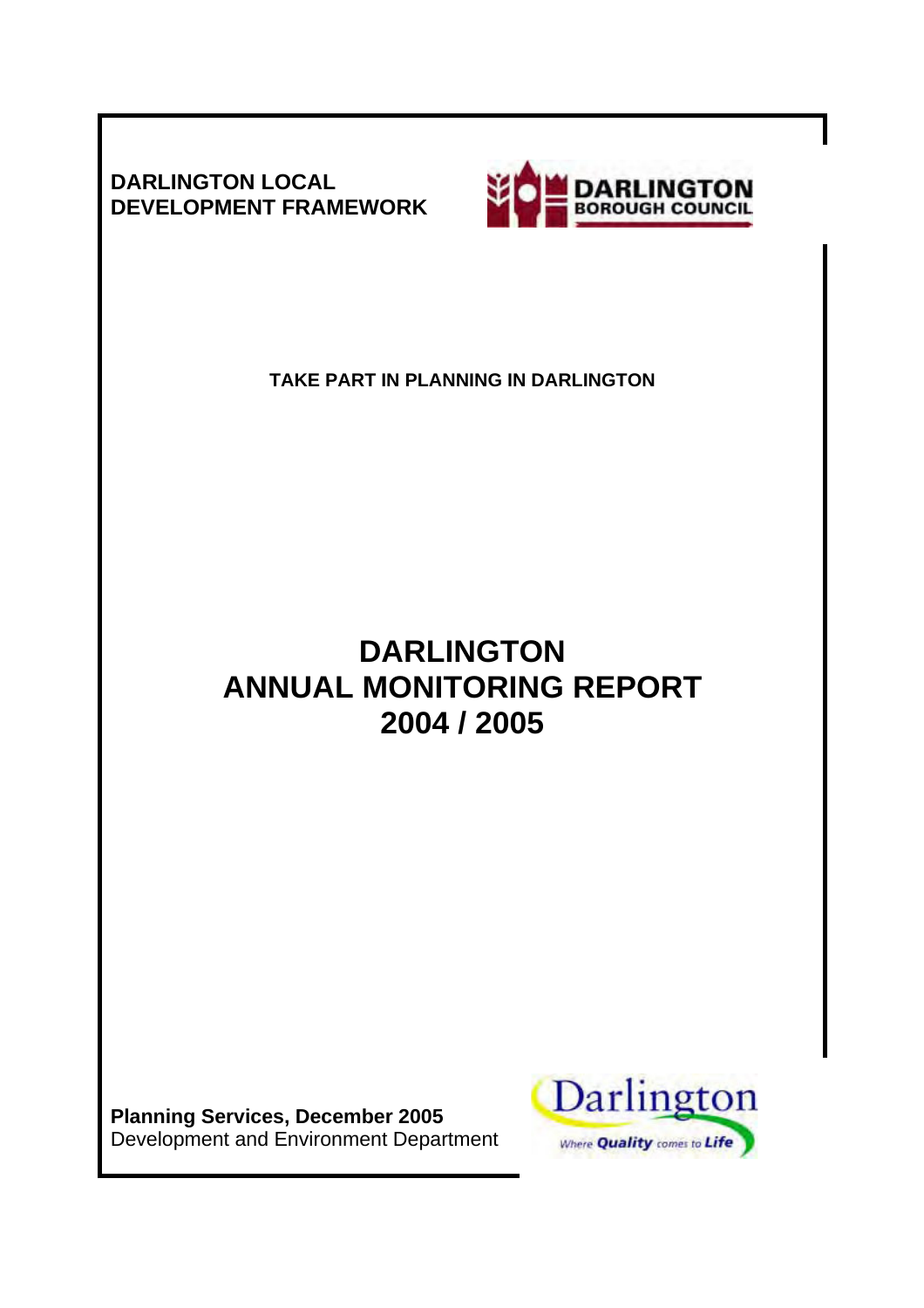**DARLINGTON LOCAL DEVELOPMENT FRAMEWORK** 



**TAKE PART IN PLANNING IN DARLINGTON** 

# **DARLINGTON ANNUAL MONITORING REPORT 2004 / 2005**

**Planning Services, December 2005**  Development and Environment Department

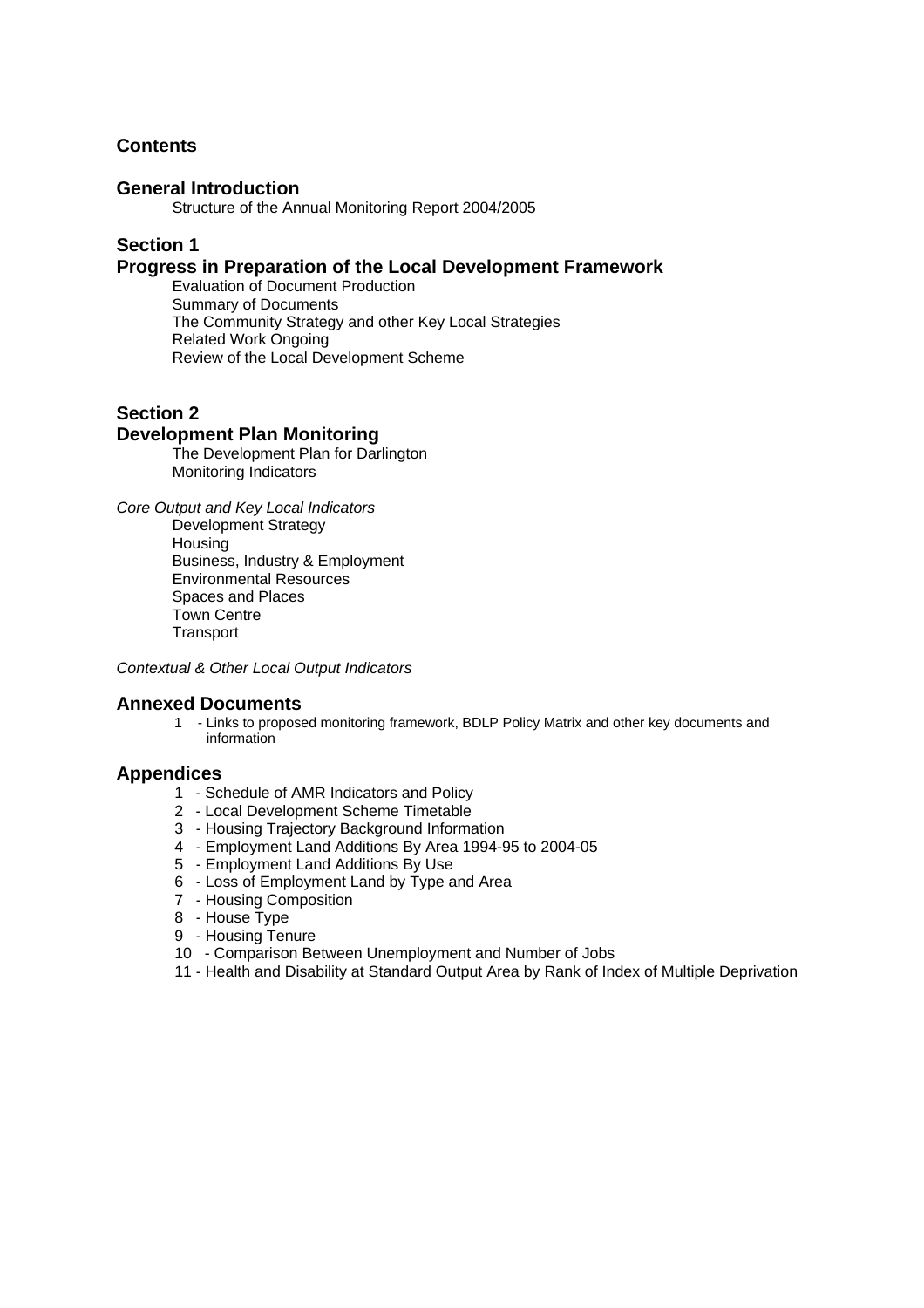## **Contents**

#### **General Introduction**

Structure of the Annual Monitoring Report 2004/2005

# **Section 1**

#### **Progress in Preparation of the Local Development Framework**

Evaluation of Document Production Summary of Documents The Community Strategy and other Key Local Strategies Related Work Ongoing Review of the Local Development Scheme

#### **Section 2**

#### **Development Plan Monitoring**

The Development Plan for Darlington Monitoring Indicators

*Core Output and Key Local Indicators*  Development Strategy Housing Business, Industry & Employment Environmental Resources Spaces and Places Town Centre **Transport** 

*Contextual & Other Local Output Indicators* 

#### **Annexed Documents**

1 - Links to proposed monitoring framework, BDLP Policy Matrix and other key documents and information

#### **Appendices**

- 1 Schedule of AMR Indicators and Policy
- 2 Local Development Scheme Timetable
- 3 Housing Trajectory Background Information
- 4 Employment Land Additions By Area 1994-95 to 2004-05
- 5 Employment Land Additions By Use
- 6 Loss of Employment Land by Type and Area
- 7 Housing Composition
- 8 House Type
- 9 Housing Tenure
- 10 Comparison Between Unemployment and Number of Jobs
- 11 Health and Disability at Standard Output Area by Rank of Index of Multiple Deprivation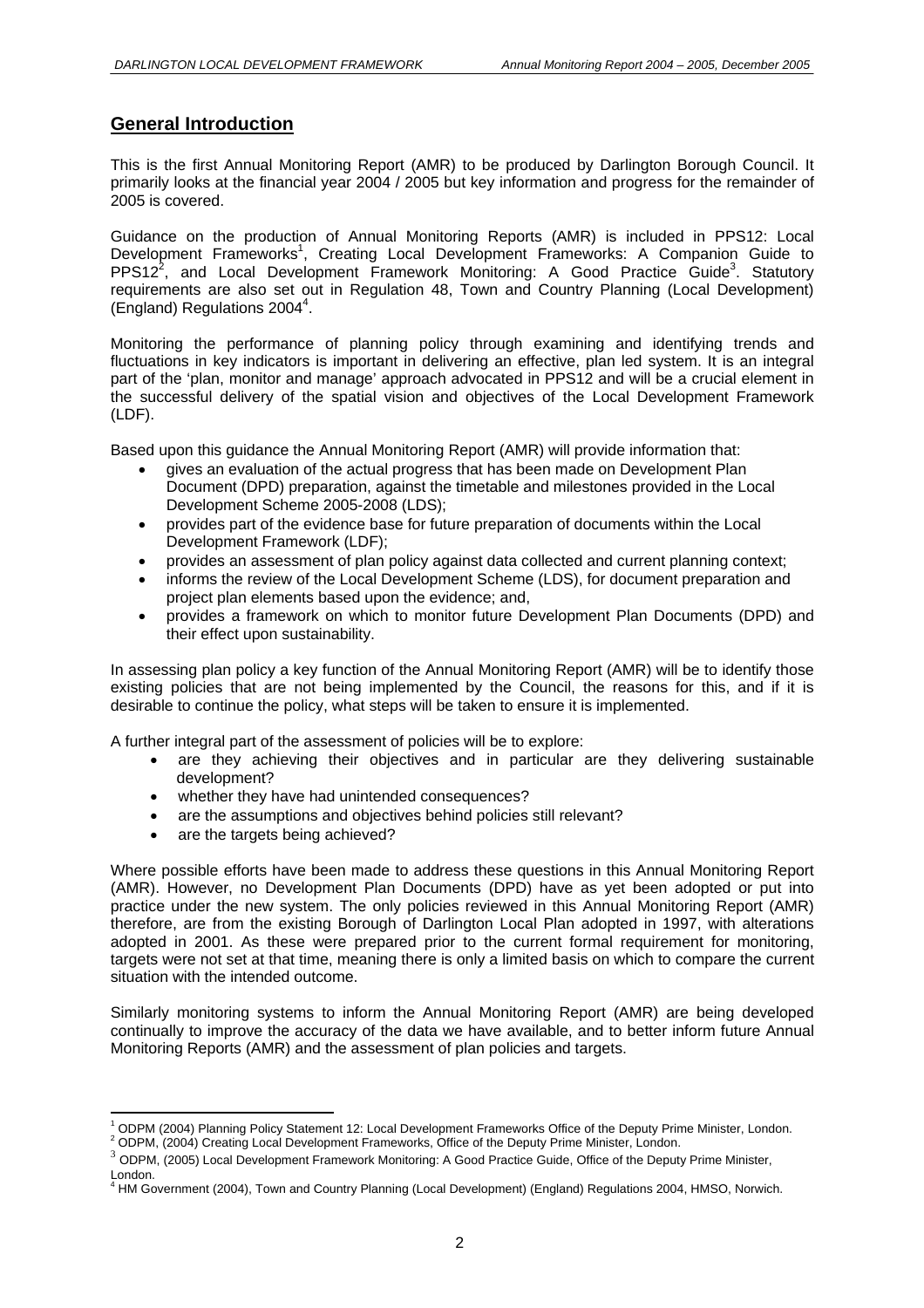## **General Introduction**

This is the first Annual Monitoring Report (AMR) to be produced by Darlington Borough Council. It primarily looks at the financial year 2004 / 2005 but key information and progress for the remainder of 2005 is covered.

Guidance on the production of Annual Monitoring Reports (AMR) is included in PPS12: Local Development Frameworks<sup>1</sup>, Creating Local Development Frameworks: A Companion Guide to PPS12<sup>2</sup>, and Local Development Framework Monitoring: A Good Practice Guide<sup>3</sup>. Statutory requirements are also set out in Regulation 48, Town and Country Planning (Local Development) (England) Regulations 2004<sup>4</sup>.

Monitoring the performance of planning policy through examining and identifying trends and fluctuations in key indicators is important in delivering an effective, plan led system. It is an integral part of the 'plan, monitor and manage' approach advocated in PPS12 and will be a crucial element in the successful delivery of the spatial vision and objectives of the Local Development Framework (LDF).

Based upon this guidance the Annual Monitoring Report (AMR) will provide information that:

- gives an evaluation of the actual progress that has been made on Development Plan Document (DPD) preparation, against the timetable and milestones provided in the Local Development Scheme 2005-2008 (LDS);
- provides part of the evidence base for future preparation of documents within the Local Development Framework (LDF);
- provides an assessment of plan policy against data collected and current planning context;
- informs the review of the Local Development Scheme (LDS), for document preparation and project plan elements based upon the evidence; and,
- provides a framework on which to monitor future Development Plan Documents (DPD) and their effect upon sustainability.

In assessing plan policy a key function of the Annual Monitoring Report (AMR) will be to identify those existing policies that are not being implemented by the Council, the reasons for this, and if it is desirable to continue the policy, what steps will be taken to ensure it is implemented.

A further integral part of the assessment of policies will be to explore:

- are they achieving their objectives and in particular are they delivering sustainable development?
- whether they have had unintended consequences?
- are the assumptions and objectives behind policies still relevant?
- are the targets being achieved?

Where possible efforts have been made to address these questions in this Annual Monitoring Report (AMR). However, no Development Plan Documents (DPD) have as yet been adopted or put into practice under the new system. The only policies reviewed in this Annual Monitoring Report (AMR) therefore, are from the existing Borough of Darlington Local Plan adopted in 1997, with alterations adopted in 2001. As these were prepared prior to the current formal requirement for monitoring, targets were not set at that time, meaning there is only a limited basis on which to compare the current situation with the intended outcome.

Similarly monitoring systems to inform the Annual Monitoring Report (AMR) are being developed continually to improve the accuracy of the data we have available, and to better inform future Annual Monitoring Reports (AMR) and the assessment of plan policies and targets.

<sup>&</sup>lt;sup>1</sup> ODPM (2004) Planning Policy Statement 12: Local Development Frameworks Office of the Deputy Prime Minister, London.<br><sup>2</sup> ODPM (2004) Crosting Local Development Frameworks, Office of the Deputy Prime Minister, London.

 $^2$  ODPM, (2004) Creating Local Development Frameworks, Office of the Deputy Prime Minister, London.<br><sup>3</sup> ODPM, (2005) Local Development Framework Monitoring: A Good Practice Guide, Office of the Deputy Prime Minister,

London. 4 HM Government (2004), Town and Country Planning (Local Development) (England) Regulations 2004, HMSO, Norwich.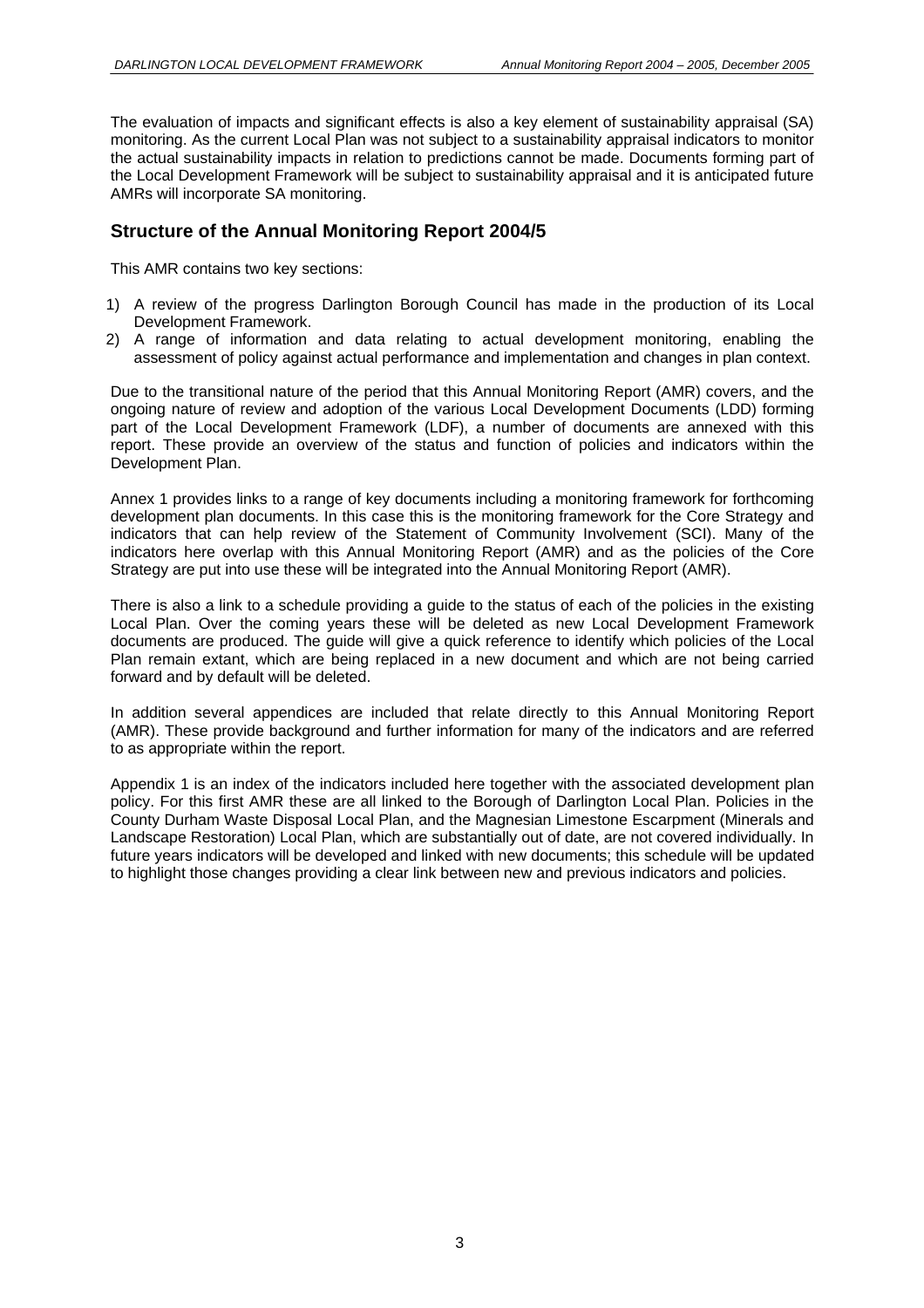The evaluation of impacts and significant effects is also a key element of sustainability appraisal (SA) monitoring. As the current Local Plan was not subject to a sustainability appraisal indicators to monitor the actual sustainability impacts in relation to predictions cannot be made. Documents forming part of the Local Development Framework will be subject to sustainability appraisal and it is anticipated future AMRs will incorporate SA monitoring.

## **Structure of the Annual Monitoring Report 2004/5**

This AMR contains two key sections:

- 1) A review of the progress Darlington Borough Council has made in the production of its Local Development Framework.
- 2) A range of information and data relating to actual development monitoring, enabling the assessment of policy against actual performance and implementation and changes in plan context.

Due to the transitional nature of the period that this Annual Monitoring Report (AMR) covers, and the ongoing nature of review and adoption of the various Local Development Documents (LDD) forming part of the Local Development Framework (LDF), a number of documents are annexed with this report. These provide an overview of the status and function of policies and indicators within the Development Plan.

Annex 1 provides links to a range of key documents including a monitoring framework for forthcoming development plan documents. In this case this is the monitoring framework for the Core Strategy and indicators that can help review of the Statement of Community Involvement (SCI). Many of the indicators here overlap with this Annual Monitoring Report (AMR) and as the policies of the Core Strategy are put into use these will be integrated into the Annual Monitoring Report (AMR).

There is also a link to a schedule providing a quide to the status of each of the policies in the existing Local Plan. Over the coming years these will be deleted as new Local Development Framework documents are produced. The guide will give a quick reference to identify which policies of the Local Plan remain extant, which are being replaced in a new document and which are not being carried forward and by default will be deleted.

In addition several appendices are included that relate directly to this Annual Monitoring Report (AMR). These provide background and further information for many of the indicators and are referred to as appropriate within the report.

Appendix 1 is an index of the indicators included here together with the associated development plan policy. For this first AMR these are all linked to the Borough of Darlington Local Plan. Policies in the County Durham Waste Disposal Local Plan, and the Magnesian Limestone Escarpment (Minerals and Landscape Restoration) Local Plan, which are substantially out of date, are not covered individually. In future years indicators will be developed and linked with new documents; this schedule will be updated to highlight those changes providing a clear link between new and previous indicators and policies.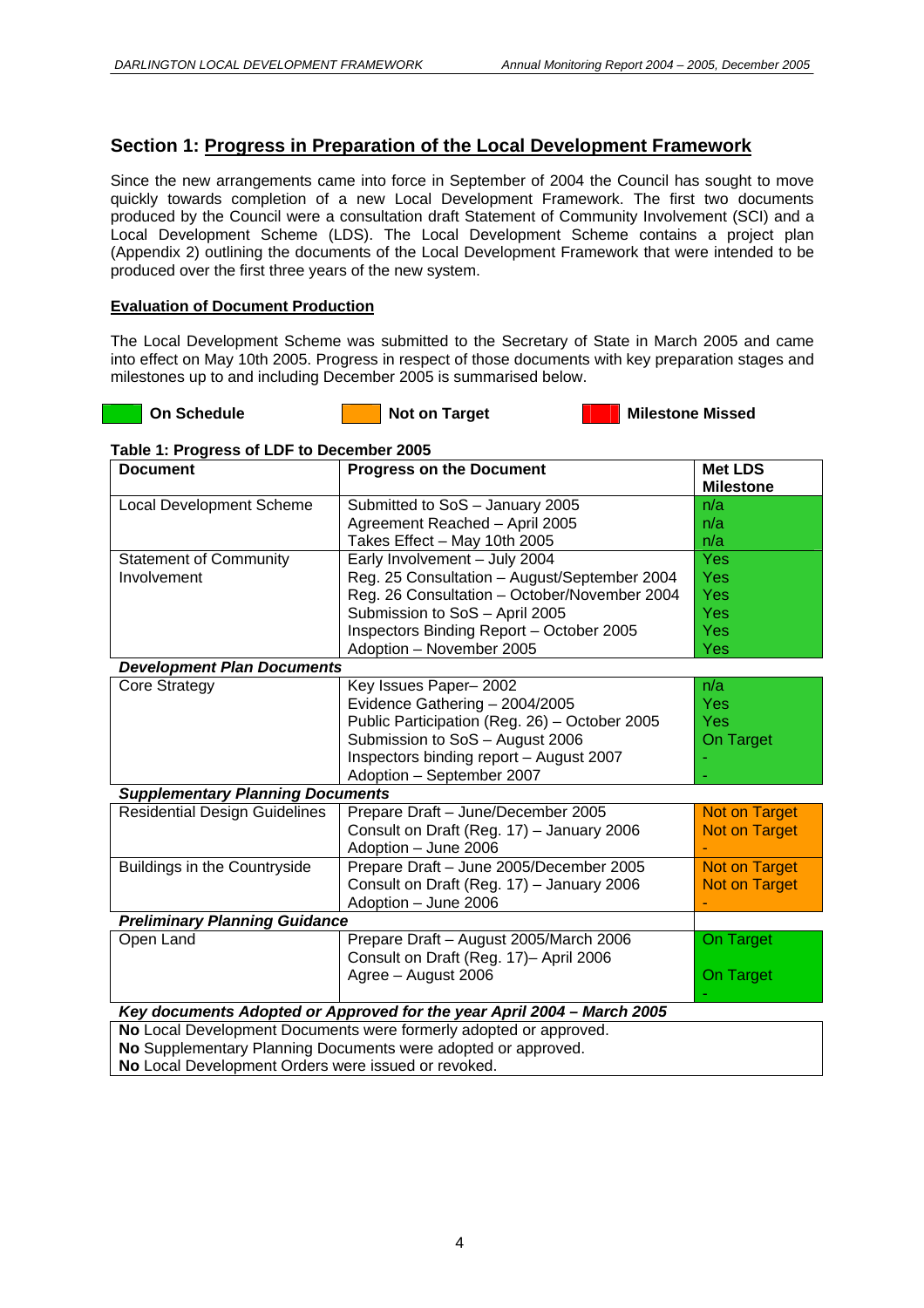## **Section 1: Progress in Preparation of the Local Development Framework**

Since the new arrangements came into force in September of 2004 the Council has sought to move quickly towards completion of a new Local Development Framework. The first two documents produced by the Council were a consultation draft Statement of Community Involvement (SCI) and a Local Development Scheme (LDS). The Local Development Scheme contains a project plan (Appendix 2) outlining the documents of the Local Development Framework that were intended to be produced over the first three years of the new system.

#### **Evaluation of Document Production**

The Local Development Scheme was submitted to the Secretary of State in March 2005 and came into effect on May 10th 2005. Progress in respect of those documents with key preparation stages and milestones up to and including December 2005 is summarised below.



**On Schedule Not on Target Milestone Missed Milestone Missed Contact Act On Schedule 10 Not on Target** 

#### **Table 1: Progress of LDF to December 2005**

| <b>Document</b>                                     | <b>Progress on the Document</b>                                        | <b>Met LDS</b><br><b>Milestone</b> |
|-----------------------------------------------------|------------------------------------------------------------------------|------------------------------------|
| <b>Local Development Scheme</b>                     | Submitted to SoS - January 2005                                        | n/a                                |
|                                                     | Agreement Reached - April 2005                                         | n/a                                |
|                                                     | Takes Effect - May 10th 2005                                           | n/a                                |
| <b>Statement of Community</b>                       | Early Involvement - July 2004                                          | Yes                                |
| Involvement                                         | Reg. 25 Consultation - August/September 2004                           | Yes                                |
|                                                     | Reg. 26 Consultation - October/November 2004                           | Yes                                |
|                                                     | Submission to SoS - April 2005                                         | Yes                                |
|                                                     | Inspectors Binding Report - October 2005                               | Yes                                |
|                                                     | Adoption - November 2005                                               | Yes                                |
| <b>Development Plan Documents</b>                   |                                                                        |                                    |
| <b>Core Strategy</b>                                | Key Issues Paper-2002                                                  | n/a                                |
|                                                     | Evidence Gathering - 2004/2005                                         | Yes                                |
|                                                     | Public Participation (Reg. 26) - October 2005                          | Yes                                |
|                                                     | Submission to SoS - August 2006                                        | On Target                          |
|                                                     | Inspectors binding report - August 2007                                |                                    |
|                                                     | Adoption - September 2007                                              |                                    |
| <b>Supplementary Planning Documents</b>             |                                                                        |                                    |
| <b>Residential Design Guidelines</b>                | Prepare Draft - June/December 2005                                     | <b>Not on Target</b>               |
|                                                     | Consult on Draft (Reg. 17) - January 2006                              | <b>Not on Target</b>               |
|                                                     | Adoption - June 2006                                                   |                                    |
| Buildings in the Countryside                        | Prepare Draft - June 2005/December 2005                                | <b>Not on Target</b>               |
|                                                     | Consult on Draft (Reg. 17) - January 2006                              | <b>Not on Target</b>               |
|                                                     | Adoption - June 2006                                                   |                                    |
| <b>Preliminary Planning Guidance</b>                |                                                                        |                                    |
| Open Land                                           | Prepare Draft - August 2005/March 2006                                 | On Target                          |
|                                                     | Consult on Draft (Reg. 17)- April 2006                                 |                                    |
|                                                     | Agree - August 2006                                                    | On Target                          |
|                                                     | Key documents Adopted or Approved for the year April 2004 – March 2005 |                                    |
|                                                     | No Local Development Documents were formerly adopted or approved.      |                                    |
|                                                     | No Supplementary Planning Documents were adopted or approved.          |                                    |
| No Local Development Orders were issued or revoked. |                                                                        |                                    |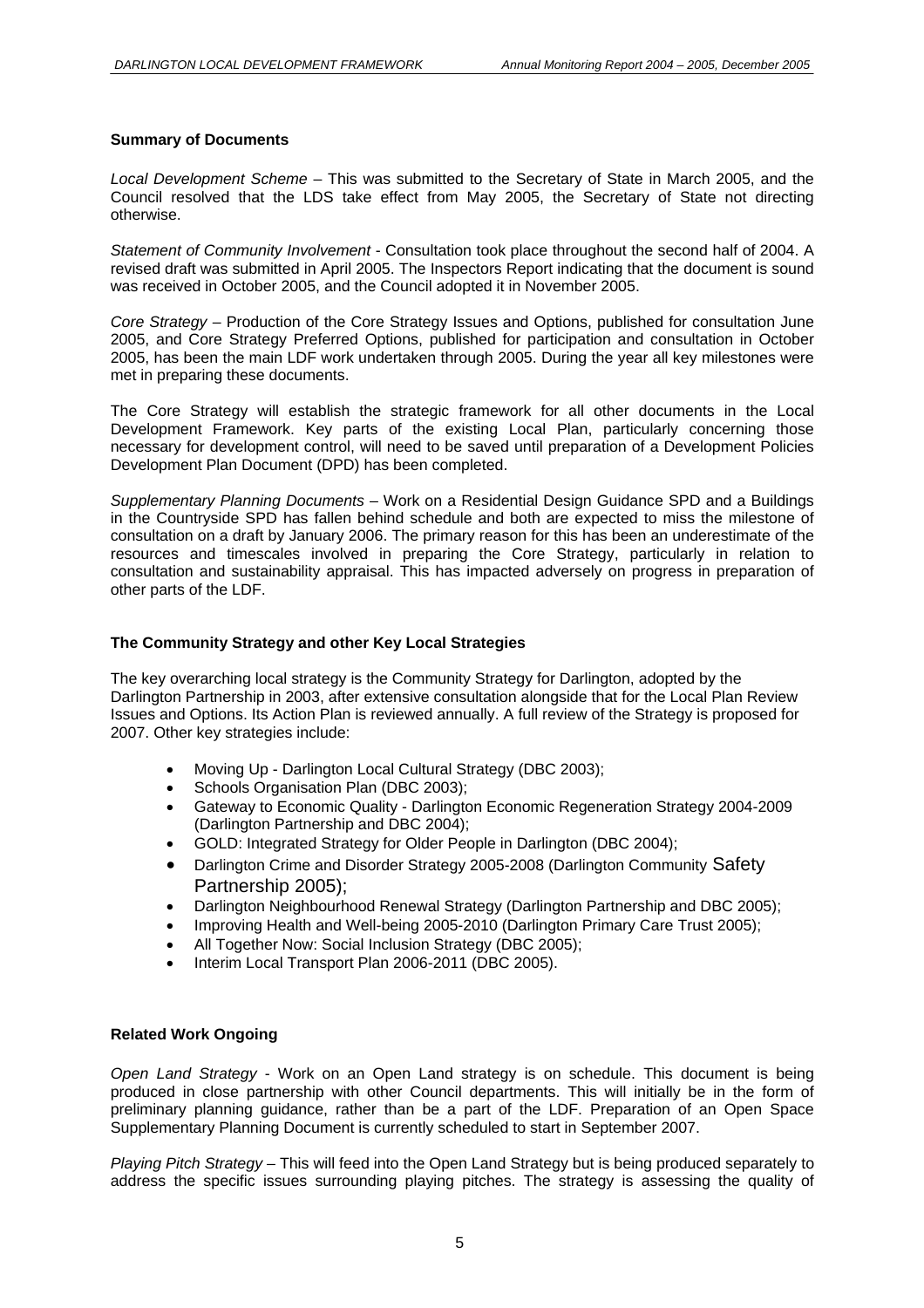#### **Summary of Documents**

*Local Development Scheme* – This was submitted to the Secretary of State in March 2005, and the Council resolved that the LDS take effect from May 2005, the Secretary of State not directing otherwise.

*Statement of Community Involvement* - Consultation took place throughout the second half of 2004. A revised draft was submitted in April 2005. The Inspectors Report indicating that the document is sound was received in October 2005, and the Council adopted it in November 2005.

*Core Strategy –* Production of the Core Strategy Issues and Options, published for consultation June 2005, and Core Strategy Preferred Options, published for participation and consultation in October 2005, has been the main LDF work undertaken through 2005. During the year all key milestones were met in preparing these documents.

The Core Strategy will establish the strategic framework for all other documents in the Local Development Framework. Key parts of the existing Local Plan, particularly concerning those necessary for development control, will need to be saved until preparation of a Development Policies Development Plan Document (DPD) has been completed.

*Supplementary Planning Documents* – Work on a Residential Design Guidance SPD and a Buildings in the Countryside SPD has fallen behind schedule and both are expected to miss the milestone of consultation on a draft by January 2006. The primary reason for this has been an underestimate of the resources and timescales involved in preparing the Core Strategy, particularly in relation to consultation and sustainability appraisal. This has impacted adversely on progress in preparation of other parts of the LDF.

#### **The Community Strategy and other Key Local Strategies**

The key overarching local strategy is the Community Strategy for Darlington, adopted by the Darlington Partnership in 2003, after extensive consultation alongside that for the Local Plan Review Issues and Options. Its Action Plan is reviewed annually. A full review of the Strategy is proposed for 2007. Other key strategies include:

- Moving Up Darlington Local Cultural Strategy (DBC 2003);
- Schools Organisation Plan (DBC 2003);
- Gateway to Economic Quality Darlington Economic Regeneration Strategy 2004-2009 (Darlington Partnership and DBC 2004);
- GOLD: Integrated Strategy for Older People in Darlington (DBC 2004);
- Darlington Crime and Disorder Strategy 2005-2008 (Darlington Community Safety Partnership 2005);
- Darlington Neighbourhood Renewal Strategy (Darlington Partnership and DBC 2005);
- Improving Health and Well-being 2005-2010 (Darlington Primary Care Trust 2005);
- All Together Now: Social Inclusion Strategy (DBC 2005);
- Interim Local Transport Plan 2006-2011 (DBC 2005).

#### **Related Work Ongoing**

*Open Land Strategy* - Work on an Open Land strategy is on schedule. This document is being produced in close partnership with other Council departments. This will initially be in the form of preliminary planning guidance, rather than be a part of the LDF. Preparation of an Open Space Supplementary Planning Document is currently scheduled to start in September 2007.

*Playing Pitch Strategy –* This will feed into the Open Land Strategy but is being produced separately to address the specific issues surrounding playing pitches. The strategy is assessing the quality of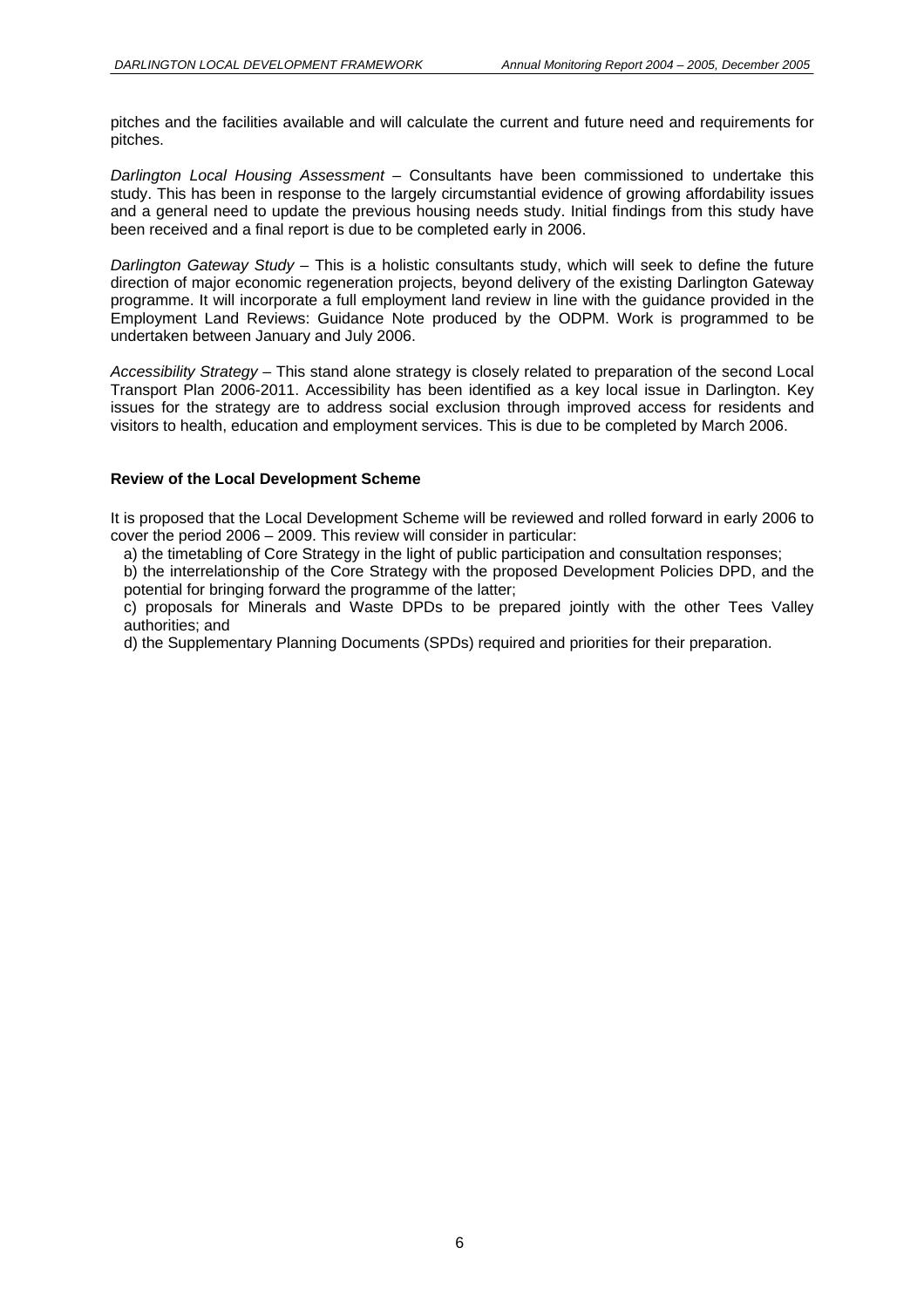pitches and the facilities available and will calculate the current and future need and requirements for pitches.

*Darlington Local Housing Assessment –* Consultants have been commissioned to undertake this study. This has been in response to the largely circumstantial evidence of growing affordability issues and a general need to update the previous housing needs study. Initial findings from this study have been received and a final report is due to be completed early in 2006.

*Darlington Gateway Study –* This is a holistic consultants study, which will seek to define the future direction of major economic regeneration projects, beyond delivery of the existing Darlington Gateway programme. It will incorporate a full employment land review in line with the guidance provided in the Employment Land Reviews: Guidance Note produced by the ODPM. Work is programmed to be undertaken between January and July 2006.

*Accessibility Strategy –* This stand alone strategy is closely related to preparation of the second Local Transport Plan 2006-2011. Accessibility has been identified as a key local issue in Darlington. Key issues for the strategy are to address social exclusion through improved access for residents and visitors to health, education and employment services. This is due to be completed by March 2006.

#### **Review of the Local Development Scheme**

It is proposed that the Local Development Scheme will be reviewed and rolled forward in early 2006 to cover the period 2006 – 2009. This review will consider in particular:

a) the timetabling of Core Strategy in the light of public participation and consultation responses;

b) the interrelationship of the Core Strategy with the proposed Development Policies DPD, and the potential for bringing forward the programme of the latter;

c) proposals for Minerals and Waste DPDs to be prepared jointly with the other Tees Valley authorities; and

d) the Supplementary Planning Documents (SPDs) required and priorities for their preparation.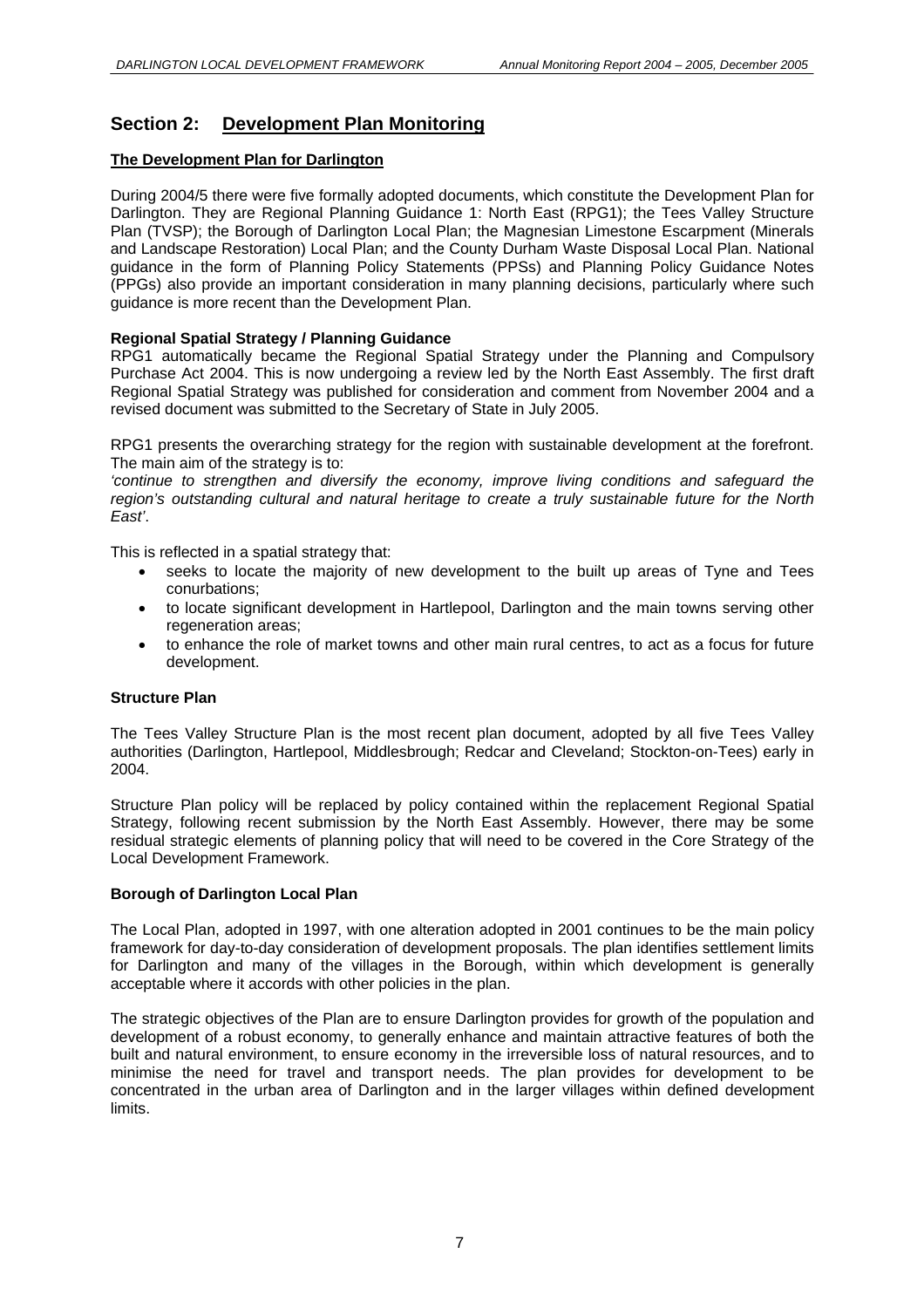# **Section 2: Development Plan Monitoring**

#### **The Development Plan for Darlington**

During 2004/5 there were five formally adopted documents, which constitute the Development Plan for Darlington. They are Regional Planning Guidance 1: North East (RPG1); the Tees Valley Structure Plan (TVSP); the Borough of Darlington Local Plan; the Magnesian Limestone Escarpment (Minerals and Landscape Restoration) Local Plan; and the County Durham Waste Disposal Local Plan. National guidance in the form of Planning Policy Statements (PPSs) and Planning Policy Guidance Notes (PPGs) also provide an important consideration in many planning decisions, particularly where such guidance is more recent than the Development Plan.

#### **Regional Spatial Strategy / Planning Guidance**

RPG1 automatically became the Regional Spatial Strategy under the Planning and Compulsory Purchase Act 2004. This is now undergoing a review led by the North East Assembly. The first draft Regional Spatial Strategy was published for consideration and comment from November 2004 and a revised document was submitted to the Secretary of State in July 2005.

RPG1 presents the overarching strategy for the region with sustainable development at the forefront. The main aim of the strategy is to:

*'continue to strengthen and diversify the economy, improve living conditions and safeguard the region's outstanding cultural and natural heritage to create a truly sustainable future for the North East'*.

This is reflected in a spatial strategy that:

- seeks to locate the majority of new development to the built up areas of Tyne and Tees conurbations;
- to locate significant development in Hartlepool, Darlington and the main towns serving other regeneration areas;
- to enhance the role of market towns and other main rural centres, to act as a focus for future development.

#### **Structure Plan**

The Tees Valley Structure Plan is the most recent plan document, adopted by all five Tees Valley authorities (Darlington, Hartlepool, Middlesbrough; Redcar and Cleveland; Stockton-on-Tees) early in 2004.

Structure Plan policy will be replaced by policy contained within the replacement Regional Spatial Strategy, following recent submission by the North East Assembly. However, there may be some residual strategic elements of planning policy that will need to be covered in the Core Strategy of the Local Development Framework.

#### **Borough of Darlington Local Plan**

The Local Plan, adopted in 1997, with one alteration adopted in 2001 continues to be the main policy framework for day-to-day consideration of development proposals. The plan identifies settlement limits for Darlington and many of the villages in the Borough, within which development is generally acceptable where it accords with other policies in the plan.

The strategic objectives of the Plan are to ensure Darlington provides for growth of the population and development of a robust economy, to generally enhance and maintain attractive features of both the built and natural environment, to ensure economy in the irreversible loss of natural resources, and to minimise the need for travel and transport needs. The plan provides for development to be concentrated in the urban area of Darlington and in the larger villages within defined development limits.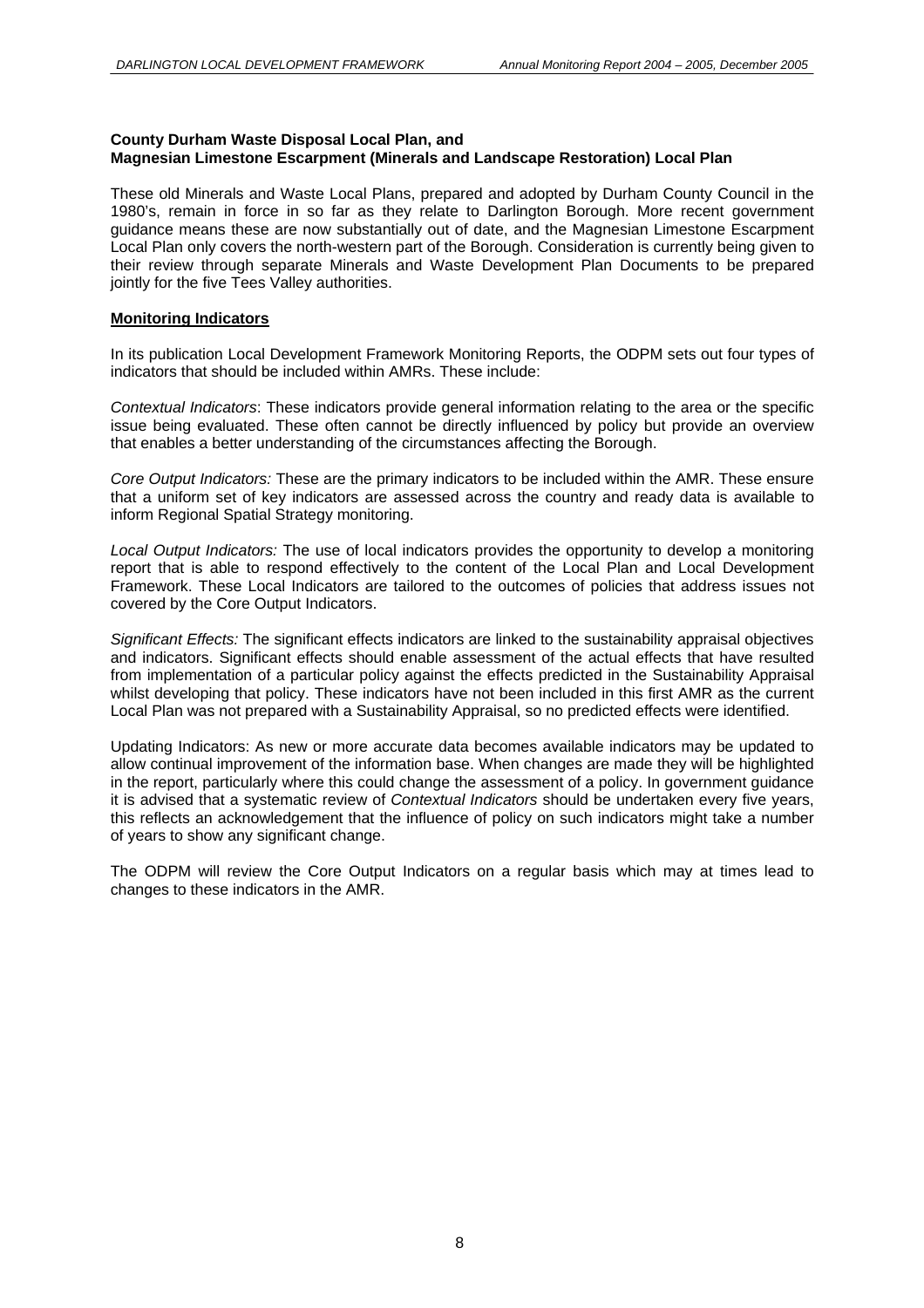#### **County Durham Waste Disposal Local Plan, and Magnesian Limestone Escarpment (Minerals and Landscape Restoration) Local Plan**

These old Minerals and Waste Local Plans, prepared and adopted by Durham County Council in the 1980's, remain in force in so far as they relate to Darlington Borough. More recent government guidance means these are now substantially out of date, and the Magnesian Limestone Escarpment Local Plan only covers the north-western part of the Borough. Consideration is currently being given to their review through separate Minerals and Waste Development Plan Documents to be prepared jointly for the five Tees Valley authorities.

#### **Monitoring Indicators**

In its publication Local Development Framework Monitoring Reports, the ODPM sets out four types of indicators that should be included within AMRs. These include:

*Contextual Indicators*: These indicators provide general information relating to the area or the specific issue being evaluated. These often cannot be directly influenced by policy but provide an overview that enables a better understanding of the circumstances affecting the Borough.

*Core Output Indicators:* These are the primary indicators to be included within the AMR. These ensure that a uniform set of key indicators are assessed across the country and ready data is available to inform Regional Spatial Strategy monitoring.

*Local Output Indicators:* The use of local indicators provides the opportunity to develop a monitoring report that is able to respond effectively to the content of the Local Plan and Local Development Framework. These Local Indicators are tailored to the outcomes of policies that address issues not covered by the Core Output Indicators.

*Significant Effects:* The significant effects indicators are linked to the sustainability appraisal objectives and indicators. Significant effects should enable assessment of the actual effects that have resulted from implementation of a particular policy against the effects predicted in the Sustainability Appraisal whilst developing that policy. These indicators have not been included in this first AMR as the current Local Plan was not prepared with a Sustainability Appraisal, so no predicted effects were identified.

Updating Indicators: As new or more accurate data becomes available indicators may be updated to allow continual improvement of the information base. When changes are made they will be highlighted in the report, particularly where this could change the assessment of a policy. In government guidance it is advised that a systematic review of *Contextual Indicators* should be undertaken every five years, this reflects an acknowledgement that the influence of policy on such indicators might take a number of years to show any significant change.

The ODPM will review the Core Output Indicators on a regular basis which may at times lead to changes to these indicators in the AMR.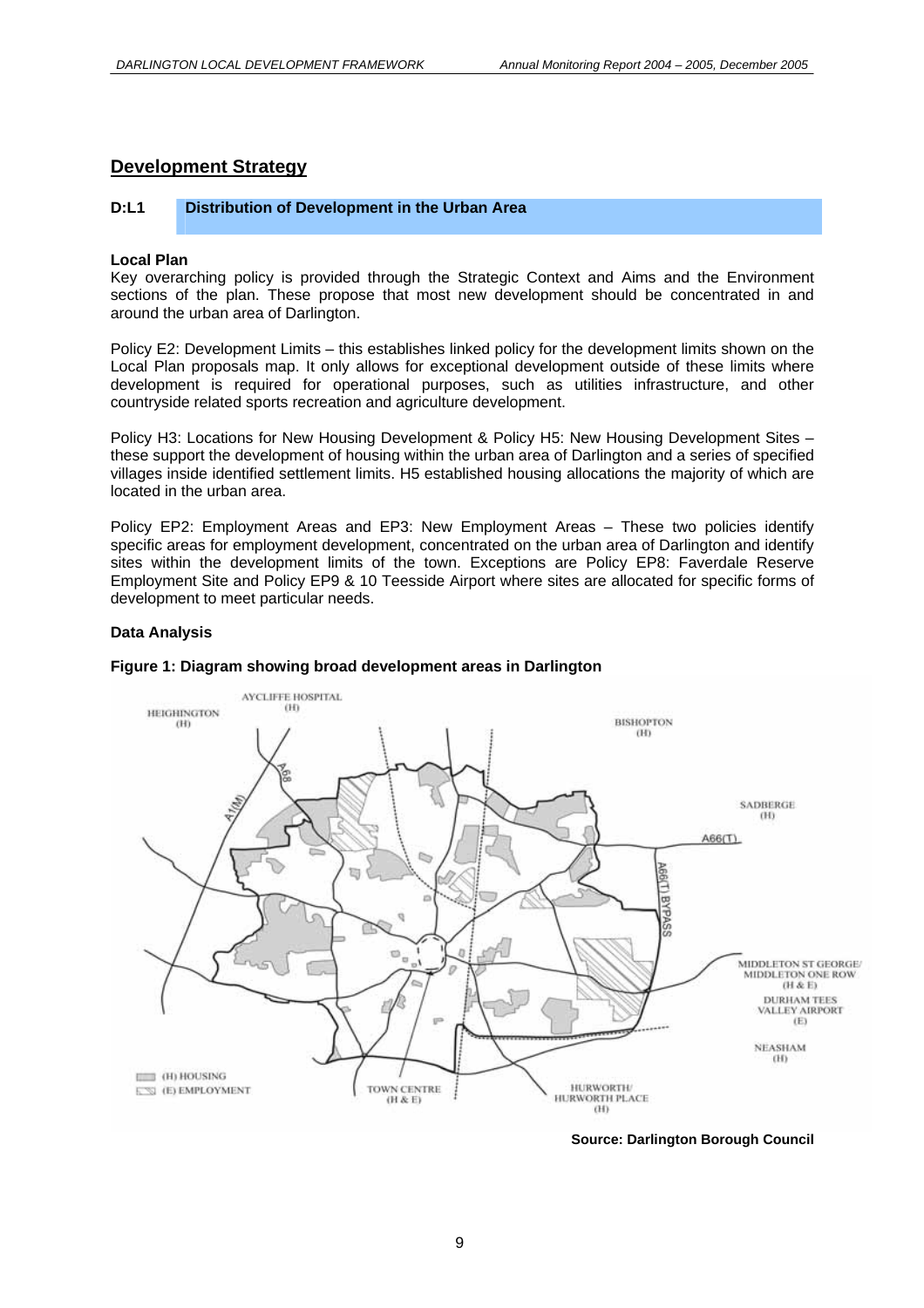#### **Development Strategy**

#### **D:L1 Distribution of Development in the Urban Area**

#### **Local Plan**

Key overarching policy is provided through the Strategic Context and Aims and the Environment sections of the plan. These propose that most new development should be concentrated in and around the urban area of Darlington.

Policy E2: Development Limits – this establishes linked policy for the development limits shown on the Local Plan proposals map. It only allows for exceptional development outside of these limits where development is required for operational purposes, such as utilities infrastructure, and other countryside related sports recreation and agriculture development.

Policy H3: Locations for New Housing Development & Policy H5: New Housing Development Sites – these support the development of housing within the urban area of Darlington and a series of specified villages inside identified settlement limits. H5 established housing allocations the majority of which are located in the urban area.

Policy EP2: Employment Areas and EP3: New Employment Areas – These two policies identify specific areas for employment development, concentrated on the urban area of Darlington and identify sites within the development limits of the town. Exceptions are Policy EP8: Faverdale Reserve Employment Site and Policy EP9 & 10 Teesside Airport where sites are allocated for specific forms of development to meet particular needs.

#### **Data Analysis**



#### **Figure 1: Diagram showing broad development areas in Darlington**

**Source: Darlington Borough Council**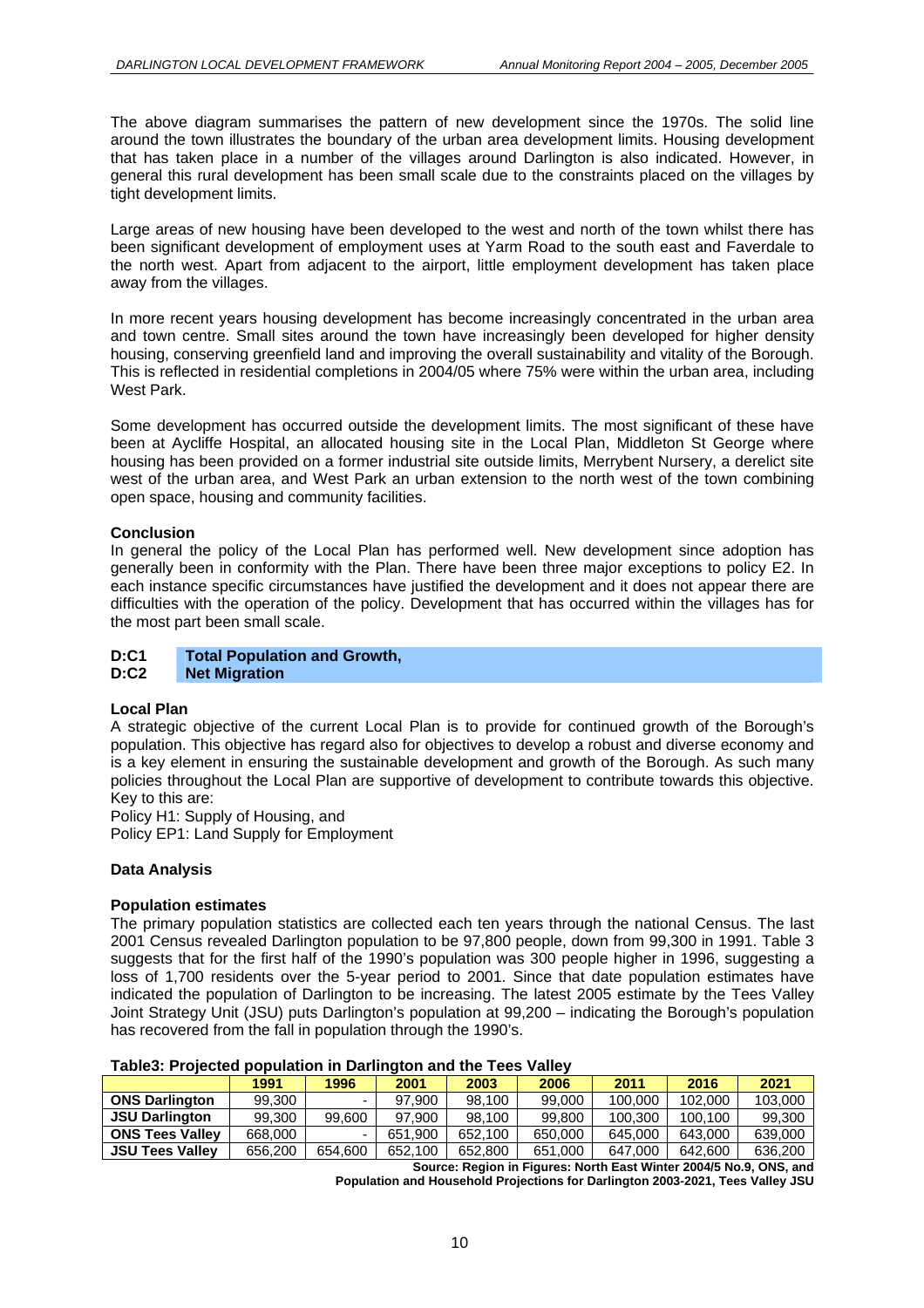The above diagram summarises the pattern of new development since the 1970s. The solid line around the town illustrates the boundary of the urban area development limits. Housing development that has taken place in a number of the villages around Darlington is also indicated. However, in general this rural development has been small scale due to the constraints placed on the villages by tight development limits.

Large areas of new housing have been developed to the west and north of the town whilst there has been significant development of employment uses at Yarm Road to the south east and Faverdale to the north west. Apart from adjacent to the airport, little employment development has taken place away from the villages.

In more recent years housing development has become increasingly concentrated in the urban area and town centre. Small sites around the town have increasingly been developed for higher density housing, conserving greenfield land and improving the overall sustainability and vitality of the Borough. This is reflected in residential completions in 2004/05 where 75% were within the urban area, including West Park.

Some development has occurred outside the development limits. The most significant of these have been at Aycliffe Hospital, an allocated housing site in the Local Plan, Middleton St George where housing has been provided on a former industrial site outside limits, Merrybent Nursery, a derelict site west of the urban area, and West Park an urban extension to the north west of the town combining open space, housing and community facilities.

#### **Conclusion**

In general the policy of the Local Plan has performed well. New development since adoption has generally been in conformity with the Plan. There have been three major exceptions to policy E2. In each instance specific circumstances have justified the development and it does not appear there are difficulties with the operation of the policy. Development that has occurred within the villages has for the most part been small scale.

#### **D:C1 Total Population and Growth, Net Migration**

#### **Local Plan**

A strategic objective of the current Local Plan is to provide for continued growth of the Borough's population. This objective has regard also for objectives to develop a robust and diverse economy and is a key element in ensuring the sustainable development and growth of the Borough. As such many policies throughout the Local Plan are supportive of development to contribute towards this objective. Key to this are:

Policy H1: Supply of Housing, and Policy EP1: Land Supply for Employment

#### **Data Analysis**

#### **Population estimates**

The primary population statistics are collected each ten years through the national Census. The last 2001 Census revealed Darlington population to be 97,800 people, down from 99,300 in 1991. Table 3 suggests that for the first half of the 1990's population was 300 people higher in 1996, suggesting a loss of 1,700 residents over the 5-year period to 2001. Since that date population estimates have indicated the population of Darlington to be increasing. The latest 2005 estimate by the Tees Valley Joint Strategy Unit (JSU) puts Darlington's population at 99,200 – indicating the Borough's population has recovered from the fall in population through the 1990's.

|                        | 1991    | 1996    | 2001    | 2003    | 2006    | 2011    | 2016    | 2021    |
|------------------------|---------|---------|---------|---------|---------|---------|---------|---------|
| <b>ONS Darlington</b>  | 99.300  | -       | 97.900  | 98.100  | 99.000  | 100.000 | 102.000 | 103,000 |
| <b>JSU Darlington</b>  | 99.300  | 99.600  | 97.900  | 98.100  | 99.800  | 100.300 | 100.100 | 99,300  |
| <b>ONS Tees Valley</b> | 668,000 |         | 651.900 | 652.100 | 650,000 | 645.000 | 643.000 | 639,000 |
| <b>JSU Tees Valley</b> | 656,200 | 654.600 | 652.100 | 652,800 | 651,000 | 647.000 | 642.600 | 636,200 |

#### **Table3: Projected population in Darlington and the Tees Valley**

**Source: Region in Figures: North East Winter 2004/5 No.9, ONS, and** 

**Population and Household Projections for Darlington 2003-2021, Tees Valley JSU**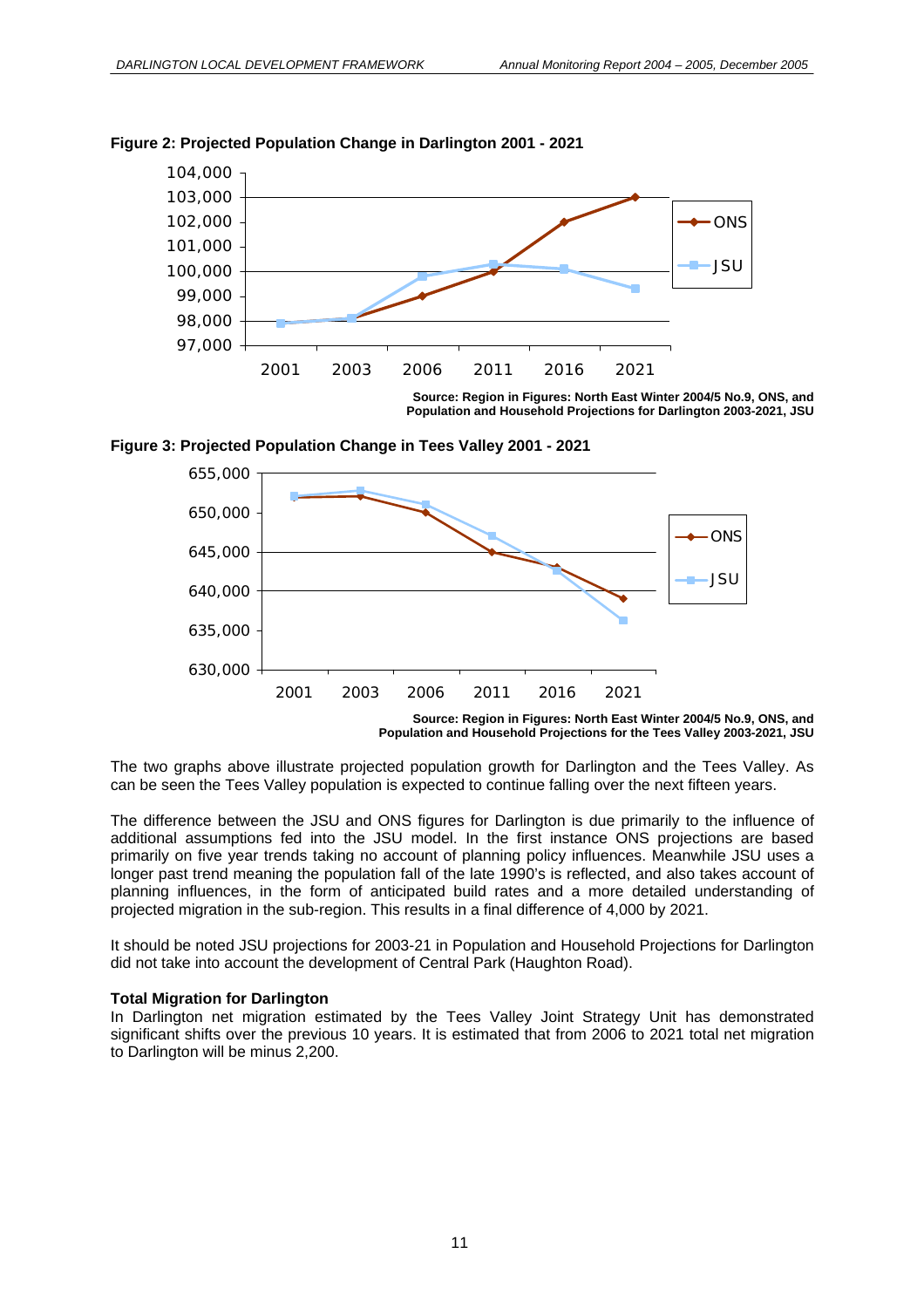

#### **Figure 2: Projected Population Change in Darlington 2001 - 2021**

**Source: Region in Figures: North East Winter 2004/5 No.9, ONS, and Population and Household Projections for Darlington 2003-2021, JSU** 





The two graphs above illustrate projected population growth for Darlington and the Tees Valley. As can be seen the Tees Valley population is expected to continue falling over the next fifteen years.

The difference between the JSU and ONS figures for Darlington is due primarily to the influence of additional assumptions fed into the JSU model. In the first instance ONS projections are based primarily on five year trends taking no account of planning policy influences. Meanwhile JSU uses a longer past trend meaning the population fall of the late 1990's is reflected, and also takes account of planning influences, in the form of anticipated build rates and a more detailed understanding of projected migration in the sub-region. This results in a final difference of 4,000 by 2021.

It should be noted JSU projections for 2003-21 in Population and Household Projections for Darlington did not take into account the development of Central Park (Haughton Road).

#### **Total Migration for Darlington**

In Darlington net migration estimated by the Tees Valley Joint Strategy Unit has demonstrated significant shifts over the previous 10 years. It is estimated that from 2006 to 2021 total net migration to Darlington will be minus 2,200.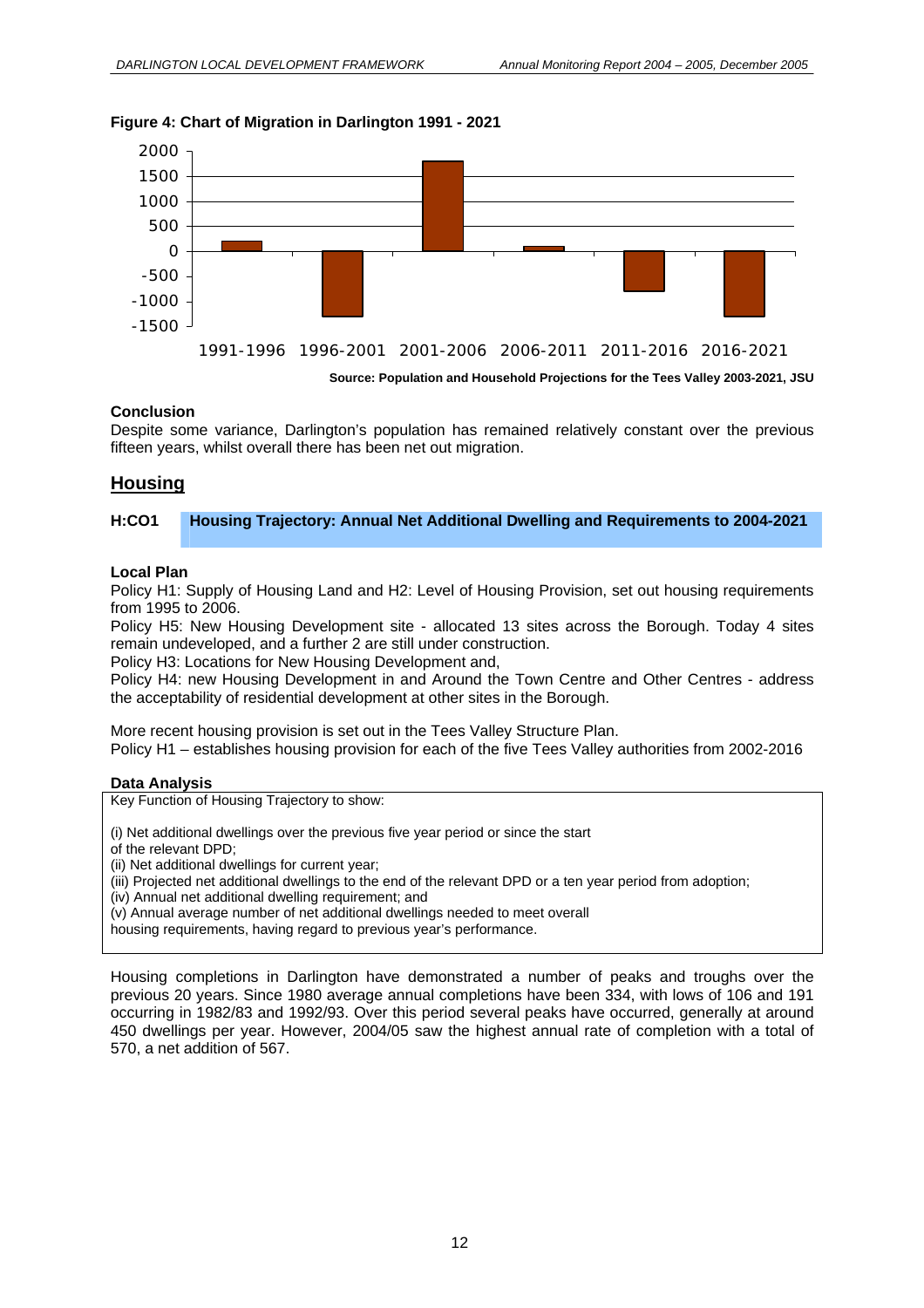#### **Figure 4: Chart of Migration in Darlington 1991 - 2021**



**Source: Population and Household Projections for the Tees Valley 2003-2021, JSU** 

#### **Conclusion**

Despite some variance, Darlington's population has remained relatively constant over the previous fifteen years, whilst overall there has been net out migration.

# **Housing**

#### **H:CO1 Housing Trajectory: Annual Net Additional Dwelling and Requirements to 2004-2021**

#### **Local Plan**

Policy H1: Supply of Housing Land and H2: Level of Housing Provision, set out housing requirements from 1995 to 2006.

Policy H5: New Housing Development site - allocated 13 sites across the Borough. Today 4 sites remain undeveloped, and a further 2 are still under construction.

Policy H3: Locations for New Housing Development and,

 Policy H4: new Housing Development in and Around the Town Centre and Other Centres - address the acceptability of residential development at other sites in the Borough.

More recent housing provision is set out in the Tees Valley Structure Plan. Policy H1 – establishes housing provision for each of the five Tees Valley authorities from 2002-2016

#### **Data Analysis**

Key Function of Housing Trajectory to show:

(i) Net additional dwellings over the previous five year period or since the start

of the relevant DPD;

(ii) Net additional dwellings for current year;

- (iii) Projected net additional dwellings to the end of the relevant DPD or a ten year period from adoption;
- (iv) Annual net additional dwelling requirement; and

(v) Annual average number of net additional dwellings needed to meet overall

housing requirements, having regard to previous year's performance.

Housing completions in Darlington have demonstrated a number of peaks and troughs over the previous 20 years. Since 1980 average annual completions have been 334, with lows of 106 and 191 occurring in 1982/83 and 1992/93. Over this period several peaks have occurred, generally at around 450 dwellings per year. However, 2004/05 saw the highest annual rate of completion with a total of 570, a net addition of 567.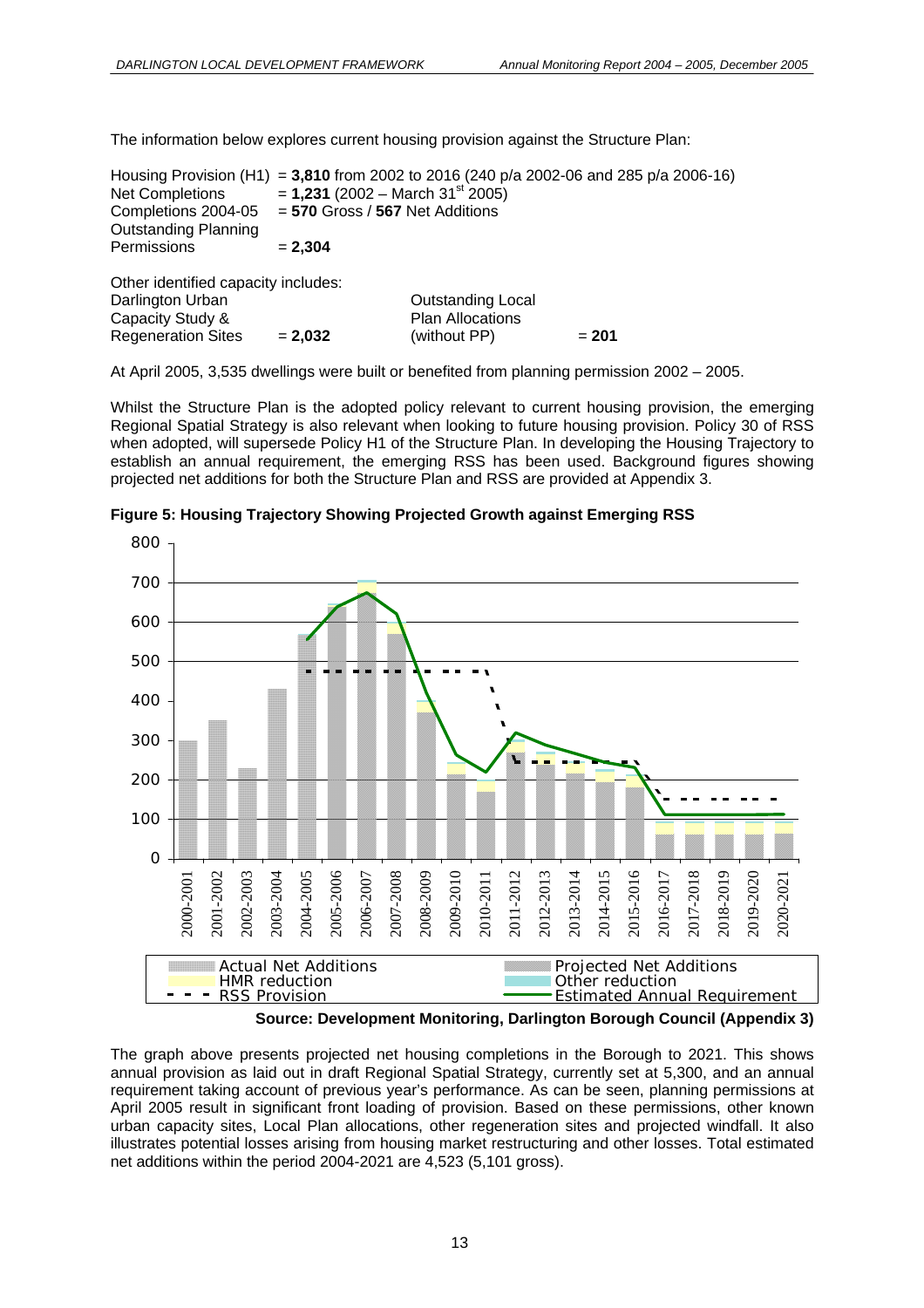The information below explores current housing provision against the Structure Plan:

|                                     |                                                | Housing Provision (H1) = 3,810 from 2002 to 2016 (240 p/a 2002-06 and 285 p/a 2006-16) |         |  |  |
|-------------------------------------|------------------------------------------------|----------------------------------------------------------------------------------------|---------|--|--|
| <b>Net Completions</b>              | $= 1,231$ (2002 – March 31 <sup>st</sup> 2005) |                                                                                        |         |  |  |
| Completions 2004-05                 | $= 570$ Gross / 567 Net Additions              |                                                                                        |         |  |  |
| <b>Outstanding Planning</b>         |                                                |                                                                                        |         |  |  |
| Permissions                         | $= 2.304$                                      |                                                                                        |         |  |  |
| Other identified capacity includes: |                                                |                                                                                        |         |  |  |
| Darlington Urban                    |                                                | <b>Outstanding Local</b>                                                               |         |  |  |
| Capacity Study &                    |                                                | <b>Plan Allocations</b>                                                                |         |  |  |
| <b>Regeneration Sites</b>           | $= 2.032$                                      | (without PP)                                                                           | $= 201$ |  |  |

At April 2005, 3,535 dwellings were built or benefited from planning permission 2002 – 2005.

Whilst the Structure Plan is the adopted policy relevant to current housing provision, the emerging Regional Spatial Strategy is also relevant when looking to future housing provision. Policy 30 of RSS when adopted, will supersede Policy H1 of the Structure Plan. In developing the Housing Trajectory to establish an annual requirement, the emerging RSS has been used. Background figures showing projected net additions for both the Structure Plan and RSS are provided at Appendix 3.



**Figure 5: Housing Trajectory Showing Projected Growth against Emerging RSS** 

**Source: Development Monitoring, Darlington Borough Council (Appendix 3)** 

The graph above presents projected net housing completions in the Borough to 2021. This shows annual provision as laid out in draft Regional Spatial Strategy, currently set at 5,300, and an annual requirement taking account of previous year's performance. As can be seen, planning permissions at April 2005 result in significant front loading of provision. Based on these permissions, other known urban capacity sites, Local Plan allocations, other regeneration sites and projected windfall. It also illustrates potential losses arising from housing market restructuring and other losses. Total estimated net additions within the period 2004-2021 are 4,523 (5,101 gross).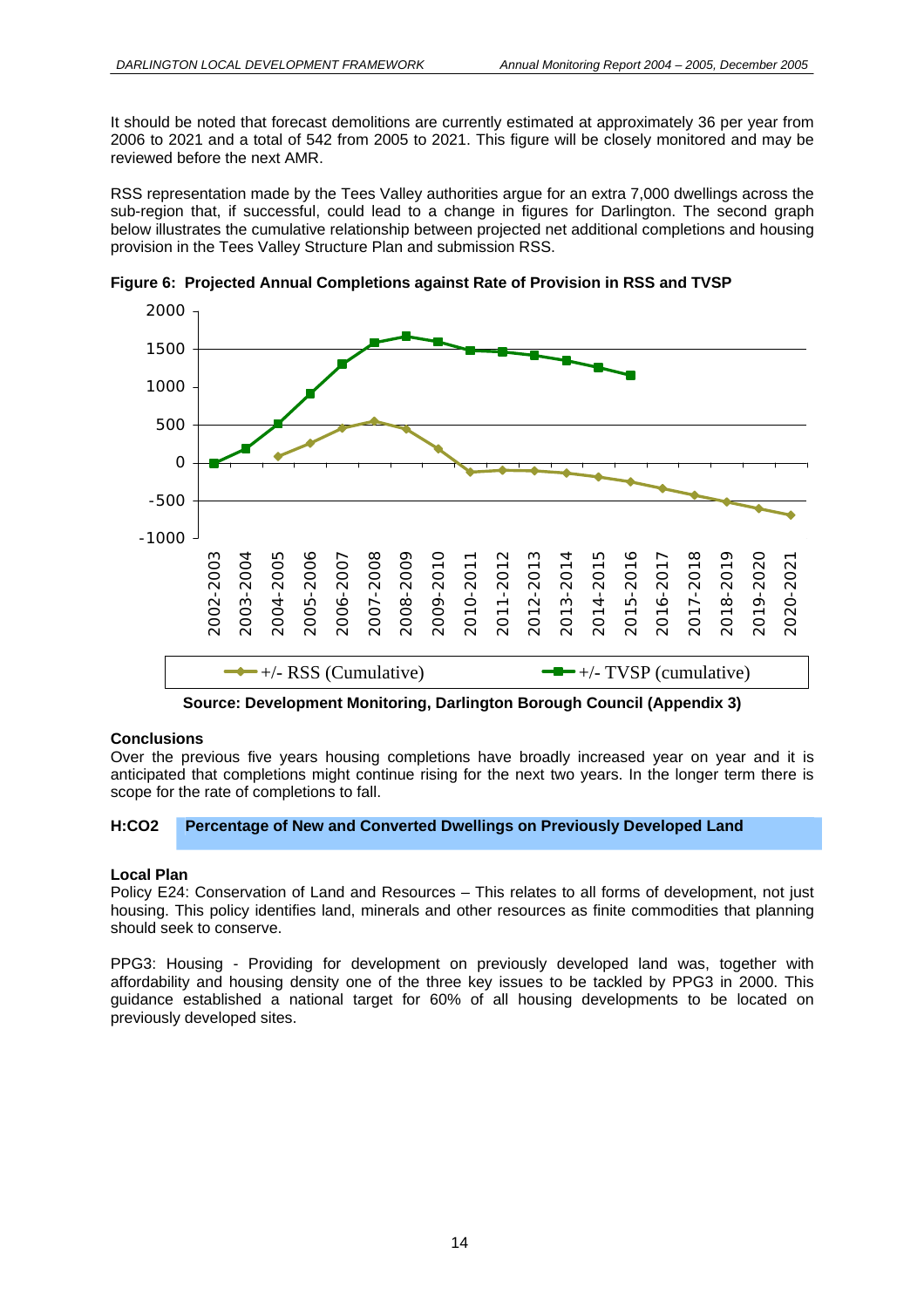It should be noted that forecast demolitions are currently estimated at approximately 36 per year from 2006 to 2021 and a total of 542 from 2005 to 2021. This figure will be closely monitored and may be reviewed before the next AMR.

RSS representation made by the Tees Valley authorities argue for an extra 7,000 dwellings across the sub-region that, if successful, could lead to a change in figures for Darlington. The second graph below illustrates the cumulative relationship between projected net additional completions and housing provision in the Tees Valley Structure Plan and submission RSS.



**Figure 6: Projected Annual Completions against Rate of Provision in RSS and TVSP** 

**Source: Development Monitoring, Darlington Borough Council (Appendix 3)** 

#### **Conclusions**

Over the previous five years housing completions have broadly increased year on year and it is anticipated that completions might continue rising for the next two years. In the longer term there is scope for the rate of completions to fall.

#### **H:CO2 Percentage of New and Converted Dwellings on Previously Developed Land**

#### **Local Plan**

Policy E24: Conservation of Land and Resources – This relates to all forms of development, not just housing. This policy identifies land, minerals and other resources as finite commodities that planning should seek to conserve.

PPG3: Housing - Providing for development on previously developed land was, together with affordability and housing density one of the three key issues to be tackled by PPG3 in 2000. This guidance established a national target for 60% of all housing developments to be located on previously developed sites.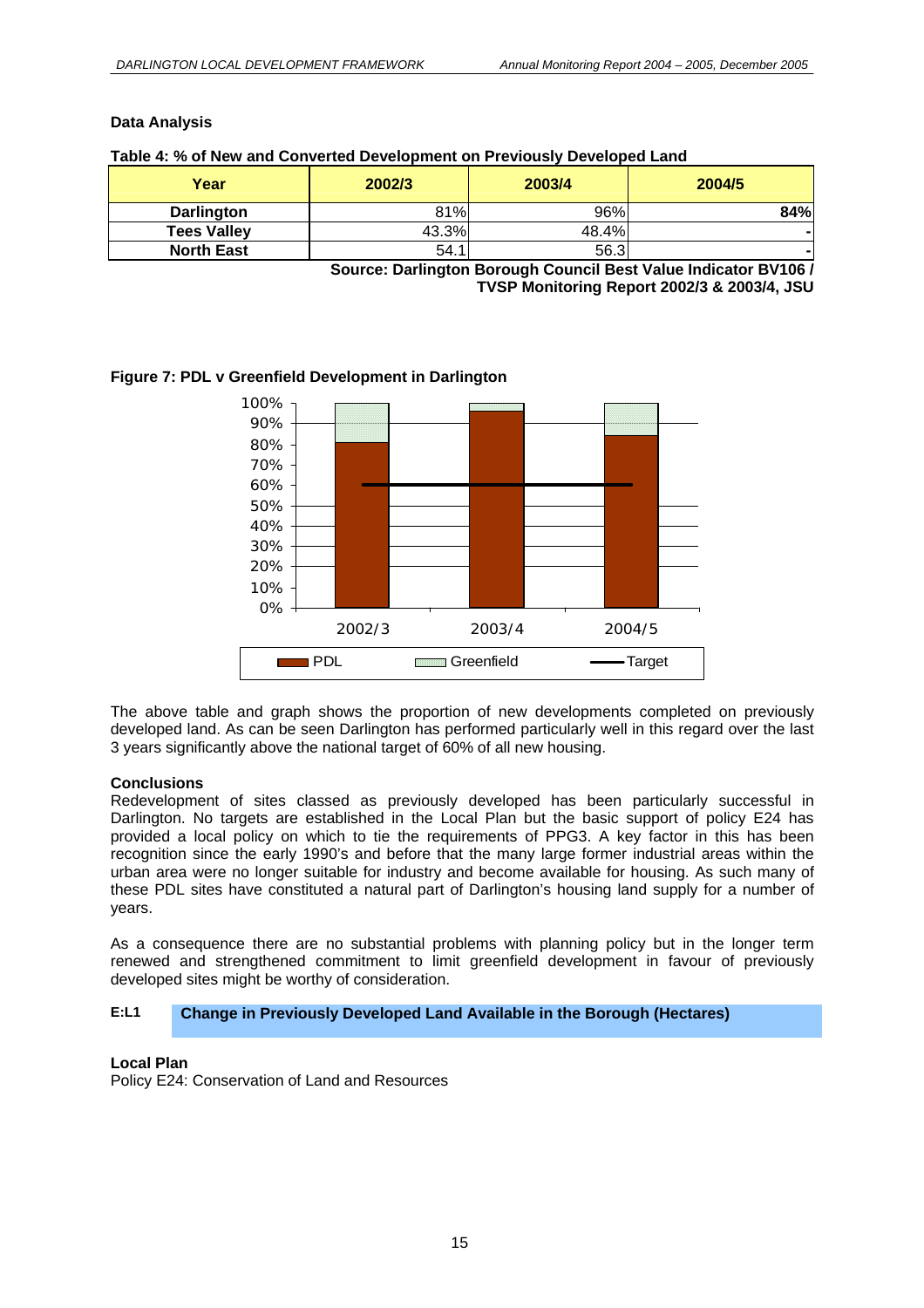#### **Data Analysis**

| Table 4: % of New and Converted Development on Previously Developed Land |  |  |
|--------------------------------------------------------------------------|--|--|
|--------------------------------------------------------------------------|--|--|

| 2002/3 | 2003/4                                         | 2004/5 |
|--------|------------------------------------------------|--------|
| 81%    | 96%                                            | 84%    |
| 43.3%  | 48.4%                                          |        |
| 54.1   | 56.3                                           |        |
|        | $\overline{\phantom{0}}$<br>.<br>$\sim$ $\sim$ | -- -   |

**Source: Darlington Borough Council Best Value Indicator BV106 / TVSP Monitoring Report 2002/3 & 2003/4, JSU** 



#### **Figure 7: PDL v Greenfield Development in Darlington**

The above table and graph shows the proportion of new developments completed on previously developed land. As can be seen Darlington has performed particularly well in this regard over the last 3 years significantly above the national target of 60% of all new housing.

#### **Conclusions**

Redevelopment of sites classed as previously developed has been particularly successful in Darlington. No targets are established in the Local Plan but the basic support of policy E24 has provided a local policy on which to tie the requirements of PPG3. A key factor in this has been recognition since the early 1990's and before that the many large former industrial areas within the urban area were no longer suitable for industry and become available for housing. As such many of these PDL sites have constituted a natural part of Darlington's housing land supply for a number of years.

As a consequence there are no substantial problems with planning policy but in the longer term renewed and strengthened commitment to limit greenfield development in favour of previously developed sites might be worthy of consideration.

#### **E:L1 Change in Previously Developed Land Available in the Borough (Hectares)**

#### **Local Plan**

Policy E24: Conservation of Land and Resources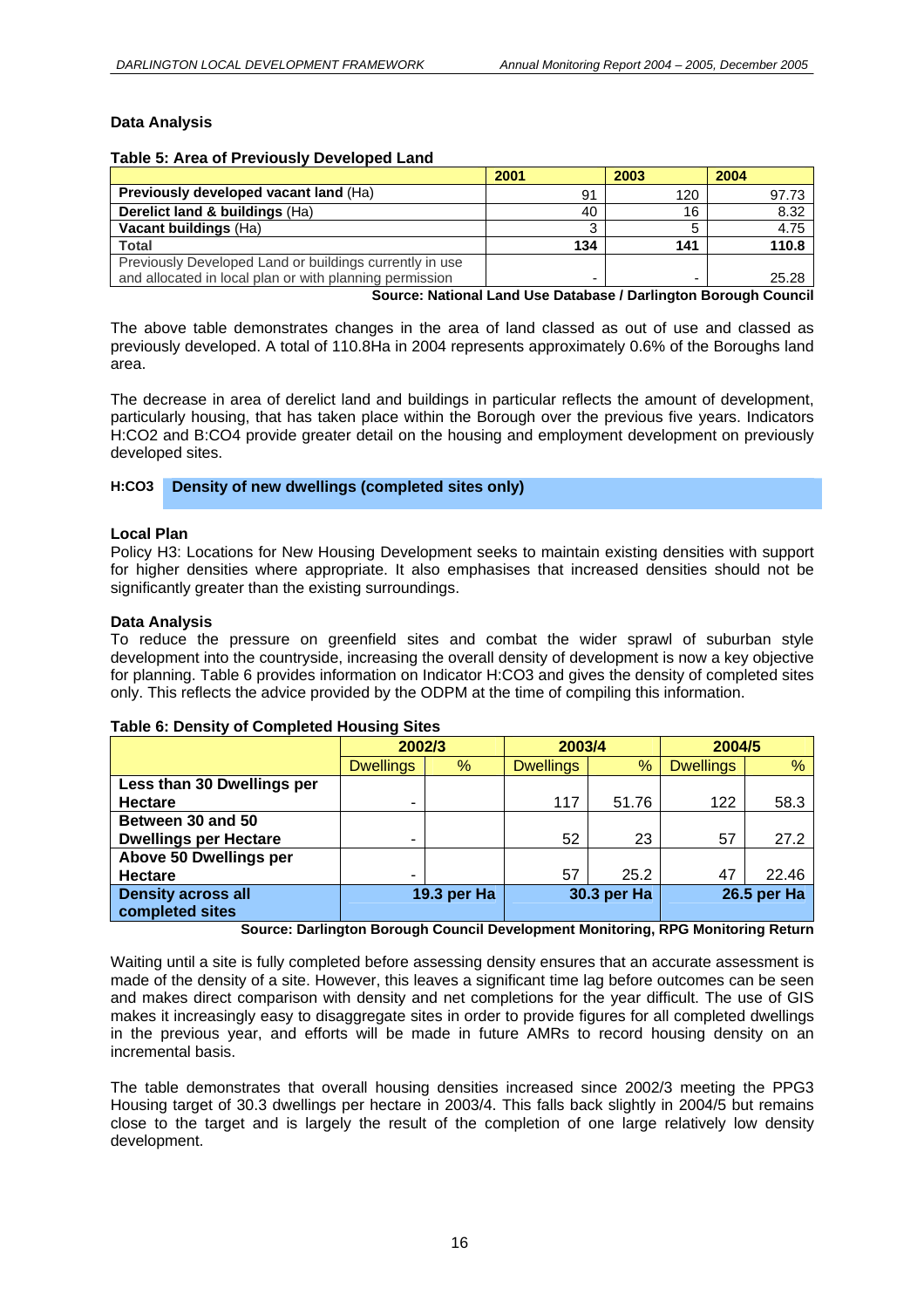#### **Data Analysis**

#### **Table 5: Area of Previously Developed Land**

|                                                                  | 2001 | 2003 | 2004  |  |  |
|------------------------------------------------------------------|------|------|-------|--|--|
| Previously developed vacant land (Ha)                            | 91   | 120  | 97.73 |  |  |
| Derelict land & buildings (Ha)                                   | 40   | 16   | 8.32  |  |  |
| Vacant buildings (Ha)                                            |      |      | 4.75  |  |  |
| <b>Total</b>                                                     | 134  | 141  | 110.8 |  |  |
| Previously Developed Land or buildings currently in use          |      |      |       |  |  |
| and allocated in local plan or with planning permission          |      |      | 25.28 |  |  |
| Source: National Land Llee Database / Darlington Borough Council |      |      |       |  |  |

**Source: National Land Use Database / Darlington Borough Council** 

The above table demonstrates changes in the area of land classed as out of use and classed as previously developed. A total of 110.8Ha in 2004 represents approximately 0.6% of the Boroughs land area.

The decrease in area of derelict land and buildings in particular reflects the amount of development, particularly housing, that has taken place within the Borough over the previous five years. Indicators H:CO2 and B:CO4 provide greater detail on the housing and employment development on previously developed sites.

#### **H:CO3 Density of new dwellings (completed sites only)**

#### **Local Plan**

Policy H3: Locations for New Housing Development seeks to maintain existing densities with support for higher densities where appropriate. It also emphasises that increased densities should not be significantly greater than the existing surroundings.

#### **Data Analysis**

To reduce the pressure on greenfield sites and combat the wider sprawl of suburban style development into the countryside, increasing the overall density of development is now a key objective for planning. Table 6 provides information on Indicator H:CO3 and gives the density of completed sites only. This reflects the advice provided by the ODPM at the time of compiling this information.

#### **Table 6: Density of Completed Housing Sites**

|                              | 2002/3           |             | 2003/4           |             | 2004/5           |             |
|------------------------------|------------------|-------------|------------------|-------------|------------------|-------------|
|                              | <b>Dwellings</b> | %           | <b>Dwellings</b> | %           | <b>Dwellings</b> | %           |
| Less than 30 Dwellings per   |                  |             |                  |             |                  |             |
| <b>Hectare</b>               | ۰                |             | 117              | 51.76       | 122              | 58.3        |
| Between 30 and 50            |                  |             |                  |             |                  |             |
| <b>Dwellings per Hectare</b> | ۰                |             | 52               | 23          | 57               | 27.2        |
| Above 50 Dwellings per       |                  |             |                  |             |                  |             |
| <b>Hectare</b>               | ۰                |             | 57               | 25.2        | 47               | 22.46       |
| <b>Density across all</b>    |                  | 19.3 per Ha |                  | 30.3 per Ha |                  | 26.5 per Ha |
| completed sites              |                  |             |                  |             |                  |             |

**Source: Darlington Borough Council Development Monitoring, RPG Monitoring Return** 

Waiting until a site is fully completed before assessing density ensures that an accurate assessment is made of the density of a site. However, this leaves a significant time lag before outcomes can be seen and makes direct comparison with density and net completions for the year difficult. The use of GIS makes it increasingly easy to disaggregate sites in order to provide figures for all completed dwellings in the previous year, and efforts will be made in future AMRs to record housing density on an incremental basis.

The table demonstrates that overall housing densities increased since 2002/3 meeting the PPG3 Housing target of 30.3 dwellings per hectare in 2003/4. This falls back slightly in 2004/5 but remains close to the target and is largely the result of the completion of one large relatively low density development.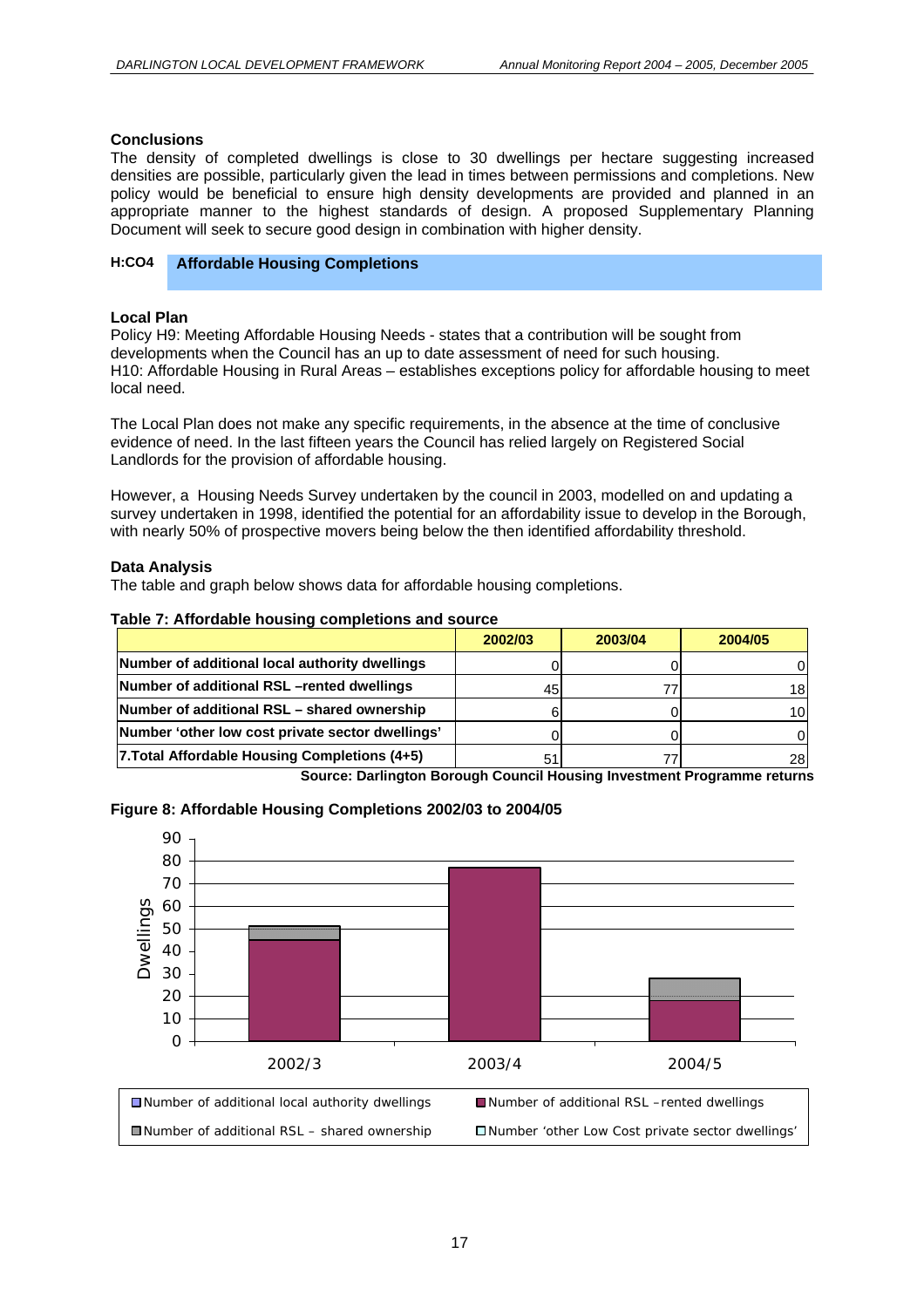#### **Conclusions**

The density of completed dwellings is close to 30 dwellings per hectare suggesting increased densities are possible, particularly given the lead in times between permissions and completions. New policy would be beneficial to ensure high density developments are provided and planned in an appropriate manner to the highest standards of design. A proposed Supplementary Planning Document will seek to secure good design in combination with higher density.

#### **H:CO4 Affordable Housing Completions**

#### **Local Plan**

Policy H9: Meeting Affordable Housing Needs - states that a contribution will be sought from developments when the Council has an up to date assessment of need for such housing. H10: Affordable Housing in Rural Areas – establishes exceptions policy for affordable housing to meet local need.

The Local Plan does not make any specific requirements, in the absence at the time of conclusive evidence of need. In the last fifteen years the Council has relied largely on Registered Social Landlords for the provision of affordable housing.

However, a Housing Needs Survey undertaken by the council in 2003, modelled on and updating a survey undertaken in 1998, identified the potential for an affordability issue to develop in the Borough, with nearly 50% of prospective movers being below the then identified affordability threshold.

#### **Data Analysis**

The table and graph below shows data for affordable housing completions.

#### **Table 7: Affordable housing completions and source**

|                                                  | 2002/03 | 2003/04 | 2004/05 |
|--------------------------------------------------|---------|---------|---------|
| Number of additional local authority dwellings   |         |         |         |
| Number of additional RSL-rented dwellings        | 45      |         | 18      |
| Number of additional RSL – shared ownership      |         |         | 10ì     |
| Number 'other low cost private sector dwellings' |         |         |         |
| 7. Total Affordable Housing Completions (4+5)    | 51      |         | 28      |

**Source: Darlington Borough Council Housing Investment Programme returns** 

#### **Figure 8: Affordable Housing Completions 2002/03 to 2004/05**

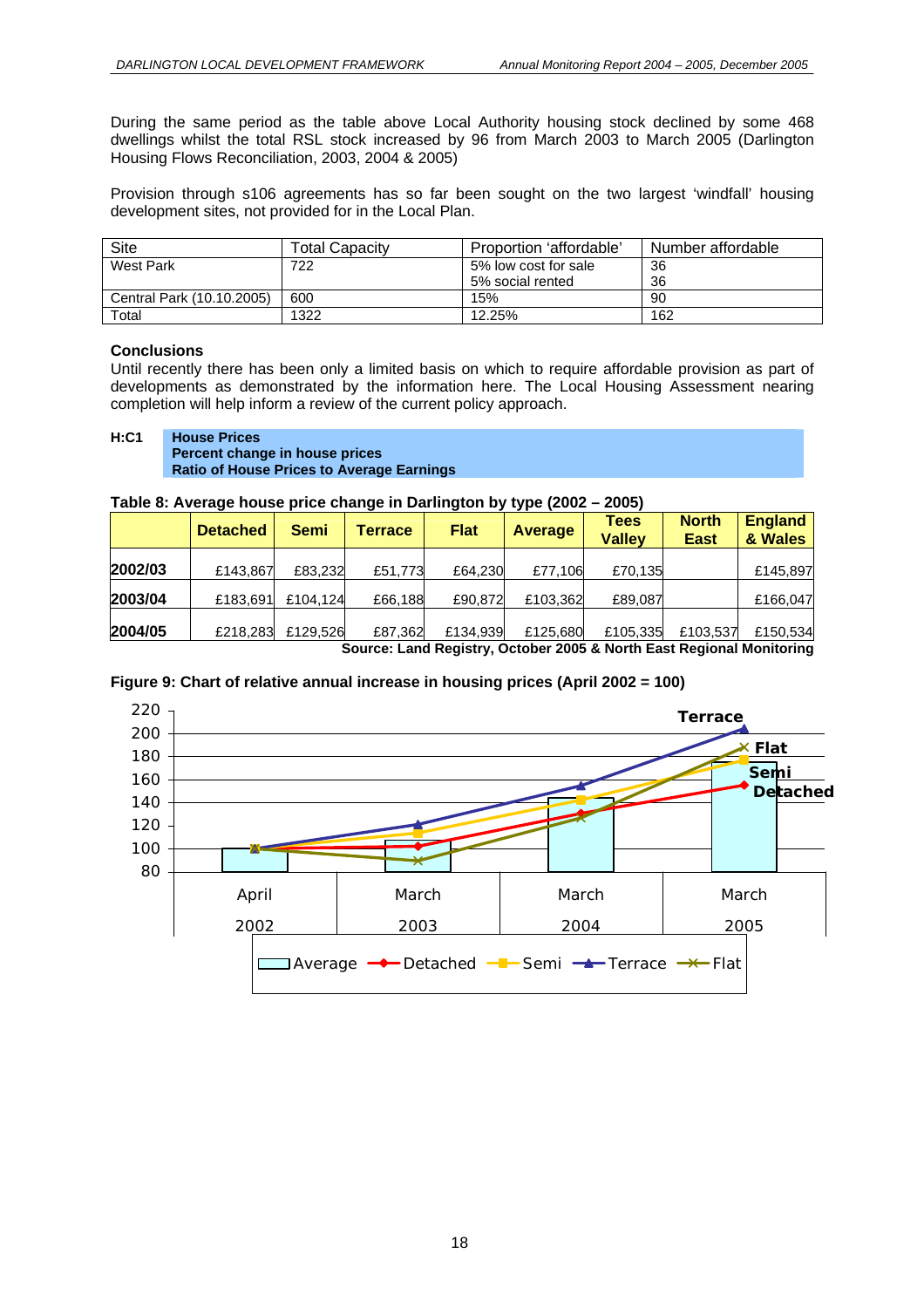During the same period as the table above Local Authority housing stock declined by some 468 dwellings whilst the total RSL stock increased by 96 from March 2003 to March 2005 (Darlington Housing Flows Reconciliation, 2003, 2004 & 2005)

Provision through s106 agreements has so far been sought on the two largest 'windfall' housing development sites, not provided for in the Local Plan.

| Site                      | Total Capacitv | Proportion 'affordable' | Number affordable |
|---------------------------|----------------|-------------------------|-------------------|
| West Park                 | 722            | 5% low cost for sale    | 36                |
|                           |                | 5% social rented        | 36                |
| Central Park (10.10.2005) | 600            | 15%                     | 90                |
| $\tau$ otal               | 1322           | 12.25%                  | 162               |

#### **Conclusions**

Until recently there has been only a limited basis on which to require affordable provision as part of developments as demonstrated by the information here. The Local Housing Assessment nearing completion will help inform a review of the current policy approach.

#### **H:C1 House Prices Percent change in house prices Ratio of House Prices to Average Earnings**

#### **Table 8: Average house price change in Darlington by type (2002 – 2005)**

|         | <b>Detached</b> | <b>Semi</b> | Terrace | <b>Flat</b> | <b>Average</b> | Tees<br><b>Valley</b>                                                                   | <b>North</b><br><b>East</b> | <b>England</b><br>& Wales |
|---------|-----------------|-------------|---------|-------------|----------------|-----------------------------------------------------------------------------------------|-----------------------------|---------------------------|
| 2002/03 | £143,867        | £83.232     | £51.773 | £64,230     | £77.106        | £70,135                                                                                 |                             | £145,897                  |
| 2003/04 | £183,691        | £104,124    | £66,188 | £90,872     | £103,362       | £89,087                                                                                 |                             | £166,047                  |
| 2004/05 | £218,283        | £129,526    | £87,362 | £134,939    | £125,680       | £105,335<br>On the collected Directors Ontaring AAAE A Neutring Director of Marchaelers | £103.537                    | £150,534                  |

**Source: Land Registry, October 2005 & North East Regional Monitoring** 

#### **Figure 9: Chart of relative annual increase in housing prices (April 2002 = 100)**

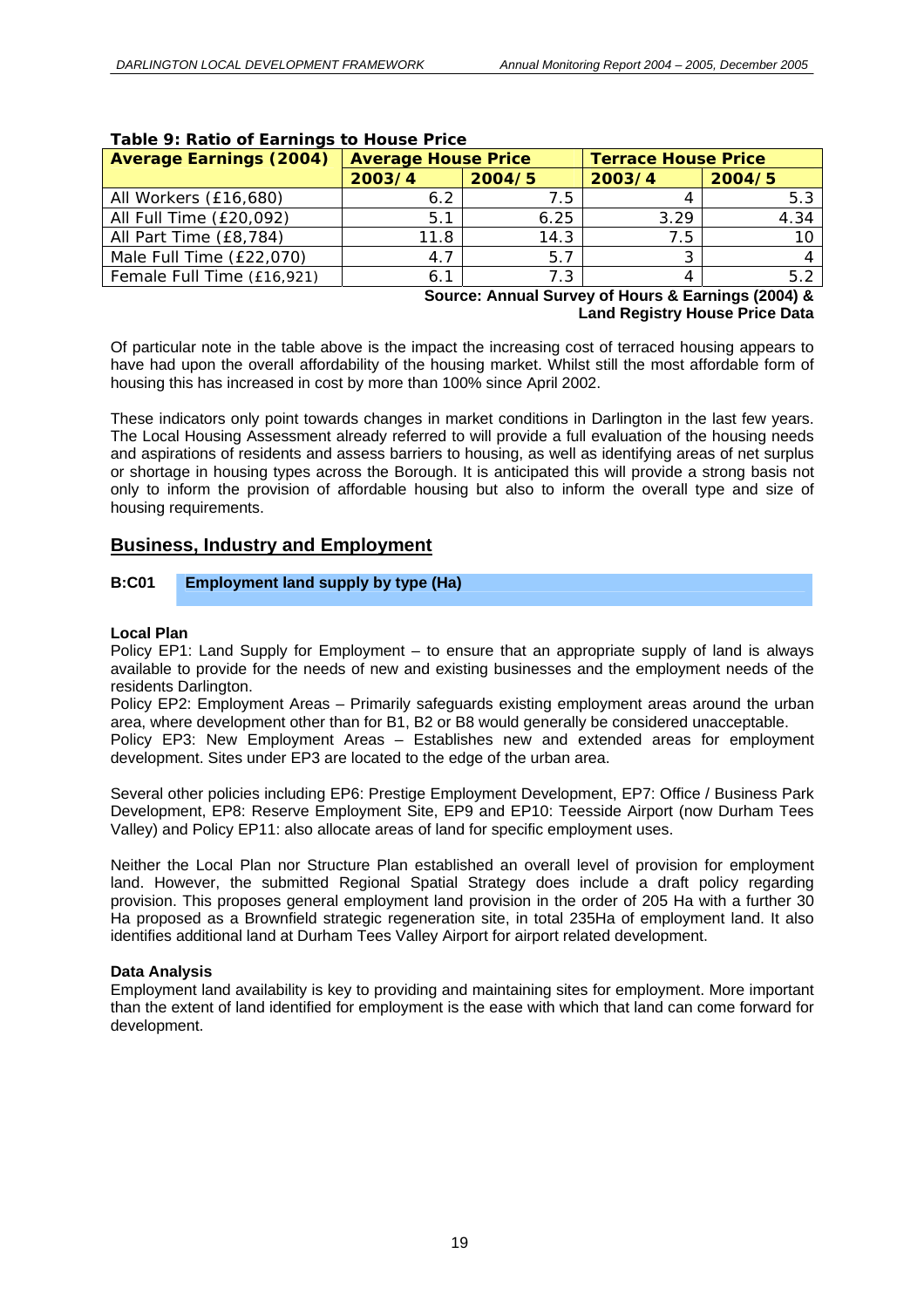| Average Earnings (2004)    | <b>Average House Price</b> |        | <b>Terrace House Price</b> |                |
|----------------------------|----------------------------|--------|----------------------------|----------------|
|                            | 2003/4                     | 2004/5 | 2003/4                     | 2004/5         |
| All Workers (£16,680)      | 6.2                        | 7.5    |                            | 5.3            |
| All Full Time (£20,092)    | 5.1                        | 6.25   | 3.29                       | 4.34           |
| All Part Time (£8,784)     | 11.8                       | 14.3   | 7.5                        |                |
| Male Full Time (£22,070)   | 4.7                        | 5.7    |                            | $\overline{4}$ |
| Female Full Time (£16,921) | 6.1                        | 7.3    |                            | 5.2            |

#### **Table 9: Ratio of Earnings to House Price**

**Source: Annual Survey of Hours & Earnings (2004) & Land Registry House Price Data** 

Of particular note in the table above is the impact the increasing cost of terraced housing appears to have had upon the overall affordability of the housing market. Whilst still the most affordable form of housing this has increased in cost by more than 100% since April 2002.

These indicators only point towards changes in market conditions in Darlington in the last few years. The Local Housing Assessment already referred to will provide a full evaluation of the housing needs and aspirations of residents and assess barriers to housing, as well as identifying areas of net surplus or shortage in housing types across the Borough. It is anticipated this will provide a strong basis not only to inform the provision of affordable housing but also to inform the overall type and size of housing requirements.

#### **Business, Industry and Employment**

#### **B:C01 Employment land supply by type (Ha)**

#### **Local Plan**

Policy EP1: Land Supply for Employment – to ensure that an appropriate supply of land is always available to provide for the needs of new and existing businesses and the employment needs of the residents Darlington.

Policy EP2: Employment Areas – Primarily safeguards existing employment areas around the urban area, where development other than for B1, B2 or B8 would generally be considered unacceptable.

Policy EP3: New Employment Areas – Establishes new and extended areas for employment development. Sites under EP3 are located to the edge of the urban area.

Several other policies including EP6: Prestige Employment Development, EP7: Office / Business Park Development, EP8: Reserve Employment Site, EP9 and EP10: Teesside Airport (now Durham Tees Valley) and Policy EP11: also allocate areas of land for specific employment uses.

Neither the Local Plan nor Structure Plan established an overall level of provision for employment land. However, the submitted Regional Spatial Strategy does include a draft policy regarding provision. This proposes general employment land provision in the order of 205 Ha with a further 30 Ha proposed as a Brownfield strategic regeneration site, in total 235Ha of employment land. It also identifies additional land at Durham Tees Valley Airport for airport related development.

#### **Data Analysis**

Employment land availability is key to providing and maintaining sites for employment. More important than the extent of land identified for employment is the ease with which that land can come forward for development.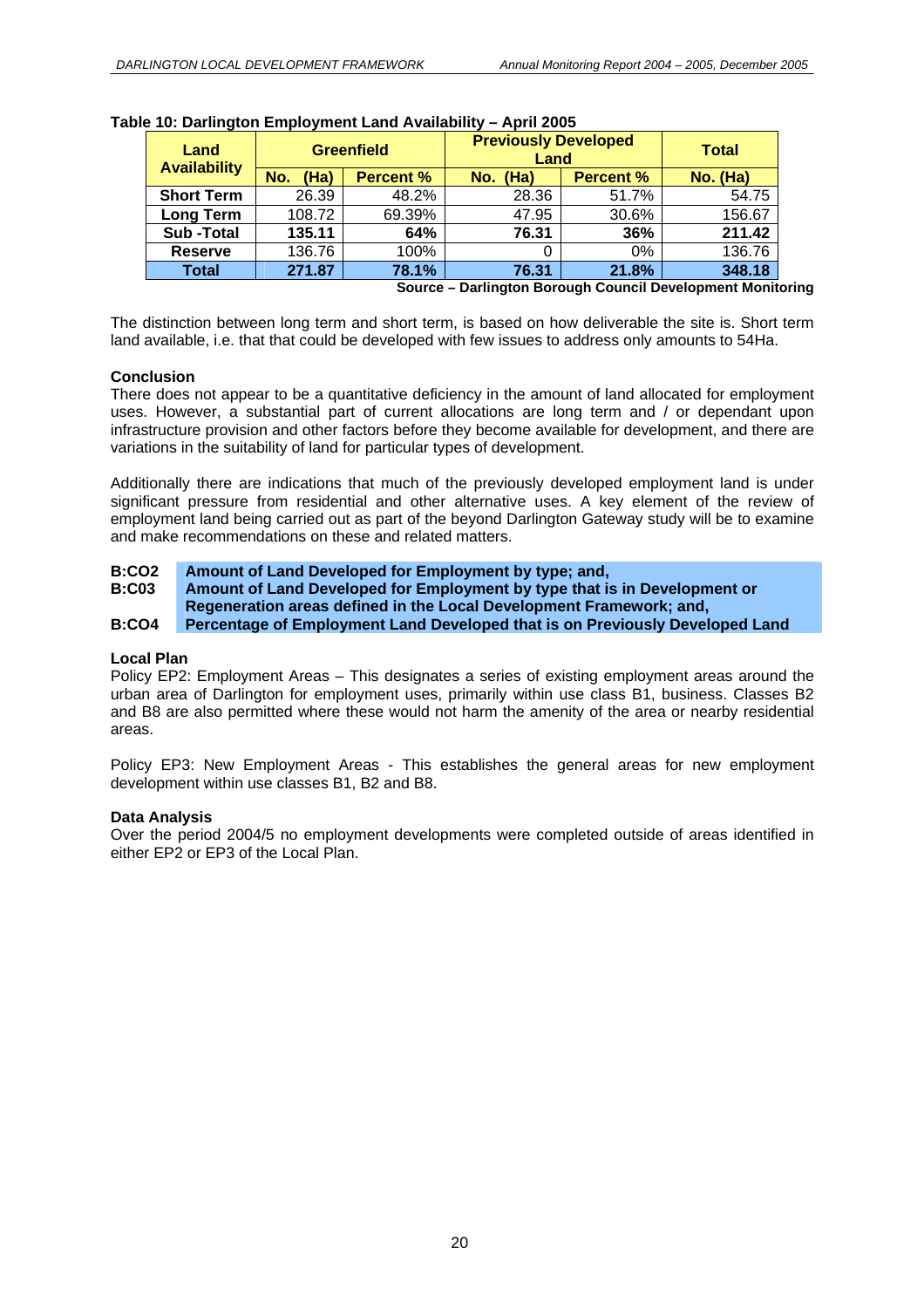| Land<br><b>Availability</b> | <b>Greenfield</b> |                  |          | <b>Previously Developed</b><br>Land |          |  |
|-----------------------------|-------------------|------------------|----------|-------------------------------------|----------|--|
|                             | (Ha)<br>No.       | <b>Percent %</b> | No. (Ha) | <b>Percent %</b>                    | No. (Ha) |  |
| <b>Short Term</b>           | 26.39             | 48.2%            | 28.36    | 51.7%                               | 54.75    |  |
| <b>Long Term</b>            | 108.72            | 69.39%           | 47.95    | 30.6%                               | 156.67   |  |
| <b>Sub-Total</b>            | 135.11            | 64%              | 76.31    | 36%                                 | 211.42   |  |
| <b>Reserve</b>              | 136.76            | 100%             |          | 0%                                  | 136.76   |  |
| <b>Total</b>                | 271.87            | 78.1%            | 76.31    | 21.8%                               | 348.18   |  |

|  | Table 10: Darlington Employment Land Availability - April 2005 |  |
|--|----------------------------------------------------------------|--|
|  |                                                                |  |

**Source – Darlington Borough Council Development Monitoring** 

The distinction between long term and short term, is based on how deliverable the site is. Short term land available, i.e. that that could be developed with few issues to address only amounts to 54Ha.

#### **Conclusion**

There does not appear to be a quantitative deficiency in the amount of land allocated for employment uses. However, a substantial part of current allocations are long term and / or dependant upon infrastructure provision and other factors before they become available for development, and there are variations in the suitability of land for particular types of development.

Additionally there are indications that much of the previously developed employment land is under significant pressure from residential and other alternative uses. A key element of the review of employment land being carried out as part of the beyond Darlington Gateway study will be to examine and make recommendations on these and related matters.

#### **B:CO2 Amount of Land Developed for Employment by type; and,**

**B:C03 Amount of Land Developed for Employment by type that is in Development or Regeneration areas defined in the Local Development Framework; and,** 

#### **B:CO4 Percentage of Employment Land Developed that is on Previously Developed Land**

#### **Local Plan**

Policy EP2: Employment Areas – This designates a series of existing employment areas around the urban area of Darlington for employment uses, primarily within use class B1, business. Classes B2 and B8 are also permitted where these would not harm the amenity of the area or nearby residential areas.

Policy EP3: New Employment Areas - This establishes the general areas for new employment development within use classes B1, B2 and B8.

#### **Data Analysis**

Over the period 2004/5 no employment developments were completed outside of areas identified in either EP2 or EP3 of the Local Plan.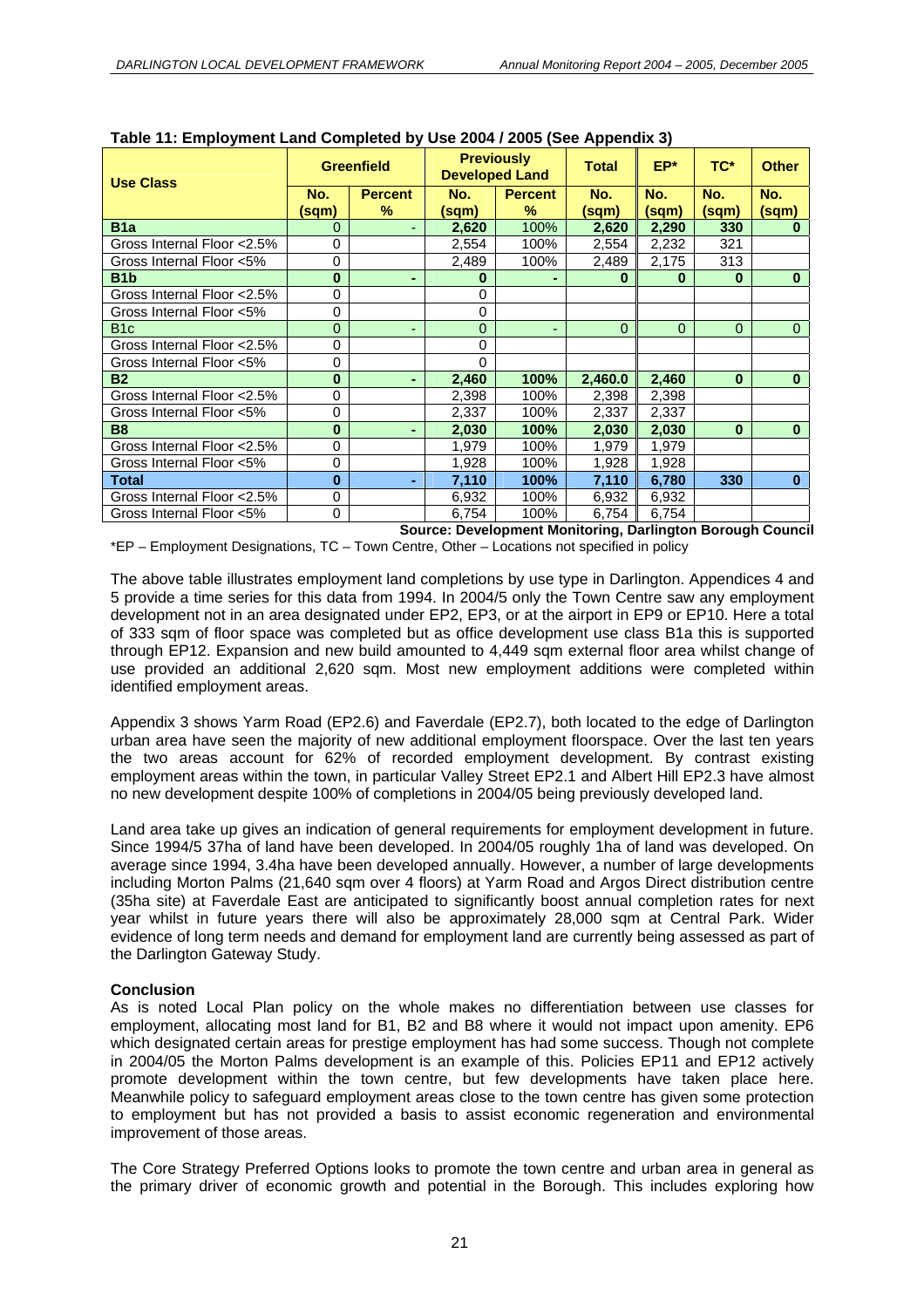| <b>Use Class</b>            |              | <b>Greenfield</b>   | <b>Previously</b><br><b>Developed Land</b> |                     | ---------------<br><b>Total</b> | EP*          | TC*          | <b>Other</b> |
|-----------------------------|--------------|---------------------|--------------------------------------------|---------------------|---------------------------------|--------------|--------------|--------------|
|                             | No.<br>(sqm) | <b>Percent</b><br>% | No.<br>(sqm)                               | <b>Percent</b><br>% | No.<br>(sqm)                    | No.<br>(sqm) | No.<br>(sqm) | No.<br>(sqm) |
| B <sub>1</sub> a            | 0            |                     | 2,620                                      | 100%                | 2,620                           | 2,290        | 330          | 0            |
| Gross Internal Floor < 2.5% | 0            |                     | 2,554                                      | 100%                | 2,554                           | 2,232        | 321          |              |
| Gross Internal Floor <5%    | 0            |                     | 2,489                                      | 100%                | 2,489                           | 2,175        | 313          |              |
| B <sub>1</sub> b            | $\bf{0}$     |                     | 0                                          |                     | $\bf{0}$                        | $\bf{0}$     | 0            | $\bf{0}$     |
| Gross Internal Floor < 2.5% | 0            |                     | 0                                          |                     |                                 |              |              |              |
| Gross Internal Floor <5%    | 0            |                     | 0                                          |                     |                                 |              |              |              |
| B <sub>1c</sub>             | 0            |                     | 0                                          |                     | $\Omega$                        | $\Omega$     | 0            | $\Omega$     |
| Gross Internal Floor < 2.5% | 0            |                     | 0                                          |                     |                                 |              |              |              |
| Gross Internal Floor <5%    | 0            |                     | 0                                          |                     |                                 |              |              |              |
| <b>B2</b>                   | $\bf{0}$     |                     | 2,460                                      | 100%                | 2,460.0                         | 2,460        | $\bf{0}$     | $\bf{0}$     |
| Gross Internal Floor < 2.5% | 0            |                     | 2,398                                      | 100%                | 2,398                           | 2,398        |              |              |
| Gross Internal Floor <5%    | 0            |                     | 2,337                                      | 100%                | 2,337                           | 2,337        |              |              |
| <b>B8</b>                   | $\bf{0}$     |                     | 2,030                                      | 100%                | 2,030                           | 2,030        | $\bf{0}$     | $\bf{0}$     |
| Gross Internal Floor < 2.5% | 0            |                     | 1,979                                      | 100%                | 1,979                           | 1,979        |              |              |
| Gross Internal Floor <5%    | 0            |                     | 1,928                                      | 100%                | 1,928                           | 1,928        |              |              |
| Total                       | $\bf{0}$     |                     | 7,110                                      | 100%                | 7,110                           | 6,780        | 330          | $\bf{0}$     |
| Gross Internal Floor < 2.5% | 0            |                     | 6,932                                      | 100%                | 6,932                           | 6,932        |              |              |
| Gross Internal Floor <5%    | $\mathbf 0$  |                     | 6,754                                      | 100%                | 6,754                           | 6,754        |              |              |

#### **Table 11: Employment Land Completed by Use 2004 / 2005 (See Appendix 3)**

**Source: Development Monitoring, Darlington Borough Council**  \*EP – Employment Designations, TC – Town Centre, Other – Locations not specified in policy

The above table illustrates employment land completions by use type in Darlington. Appendices 4 and 5 provide a time series for this data from 1994. In 2004/5 only the Town Centre saw any employment development not in an area designated under EP2, EP3, or at the airport in EP9 or EP10. Here a total of 333 sqm of floor space was completed but as office development use class B1a this is supported through EP12. Expansion and new build amounted to 4,449 sqm external floor area whilst change of use provided an additional 2,620 sqm. Most new employment additions were completed within identified employment areas.

Appendix 3 shows Yarm Road (EP2.6) and Faverdale (EP2.7), both located to the edge of Darlington urban area have seen the majority of new additional employment floorspace. Over the last ten years the two areas account for 62% of recorded employment development. By contrast existing employment areas within the town, in particular Valley Street EP2.1 and Albert Hill EP2.3 have almost no new development despite 100% of completions in 2004/05 being previously developed land.

Land area take up gives an indication of general requirements for employment development in future. Since 1994/5 37ha of land have been developed. In 2004/05 roughly 1ha of land was developed. On average since 1994, 3.4ha have been developed annually. However, a number of large developments including Morton Palms (21,640 sqm over 4 floors) at Yarm Road and Argos Direct distribution centre (35ha site) at Faverdale East are anticipated to significantly boost annual completion rates for next year whilst in future years there will also be approximately 28,000 sqm at Central Park. Wider evidence of long term needs and demand for employment land are currently being assessed as part of the Darlington Gateway Study.

#### **Conclusion**

As is noted Local Plan policy on the whole makes no differentiation between use classes for employment, allocating most land for B1, B2 and B8 where it would not impact upon amenity. EP6 which designated certain areas for prestige employment has had some success. Though not complete in 2004/05 the Morton Palms development is an example of this. Policies EP11 and EP12 actively promote development within the town centre, but few developments have taken place here. Meanwhile policy to safeguard employment areas close to the town centre has given some protection to employment but has not provided a basis to assist economic regeneration and environmental improvement of those areas.

The Core Strategy Preferred Options looks to promote the town centre and urban area in general as the primary driver of economic growth and potential in the Borough. This includes exploring how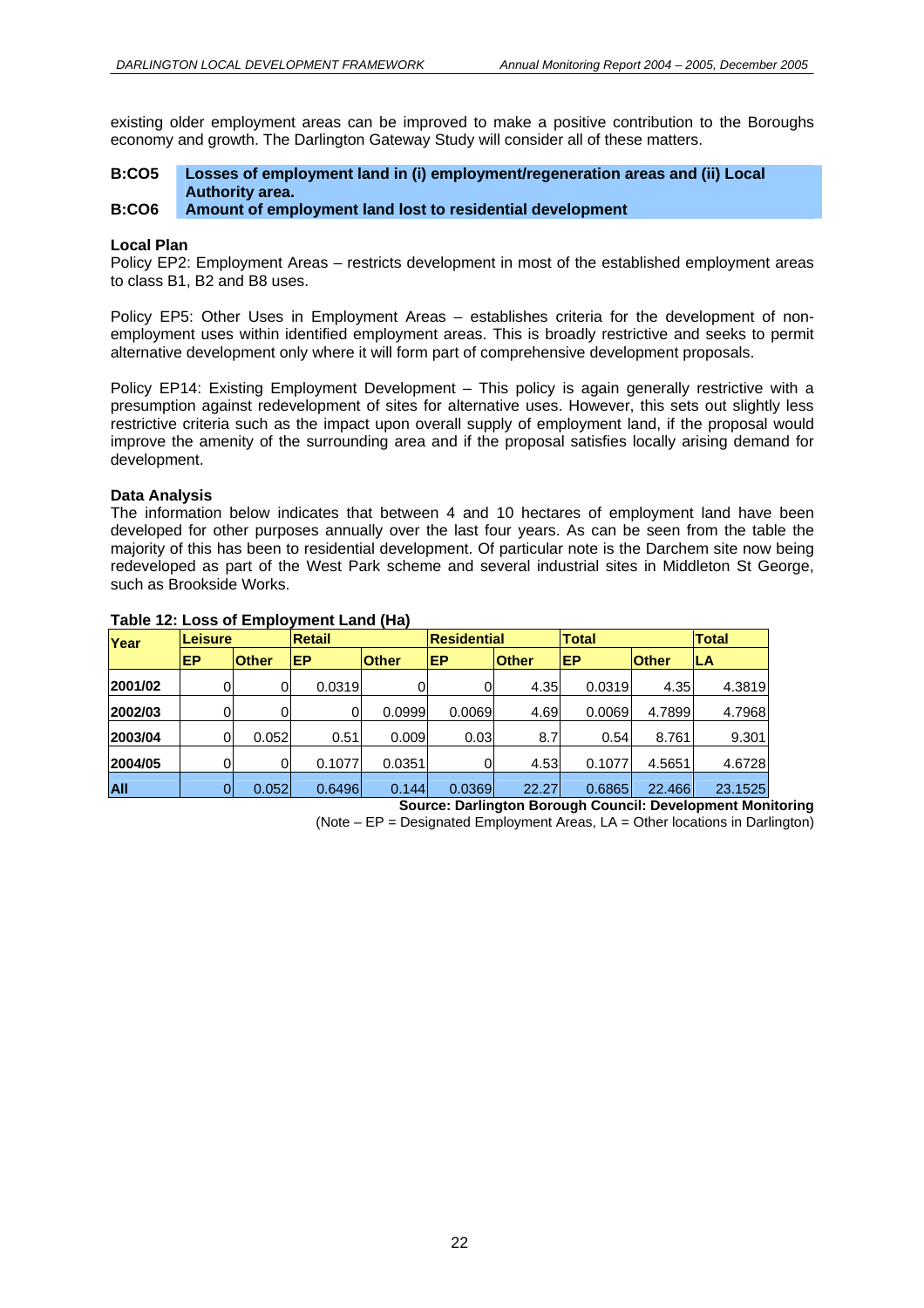existing older employment areas can be improved to make a positive contribution to the Boroughs economy and growth. The Darlington Gateway Study will consider all of these matters.

#### **B:CO5 Losses of employment land in (i) employment/regeneration areas and (ii) Local Authority area.**

#### **B:CO6 Amount of employment land lost to residential development**

#### **Local Plan**

Policy EP2: Employment Areas – restricts development in most of the established employment areas to class B1, B2 and B8 uses.

Policy EP5: Other Uses in Employment Areas – establishes criteria for the development of nonemployment uses within identified employment areas. This is broadly restrictive and seeks to permit alternative development only where it will form part of comprehensive development proposals.

Policy EP14: Existing Employment Development – This policy is again generally restrictive with a presumption against redevelopment of sites for alternative uses. However, this sets out slightly less restrictive criteria such as the impact upon overall supply of employment land, if the proposal would improve the amenity of the surrounding area and if the proposal satisfies locally arising demand for development.

#### **Data Analysis**

The information below indicates that between 4 and 10 hectares of employment land have been developed for other purposes annually over the last four years. As can be seen from the table the majority of this has been to residential development. Of particular note is the Darchem site now being redeveloped as part of the West Park scheme and several industrial sites in Middleton St George, such as Brookside Works.

| Year       | Leisure |              | <b>Retail</b> |              | <b>Total</b><br><b>Residential</b><br><b>Total</b> |              |        |              |         |
|------------|---------|--------------|---------------|--------------|----------------------------------------------------|--------------|--------|--------------|---------|
|            | EP      | <b>Other</b> | EP            | <b>Other</b> | EP                                                 | <b>Other</b> | EP     | <b>Other</b> | ILA     |
| 2001/02    |         | 0            | 0.0319        |              |                                                    | 4.35         | 0.0319 | 4.35         | 4.3819  |
| 2002/03    | 0       |              | $\Omega$      | 0.0999       | 0.0069                                             | 4.69         | 0.0069 | 4.7899       | 4.7968  |
| 2003/04    | 0       | 0.052        | 0.51          | 0.009        | 0.03                                               | 8.7          | 0.54   | 8.761        | 9.301   |
| 2004/05    |         | 0            | 0.1077        | 0.0351       | 0                                                  | 4.53         | 0.1077 | 4.5651       | 4.6728  |
| <b>AII</b> |         | 0.052        | 0.6496        | 0.144        | 0.0369                                             | 22.27        | 0.6865 | 22,466       | 23.1525 |

#### **Table 12: Loss of Employment Land (Ha)**

**Source: Darlington Borough Council: Development Monitoring** 

(Note – EP = Designated Employment Areas, LA = Other locations in Darlington)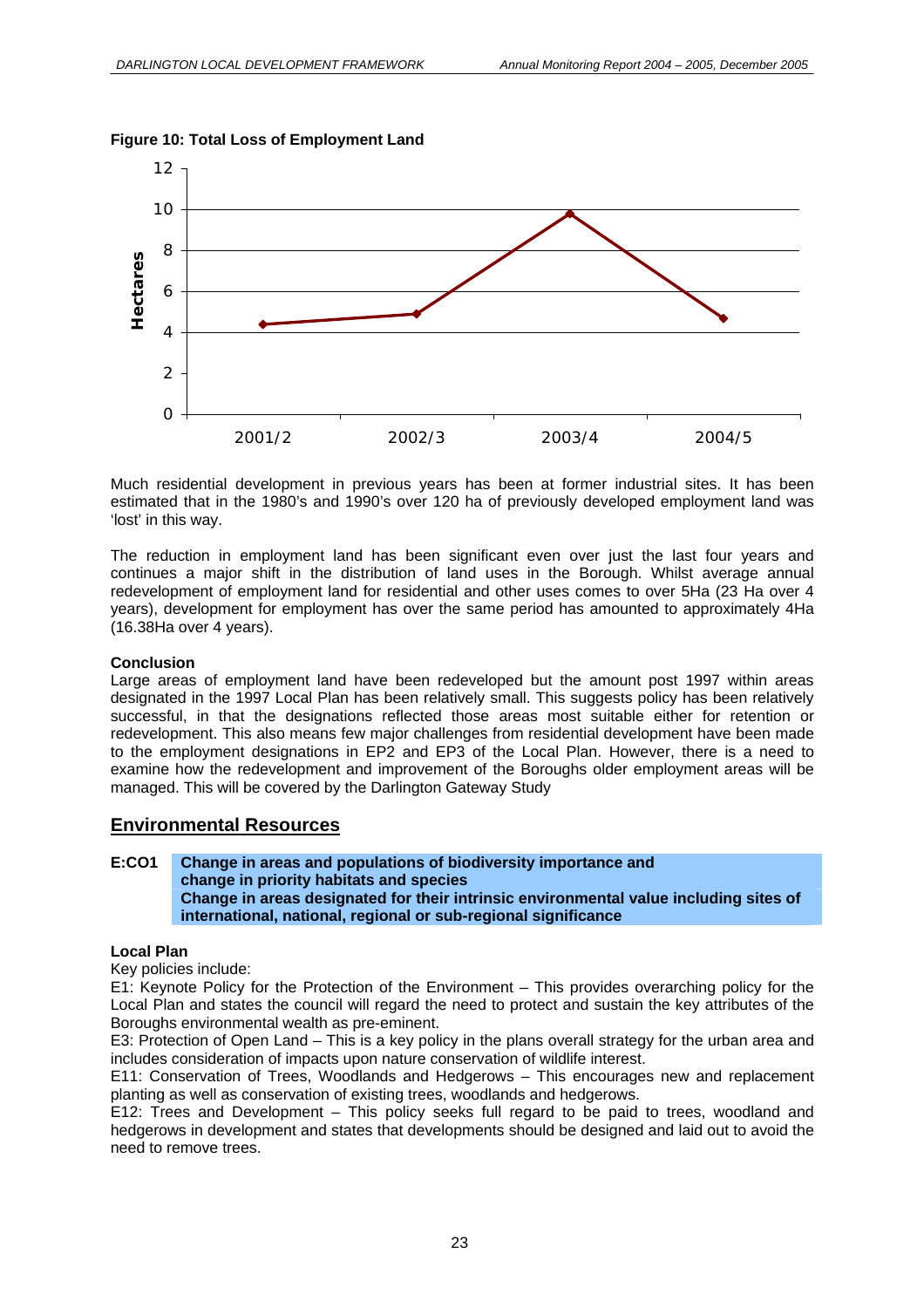

#### **Figure 10: Total Loss of Employment Land**

Much residential development in previous years has been at former industrial sites. It has been estimated that in the 1980's and 1990's over 120 ha of previously developed employment land was 'lost' in this way.

The reduction in employment land has been significant even over just the last four years and continues a major shift in the distribution of land uses in the Borough. Whilst average annual redevelopment of employment land for residential and other uses comes to over 5Ha (23 Ha over 4 years), development for employment has over the same period has amounted to approximately 4Ha (16.38Ha over 4 years).

#### **Conclusion**

Large areas of employment land have been redeveloped but the amount post 1997 within areas designated in the 1997 Local Plan has been relatively small. This suggests policy has been relatively successful, in that the designations reflected those areas most suitable either for retention or redevelopment. This also means few major challenges from residential development have been made to the employment designations in EP2 and EP3 of the Local Plan. However, there is a need to examine how the redevelopment and improvement of the Boroughs older employment areas will be managed. This will be covered by the Darlington Gateway Study

#### **Environmental Resources**

#### **Change in areas and populations of biodiversity importance and change in priority habitats and species E:CO1 Change in areas designated for their intrinsic environmental value including sites of international, national, regional or sub-regional significance**

#### **Local Plan**

Key policies include:

E1: Keynote Policy for the Protection of the Environment – This provides overarching policy for the Local Plan and states the council will regard the need to protect and sustain the key attributes of the Boroughs environmental wealth as pre-eminent.

E3: Protection of Open Land – This is a key policy in the plans overall strategy for the urban area and includes consideration of impacts upon nature conservation of wildlife interest.

E11: Conservation of Trees, Woodlands and Hedgerows – This encourages new and replacement planting as well as conservation of existing trees, woodlands and hedgerows.

E12: Trees and Development – This policy seeks full regard to be paid to trees, woodland and hedgerows in development and states that developments should be designed and laid out to avoid the need to remove trees.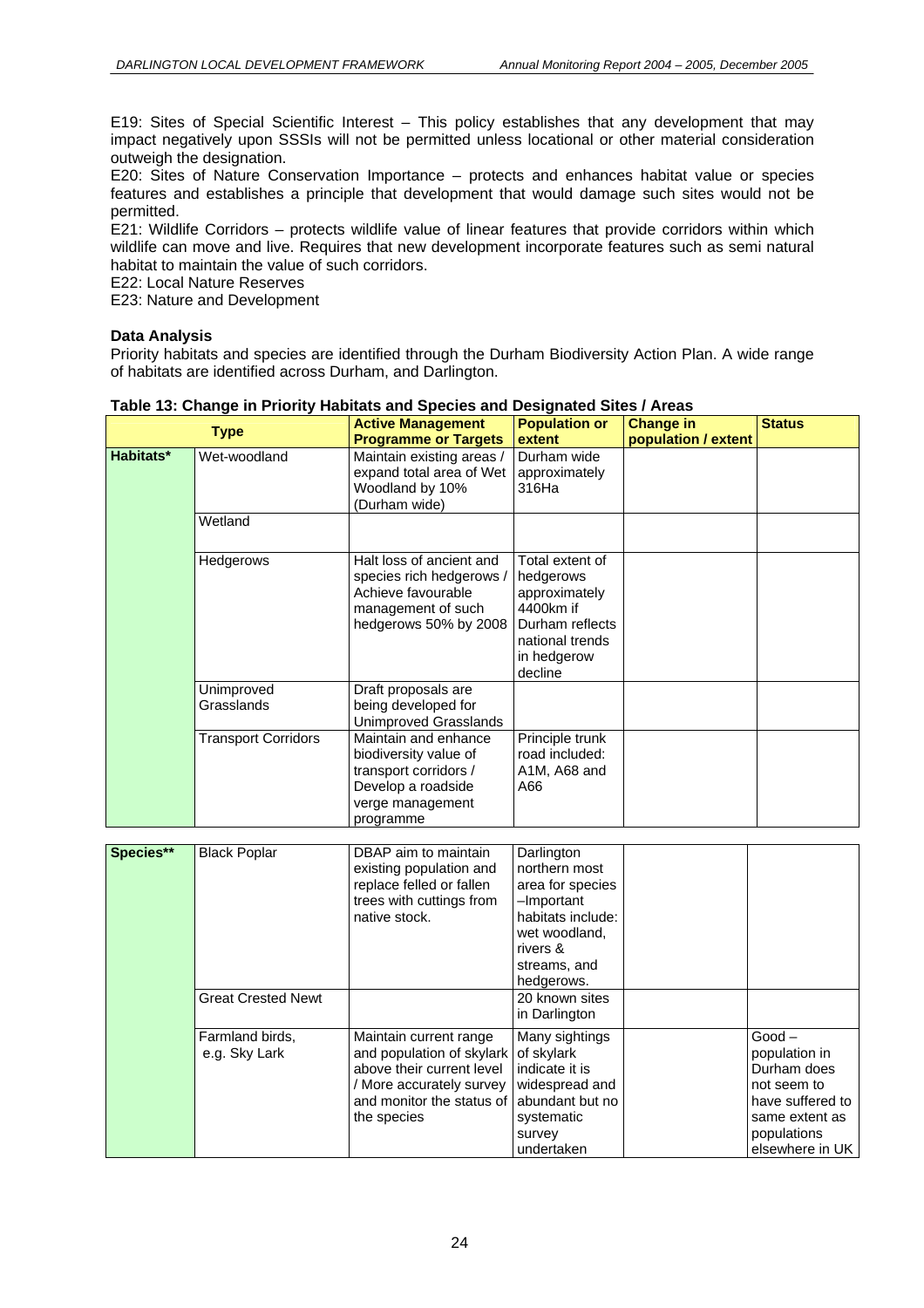$\overline{\text{Shtun}}$ 

E19: Sites of Special Scientific Interest – This policy establishes that any development that may impact negatively upon SSSIs will not be permitted unless locational or other material consideration outweigh the designation.

E20: Sites of Nature Conservation Importance – protects and enhances habitat value or species features and establishes a principle that development that would damage such sites would not be permitted.

E21: Wildlife Corridors – protects wildlife value of linear features that provide corridors within which wildlife can move and live. Requires that new development incorporate features such as semi natural habitat to maintain the value of such corridors.

E22: Local Nature Reserves

E23: Nature and Development

#### **Data Analysis**

Priority habitats and species are identified through the Durham Biodiversity Action Plan. A wide range of habitats are identified across Durham, and Darlington.

|           | <b>Type</b>                      | <b>Active Management</b>                                                                                                                                 | <b>Population or</b>                                                                                                                          | <b>Change in</b>    | <b>Status</b>                                                                                                                   |
|-----------|----------------------------------|----------------------------------------------------------------------------------------------------------------------------------------------------------|-----------------------------------------------------------------------------------------------------------------------------------------------|---------------------|---------------------------------------------------------------------------------------------------------------------------------|
|           |                                  | <b>Programme or Targets</b>                                                                                                                              | extent                                                                                                                                        | population / extent |                                                                                                                                 |
| Habitats* | Wet-woodland                     | Maintain existing areas /<br>expand total area of Wet<br>Woodland by 10%<br>(Durham wide)                                                                | Durham wide<br>approximately<br>316Ha                                                                                                         |                     |                                                                                                                                 |
|           | Wetland                          |                                                                                                                                                          |                                                                                                                                               |                     |                                                                                                                                 |
|           | Hedgerows                        | Halt loss of ancient and<br>species rich hedgerows /<br>Achieve favourable<br>management of such<br>hedgerows 50% by 2008                                | Total extent of<br>hedgerows<br>approximately<br>4400km if<br>Durham reflects<br>national trends<br>in hedgerow<br>decline                    |                     |                                                                                                                                 |
|           | Unimproved<br>Grasslands         | Draft proposals are<br>being developed for<br><b>Unimproved Grasslands</b>                                                                               |                                                                                                                                               |                     |                                                                                                                                 |
|           | <b>Transport Corridors</b>       | Maintain and enhance<br>biodiversity value of<br>transport corridors /<br>Develop a roadside<br>verge management<br>programme                            | Principle trunk<br>road included:<br>A1M, A68 and<br>A66                                                                                      |                     |                                                                                                                                 |
|           |                                  |                                                                                                                                                          |                                                                                                                                               |                     |                                                                                                                                 |
| Species** | <b>Black Poplar</b>              | DBAP aim to maintain<br>existing population and<br>replace felled or fallen<br>trees with cuttings from<br>native stock.                                 | Darlington<br>northern most<br>area for species<br>-Important<br>habitats include:<br>wet woodland,<br>rivers &<br>streams, and<br>hedgerows. |                     |                                                                                                                                 |
|           | <b>Great Crested Newt</b>        |                                                                                                                                                          | 20 known sites<br>in Darlington                                                                                                               |                     |                                                                                                                                 |
|           | Farmland birds,<br>e.g. Sky Lark | Maintain current range<br>and population of skylark<br>above their current level<br>/ More accurately survey<br>and monitor the status of<br>the species | Many sightings<br>of skylark<br>indicate it is<br>widespread and<br>abundant but no<br>systematic<br>survey<br>undertaken                     |                     | $Good -$<br>population in<br>Durham does<br>not seem to<br>have suffered to<br>same extent as<br>populations<br>elsewhere in UK |

#### **Table 13: Change in Priority Habitats and Species and Designated Sites / Areas**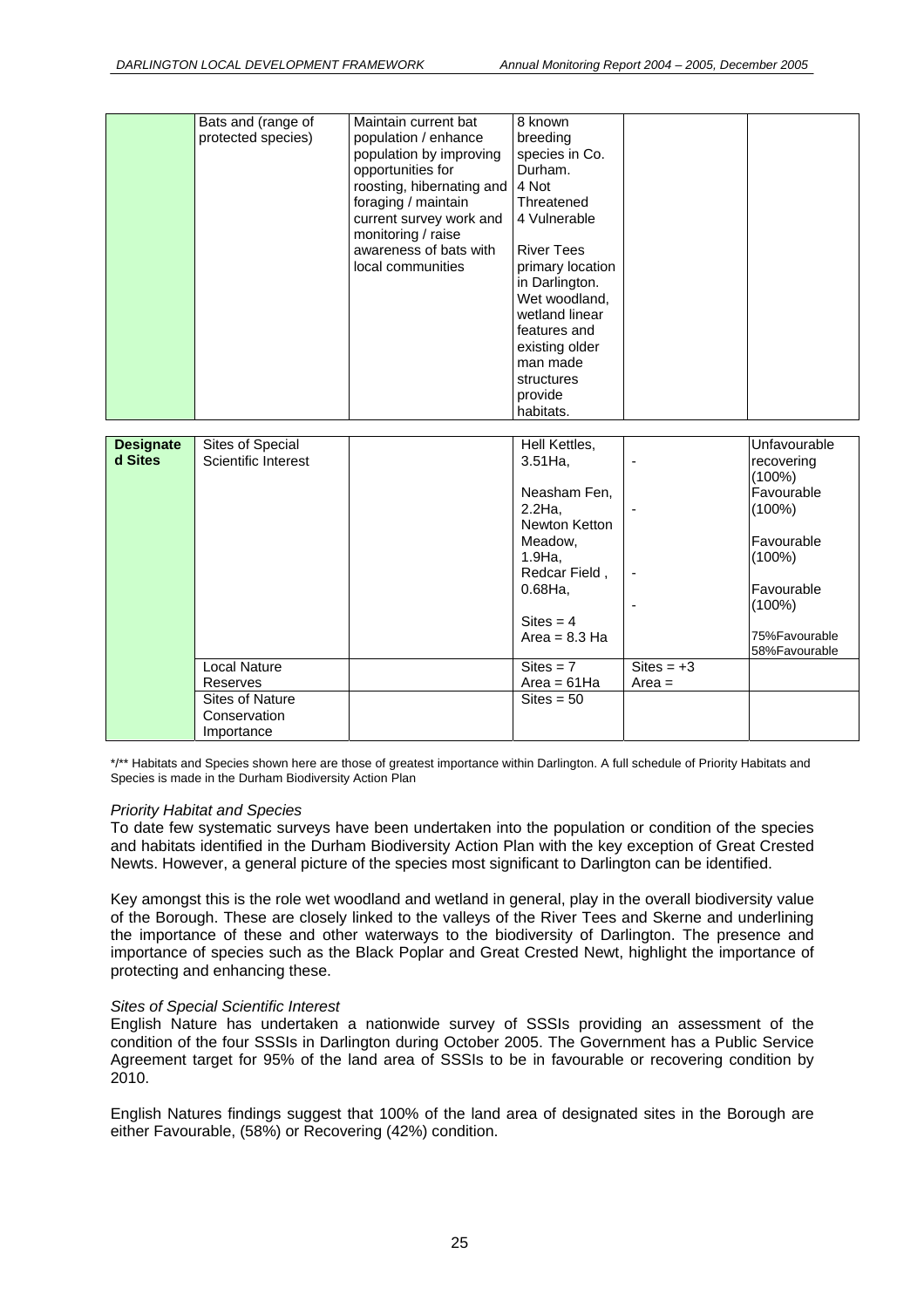| Bats and (range of<br>protected species) | Maintain current bat<br>population / enhance<br>population by improving<br>opportunities for<br>roosting, hibernating and<br>foraging / maintain<br>current survey work and<br>monitoring / raise<br>awareness of bats with<br>local communities | 8 known<br>breeding<br>species in Co.<br>Durham.<br>4 Not<br>Threatened<br>4 Vulnerable<br><b>River Tees</b><br>primary location<br>in Darlington.<br>Wet woodland,<br>wetland linear<br>features and<br>existing older<br>man made |  |
|------------------------------------------|--------------------------------------------------------------------------------------------------------------------------------------------------------------------------------------------------------------------------------------------------|-------------------------------------------------------------------------------------------------------------------------------------------------------------------------------------------------------------------------------------|--|
|                                          |                                                                                                                                                                                                                                                  |                                                                                                                                                                                                                                     |  |
|                                          |                                                                                                                                                                                                                                                  | structures<br>provide                                                                                                                                                                                                               |  |
|                                          |                                                                                                                                                                                                                                                  | habitats.                                                                                                                                                                                                                           |  |

| <b>Designate</b> | Sites of Special    | Hell Kettles,       |                          | Unfavourable            |
|------------------|---------------------|---------------------|--------------------------|-------------------------|
| d Sites          | Scientific Interest | $3.51$ Ha,          | $\overline{\phantom{0}}$ | recovering<br>$(100\%)$ |
|                  |                     | Neasham Fen,        |                          | Favourable              |
|                  |                     | $2.2$ Ha,           |                          | $(100\%)$               |
|                  |                     | Newton Ketton       |                          |                         |
|                  |                     | Meadow,             |                          | Favourable              |
|                  |                     | 1.9Ha,              |                          | $(100\%)$               |
|                  |                     | Redcar Field,       | $\overline{\phantom{a}}$ |                         |
|                  |                     | $0.68$ Ha,          |                          | <b>Favourable</b>       |
|                  |                     |                     |                          | $(100\%)$               |
|                  |                     | $\text{Sites} = 4$  |                          |                         |
|                  |                     | Area = $8.3$ Ha     |                          | 75%Favourable           |
|                  |                     |                     |                          | 58%Favourable           |
|                  | Local Nature        | $\text{Sites} = 7$  | $\text{Sites} = +3$      |                         |
|                  | Reserves            | Area = $61$ Ha      | $Area =$                 |                         |
|                  | Sites of Nature     | $\text{Sites} = 50$ |                          |                         |
|                  | Conservation        |                     |                          |                         |
|                  | Importance          |                     |                          |                         |

\*/\*\* Habitats and Species shown here are those of greatest importance within Darlington. A full schedule of Priority Habitats and Species is made in the Durham Biodiversity Action Plan

#### *Priority Habitat and Species*

To date few systematic surveys have been undertaken into the population or condition of the species and habitats identified in the Durham Biodiversity Action Plan with the key exception of Great Crested Newts. However, a general picture of the species most significant to Darlington can be identified.

Key amongst this is the role wet woodland and wetland in general, play in the overall biodiversity value of the Borough. These are closely linked to the valleys of the River Tees and Skerne and underlining the importance of these and other waterways to the biodiversity of Darlington. The presence and importance of species such as the Black Poplar and Great Crested Newt, highlight the importance of protecting and enhancing these.

#### *Sites of Special Scientific Interest*

English Nature has undertaken a nationwide survey of SSSIs providing an assessment of the condition of the four SSSIs in Darlington during October 2005. The Government has a Public Service Agreement target for 95% of the land area of SSSIs to be in favourable or recovering condition by 2010.

English Natures findings suggest that 100% of the land area of designated sites in the Borough are either Favourable, (58%) or Recovering (42%) condition.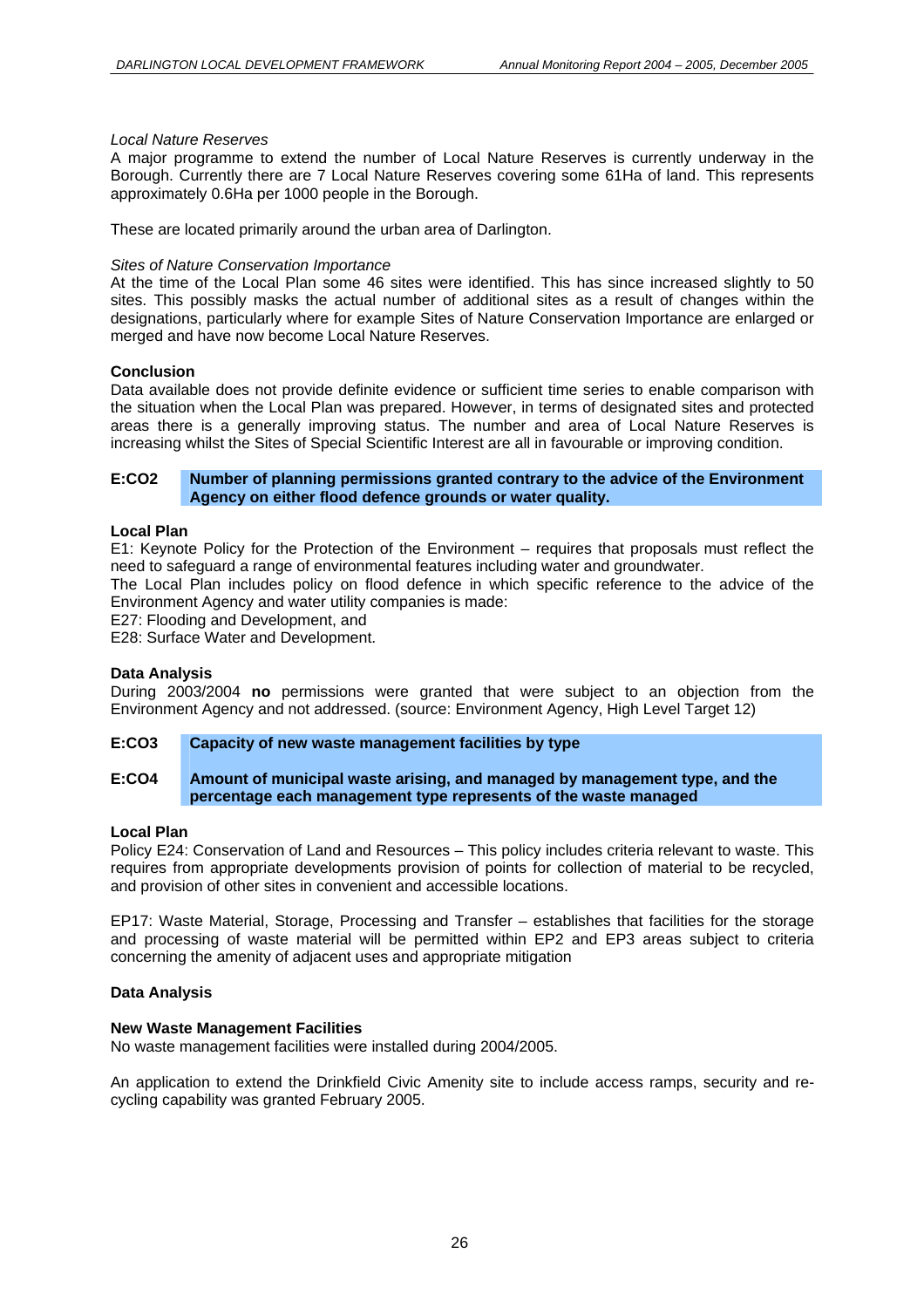#### *Local Nature Reserves*

A major programme to extend the number of Local Nature Reserves is currently underway in the Borough. Currently there are 7 Local Nature Reserves covering some 61Ha of land. This represents approximately 0.6Ha per 1000 people in the Borough.

These are located primarily around the urban area of Darlington.

#### *Sites of Nature Conservation Importance*

At the time of the Local Plan some 46 sites were identified. This has since increased slightly to 50 sites. This possibly masks the actual number of additional sites as a result of changes within the designations, particularly where for example Sites of Nature Conservation Importance are enlarged or merged and have now become Local Nature Reserves.

#### **Conclusion**

Data available does not provide definite evidence or sufficient time series to enable comparison with the situation when the Local Plan was prepared. However, in terms of designated sites and protected areas there is a generally improving status. The number and area of Local Nature Reserves is increasing whilst the Sites of Special Scientific Interest are all in favourable or improving condition.

#### **E:CO2 Number of planning permissions granted contrary to the advice of the Environment Agency on either flood defence grounds or water quality.**

#### **Local Plan**

E1: Keynote Policy for the Protection of the Environment – requires that proposals must reflect the need to safeguard a range of environmental features including water and groundwater.

The Local Plan includes policy on flood defence in which specific reference to the advice of the Environment Agency and water utility companies is made:

E27: Flooding and Development, and

E28: Surface Water and Development.

#### **Data Analysis**

During 2003/2004 **no** permissions were granted that were subject to an objection from the Environment Agency and not addressed. (source: Environment Agency, High Level Target 12)

#### **E:CO3 Capacity of new waste management facilities by type**

#### **E:CO4 Amount of municipal waste arising, and managed by management type, and the percentage each management type represents of the waste managed**

#### **Local Plan**

Policy E24: Conservation of Land and Resources – This policy includes criteria relevant to waste. This requires from appropriate developments provision of points for collection of material to be recycled, and provision of other sites in convenient and accessible locations.

EP17: Waste Material, Storage, Processing and Transfer – establishes that facilities for the storage and processing of waste material will be permitted within EP2 and EP3 areas subject to criteria concerning the amenity of adjacent uses and appropriate mitigation

#### **Data Analysis**

#### **New Waste Management Facilities**

No waste management facilities were installed during 2004/2005.

An application to extend the Drinkfield Civic Amenity site to include access ramps, security and recycling capability was granted February 2005.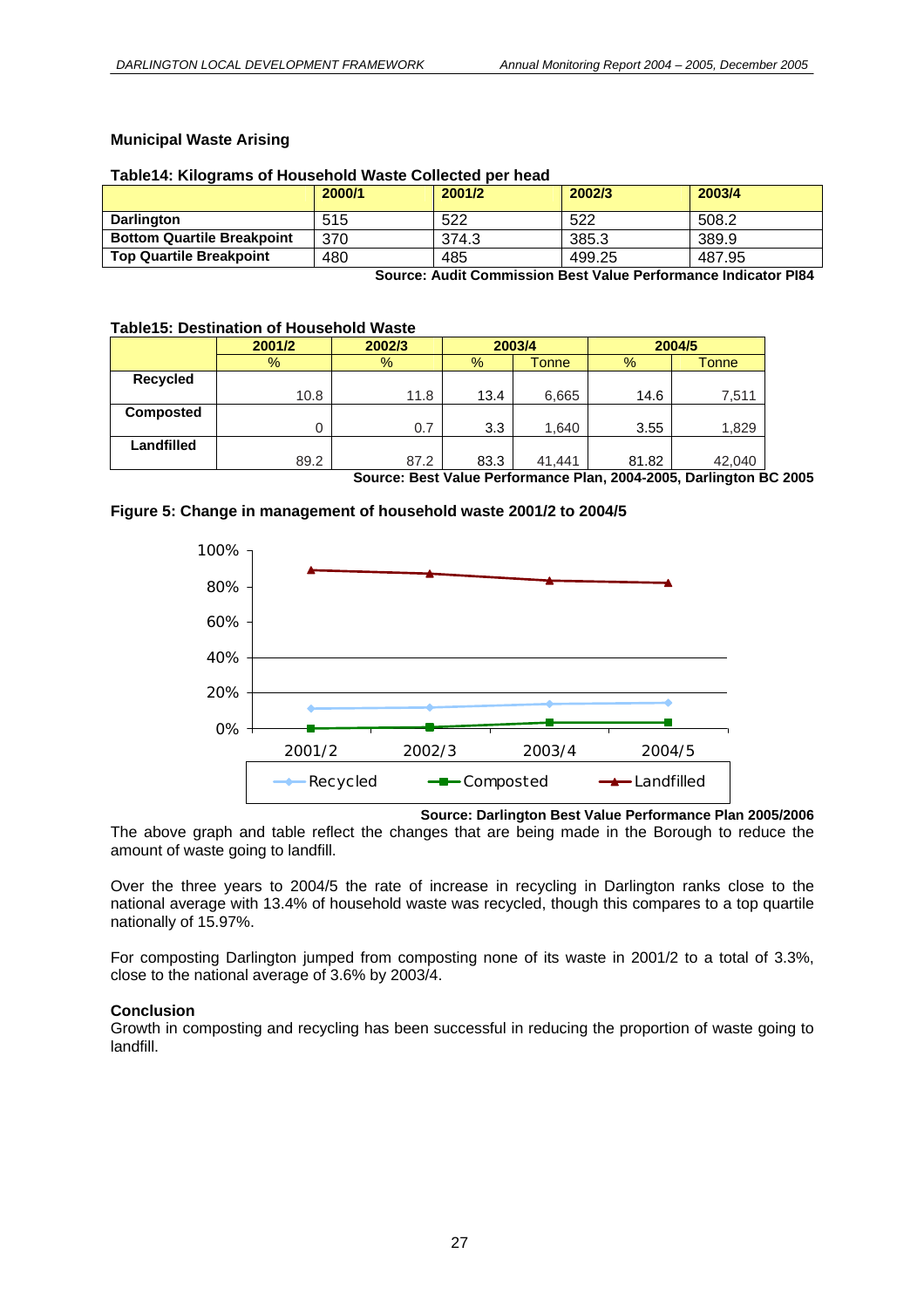#### **Municipal Waste Arising**

#### **Table14: Kilograms of Household Waste Collected per head**

|                                   | 2000/1 | 2001/2 | 2002/3 | 2003/4 |
|-----------------------------------|--------|--------|--------|--------|
| Darlington                        | 515    | 522    | 522    | 508.2  |
| <b>Bottom Quartile Breakpoint</b> | 370    | 374.3  | 385.3  | 389.9  |
| <b>Top Quartile Breakpoint</b>    | 480    | 485    | 499.25 | 487.95 |

**Source: Audit Commission Best Value Performance Indicator PI84** 

#### **Table15: Destination of Household Waste**

|                  | 2001/2        | 2002/3 | 2003/4        |        | 2004/5 |        |
|------------------|---------------|--------|---------------|--------|--------|--------|
|                  | $\frac{9}{6}$ | %      | $\frac{9}{6}$ | Tonne  | $\%$   | Tonne  |
| <b>Recycled</b>  |               |        |               |        |        |        |
|                  | 10.8          | 11.8   | 13.4          | 6,665  | 14.6   | 7,511  |
| <b>Composted</b> |               |        |               |        |        |        |
|                  |               | 0.7    | 3.3           | 1,640  | 3.55   | 1,829  |
| Landfilled       |               |        |               |        |        |        |
|                  | 89.2          | 87.2   | 83.3          | 41.441 | 81.82  | 42,040 |

**Source: Best Value Performance Plan, 2004-2005, Darlington BC 2005** 





**Source: Darlington Best Value Performance Plan 2005/2006** 

The above graph and table reflect the changes that are being made in the Borough to reduce the amount of waste going to landfill.

Over the three years to 2004/5 the rate of increase in recycling in Darlington ranks close to the national average with 13.4% of household waste was recycled, though this compares to a top quartile nationally of 15.97%.

For composting Darlington jumped from composting none of its waste in 2001/2 to a total of 3.3%, close to the national average of 3.6% by 2003/4.

#### **Conclusion**

Growth in composting and recycling has been successful in reducing the proportion of waste going to landfill.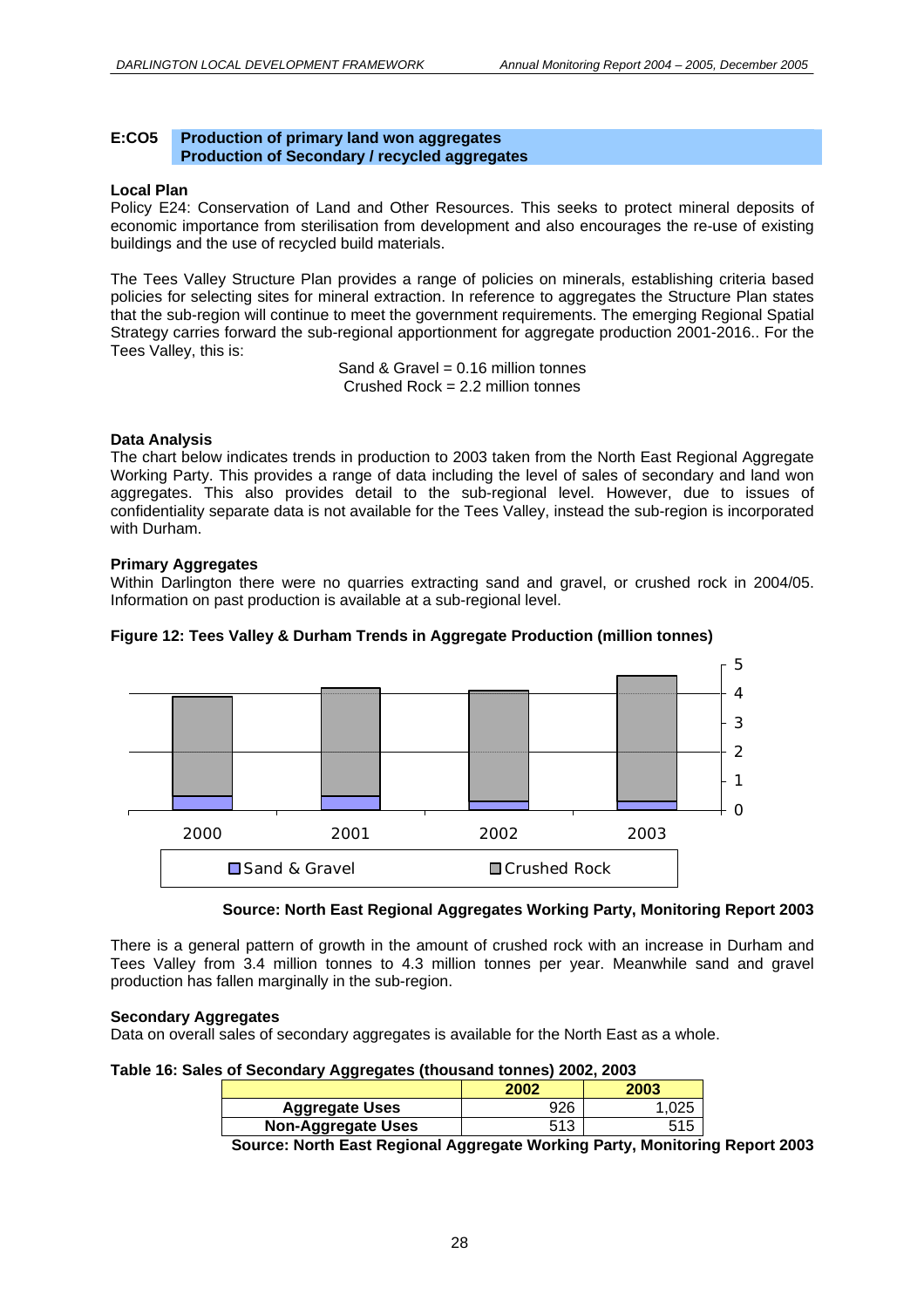#### **E:CO5 Production of primary land won aggregates Production of Secondary / recycled aggregates**

#### **Local Plan**

Policy E24: Conservation of Land and Other Resources. This seeks to protect mineral deposits of economic importance from sterilisation from development and also encourages the re-use of existing buildings and the use of recycled build materials.

The Tees Valley Structure Plan provides a range of policies on minerals, establishing criteria based policies for selecting sites for mineral extraction. In reference to aggregates the Structure Plan states that the sub-region will continue to meet the government requirements. The emerging Regional Spatial Strategy carries forward the sub-regional apportionment for aggregate production 2001-2016.. For the Tees Valley, this is:

> Sand & Gravel =  $0.16$  million tonnes Crushed Rock = 2.2 million tonnes

#### **Data Analysis**

The chart below indicates trends in production to 2003 taken from the North East Regional Aggregate Working Party. This provides a range of data including the level of sales of secondary and land won aggregates. This also provides detail to the sub-regional level. However, due to issues of confidentiality separate data is not available for the Tees Valley, instead the sub-region is incorporated with Durham.

#### **Primary Aggregates**

Within Darlington there were no quarries extracting sand and gravel, or crushed rock in 2004/05. Information on past production is available at a sub-regional level.

#### **Figure 12: Tees Valley & Durham Trends in Aggregate Production (million tonnes)**



#### **Source: North East Regional Aggregates Working Party, Monitoring Report 2003**

There is a general pattern of growth in the amount of crushed rock with an increase in Durham and Tees Valley from 3.4 million tonnes to 4.3 million tonnes per year. Meanwhile sand and gravel production has fallen marginally in the sub-region.

#### **Secondary Aggregates**

Data on overall sales of secondary aggregates is available for the North East as a whole.

| Table 16: Sales of Secondary Aggregates (thousand tonnes) 2002, 2003 |  |  |  |
|----------------------------------------------------------------------|--|--|--|
|----------------------------------------------------------------------|--|--|--|

| 2002 | 2003 |
|------|------|
| חרה  |      |
| -513 |      |
|      |      |

**Source: North East Regional Aggregate Working Party, Monitoring Report 2003**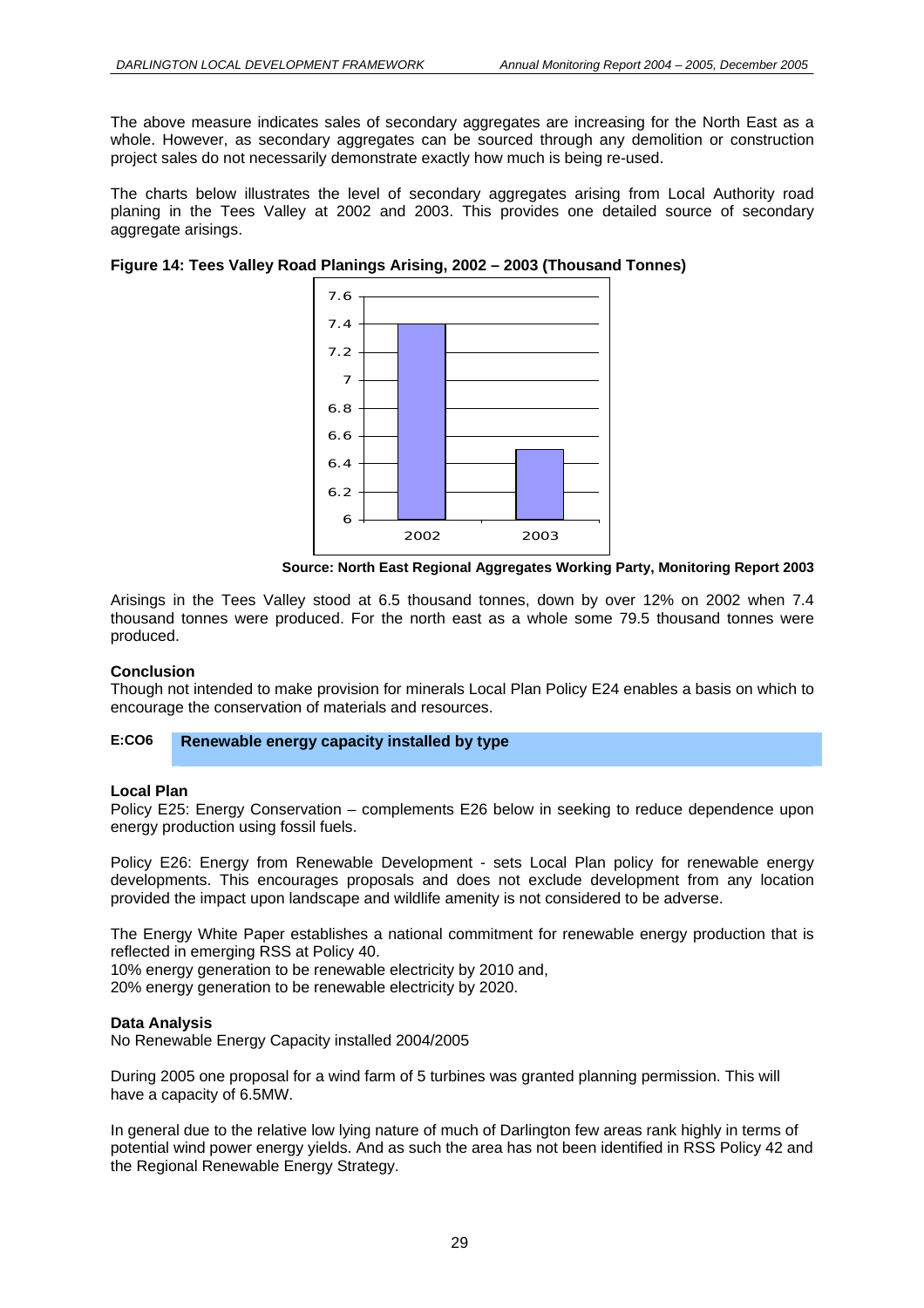The above measure indicates sales of secondary aggregates are increasing for the North East as a whole. However, as secondary aggregates can be sourced through any demolition or construction project sales do not necessarily demonstrate exactly how much is being re-used.

The charts below illustrates the level of secondary aggregates arising from Local Authority road planing in the Tees Valley at 2002 and 2003. This provides one detailed source of secondary aggregate arisings.

**Figure 14: Tees Valley Road Planings Arising, 2002 – 2003 (Thousand Tonnes)** 



**Source: North East Regional Aggregates Working Party, Monitoring Report 2003** 

Arisings in the Tees Valley stood at 6.5 thousand tonnes, down by over 12% on 2002 when 7.4 thousand tonnes were produced. For the north east as a whole some 79.5 thousand tonnes were produced.

#### **Conclusion**

Though not intended to make provision for minerals Local Plan Policy E24 enables a basis on which to encourage the conservation of materials and resources.

#### **E :CO6 Renewable energy capacity installed by type**

#### **Local Plan**

Policy E25: Energy Conservation – complements E26 below in seeking to reduce dependence upon energy production using fossil fuels.

Policy E26: Energy from Renewable Development - sets Local Plan policy for renewable energy developments. This encourages proposals and does not exclude development from any location provided the impact upon landscape and wildlife amenity is not considered to be adverse.

The Energy White Paper establishes a national commitment for renewable energy production that is reflected in emerging RSS at Policy 40.

10% energy generation to be renewable electricity by 2010 and,

20% energy generation to be renewable electricity by 2020.

#### **Data Analysis**

No Renewable Energy Capacity installed 2004/2005

During 2005 one proposal for a wind farm of 5 turbines was granted planning permission. This will have a capacity of 6.5MW.

In general due to the relative low lying nature of much of Darlington few areas rank highly in terms of potential wind power energy yields. And as such the area has not been identified in RSS Policy 42 and the Regional Renewable Energy Strategy.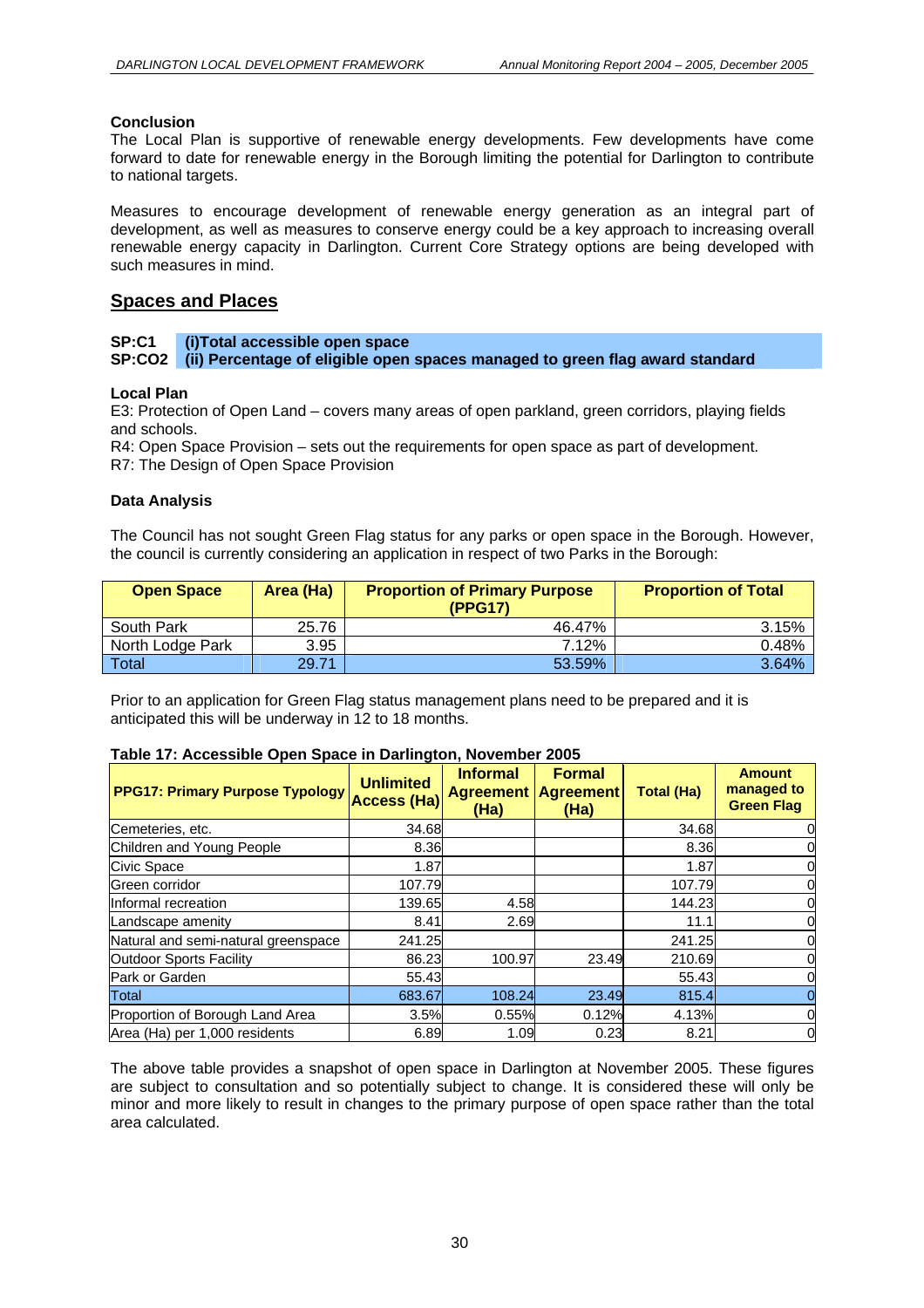#### **Conclusion**

The Local Plan is supportive of renewable energy developments. Few developments have come forward to date for renewable energy in the Borough limiting the potential for Darlington to contribute to national targets.

Measures to encourage development of renewable energy generation as an integral part of development, as well as measures to conserve energy could be a key approach to increasing overall renewable energy capacity in Darlington. Current Core Strategy options are being developed with such measures in mind.

#### **Spaces and Places**

#### **SP:C1 (i)Total accessible open space**  (ii) Percentage of eligible open spaces managed to green flag award standard

#### **Local Plan**

E3: Protection of Open Land – covers many areas of open parkland, green corridors, playing fields and schools.

R4: Open Space Provision – sets out the requirements for open space as part of development. R7: The Design of Open Space Provision

#### **Data Analysis**

The Council has not sought Green Flag status for any parks or open space in the Borough. However, the council is currently considering an application in respect of two Parks in the Borough:

| <b>Open Space</b> | Area (Ha) | <b>Proportion of Primary Purpose</b><br>(PPG17) | <b>Proportion of Total</b> |
|-------------------|-----------|-------------------------------------------------|----------------------------|
| South Park        | 25.76     | 46.47%                                          | 3.15%                      |
| North Lodge Park  | 3.95      | 7.12%                                           | 0.48%                      |
| Total             | 29.71     | 53.59%                                          | 3.64%                      |

Prior to an application for Green Flag status management plans need to be prepared and it is anticipated this will be underway in 12 to 18 months.

| <b>PPG17: Primary Purpose Typology</b> | <b>Unlimited</b><br><b>Access (Ha)</b> | <b>Informal</b><br><b>Agreement</b><br>(Ha) | <b>Formal</b><br><b>Agreement</b><br>(Ha) | Total (Ha) | <b>Amount</b><br>managed to<br><b>Green Flag</b> |
|----------------------------------------|----------------------------------------|---------------------------------------------|-------------------------------------------|------------|--------------------------------------------------|
| Cemeteries, etc.                       | 34.68                                  |                                             |                                           | 34.68      |                                                  |
| Children and Young People              | 8.36                                   |                                             |                                           | 8.36       |                                                  |
| Civic Space                            | 1.87                                   |                                             |                                           | 1.87       |                                                  |
| Green corridor                         | 107.79                                 |                                             |                                           | 107.79     |                                                  |
| Informal recreation                    | 139.65                                 | 4.58                                        |                                           | 144.23     | 0                                                |
| Landscape amenity                      | 8.41                                   | 2.69                                        |                                           | 11.1       |                                                  |
| Natural and semi-natural greenspace    | 241.25                                 |                                             |                                           | 241.25     |                                                  |
| Outdoor Sports Facility                | 86.23                                  | 100.97                                      | 23.49                                     | 210.69     |                                                  |
| Park or Garden                         | 55.43                                  |                                             |                                           | 55.43      |                                                  |
| Total                                  | 683.67                                 | 108.24                                      | 23.49                                     | 815.4      |                                                  |
| Proportion of Borough Land Area        | 3.5%                                   | 0.55%                                       | 0.12%                                     | 4.13%      | 0                                                |
| Area (Ha) per 1,000 residents          | 6.89                                   | 1.09                                        | 0.23                                      | 8.21       | 0                                                |

#### **Table 17: Accessible Open Space in Darlington, November 2005**

The above table provides a snapshot of open space in Darlington at November 2005. These figures are subject to consultation and so potentially subject to change. It is considered these will only be minor and more likely to result in changes to the primary purpose of open space rather than the total area calculated.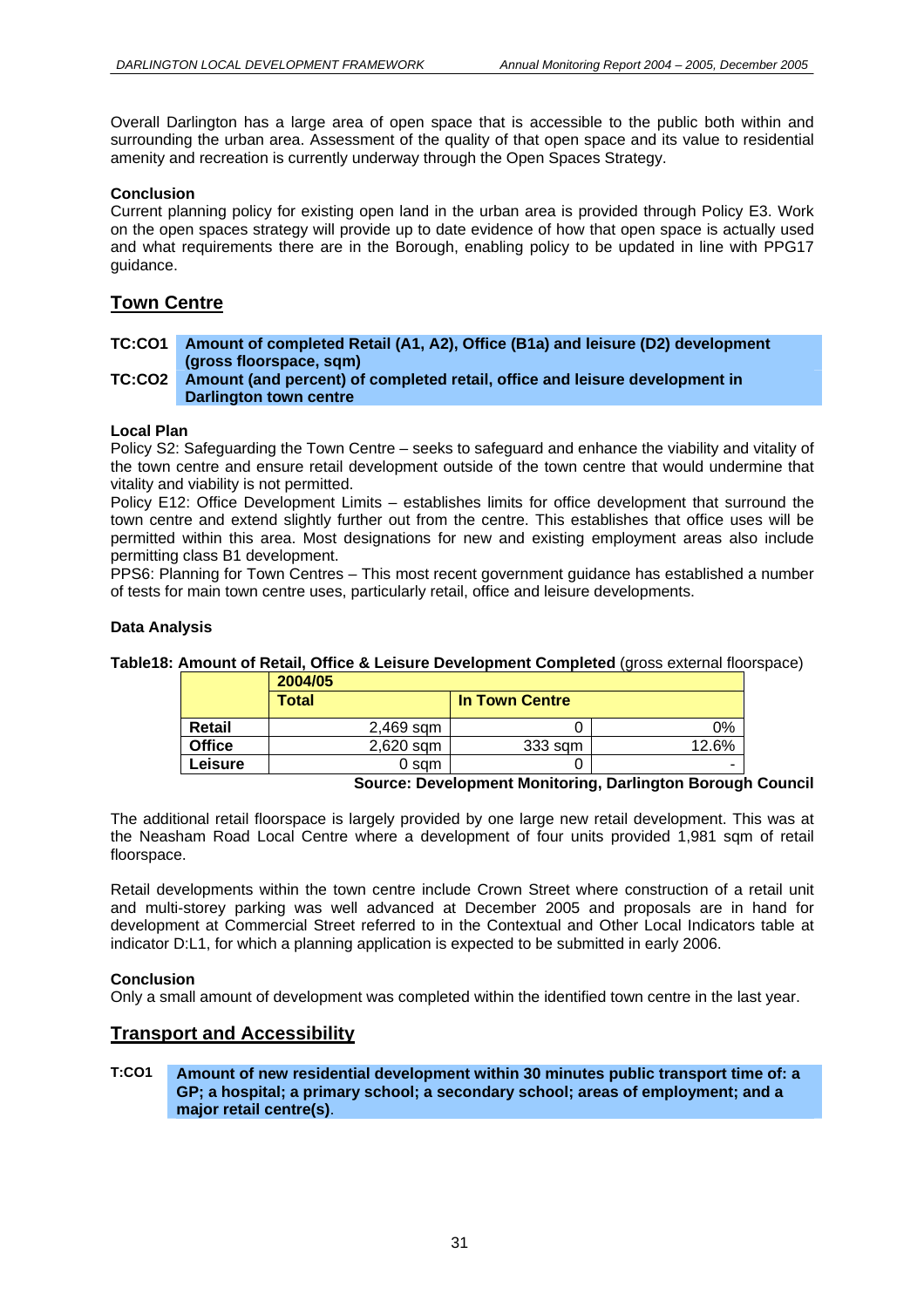Overall Darlington has a large area of open space that is accessible to the public both within and surrounding the urban area. Assessment of the quality of that open space and its value to residential amenity and recreation is currently underway through the Open Spaces Strategy.

#### **Conclusion**

Current planning policy for existing open land in the urban area is provided through Policy E3. Work on the open spaces strategy will provide up to date evidence of how that open space is actually used and what requirements there are in the Borough, enabling policy to be updated in line with PPG17 guidance.

#### **Town Centre**

#### **TC:CO1 Amount of completed Retail (A1, A2), Office (B1a) and leisure (D2) development (gross floorspace, sqm)**

#### **TC:CO2 Amount (and percent) of completed retail, office and leisure development in Darlington town centre**

#### **Local Plan**

Policy S2: Safeguarding the Town Centre – seeks to safeguard and enhance the viability and vitality of the town centre and ensure retail development outside of the town centre that would undermine that vitality and viability is not permitted.

Policy E12: Office Development Limits – establishes limits for office development that surround the town centre and extend slightly further out from the centre. This establishes that office uses will be permitted within this area. Most designations for new and existing employment areas also include permitting class B1 development.

PPS6: Planning for Town Centres – This most recent government guidance has established a number of tests for main town centre uses, particularly retail, office and leisure developments.

#### **Data Analysis**

**Table18: Amount of Retail, Office & Leisure Development Completed** (gross external floorspace)

|               | 2004/05      |                       |       |
|---------------|--------------|-----------------------|-------|
|               | <b>Total</b> | <b>In Town Centre</b> |       |
| Retail        | 2,469 sqm    |                       | ን%    |
| <b>Office</b> | $2,620$ sqm  | 333 sqm               | 12.6% |
| Leisure       | 0 sam        |                       |       |

#### **Source: Development Monitoring, Darlington Borough Council**

The additional retail floorspace is largely provided by one large new retail development. This was at the Neasham Road Local Centre where a development of four units provided 1,981 sqm of retail floorspace.

Retail developments within the town centre include Crown Street where construction of a retail unit and multi-storey parking was well advanced at December 2005 and proposals are in hand for development at Commercial Street referred to in the Contextual and Other Local Indicators table at indicator D:L1, for which a planning application is expected to be submitted in early 2006.

#### **Conclusion**

Only a small amount of development was completed within the identified town centre in the last year.

#### **Transport and Accessibility**

#### **T:CO1 Amount of new residential development within 30 minutes public transport time of: a GP; a hospital; a primary school; a secondary school; areas of employment; and a major retail centre(s)**.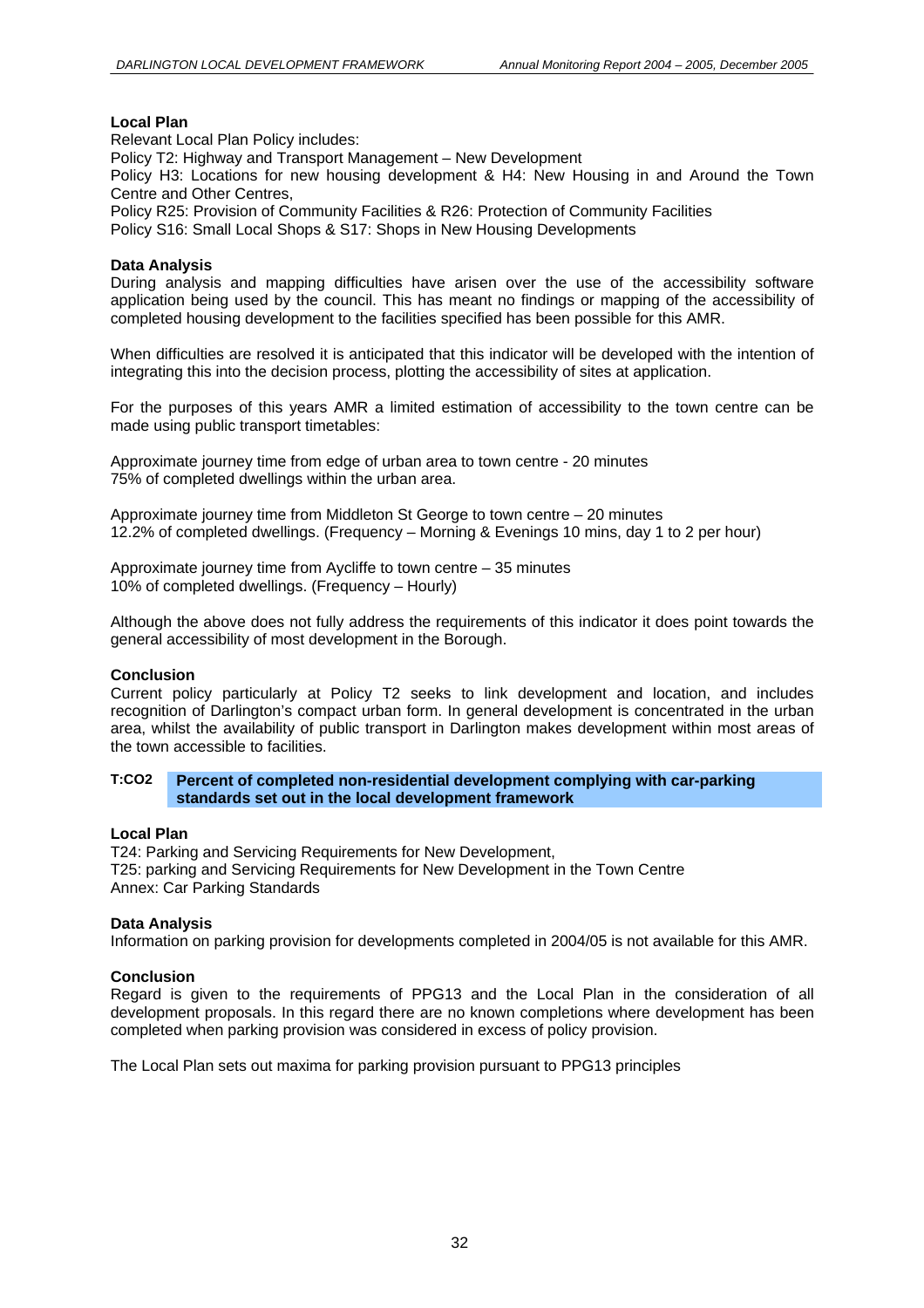#### **Local Plan**

Relevant Local Plan Policy includes: Policy T2: Highway and Transport Management – New Development Policy H3: Locations for new housing development & H4: New Housing in and Around the Town Centre and Other Centres, Policy R25: Provision of Community Facilities & R26: Protection of Community Facilities Policy S16: Small Local Shops & S17: Shops in New Housing Developments

#### **Data Analysis**

During analysis and mapping difficulties have arisen over the use of the accessibility software application being used by the council. This has meant no findings or mapping of the accessibility of completed housing development to the facilities specified has been possible for this AMR.

When difficulties are resolved it is anticipated that this indicator will be developed with the intention of integrating this into the decision process, plotting the accessibility of sites at application.

For the purposes of this years AMR a limited estimation of accessibility to the town centre can be made using public transport timetables:

Approximate journey time from edge of urban area to town centre - 20 minutes 75% of completed dwellings within the urban area.

Approximate journey time from Middleton St George to town centre – 20 minutes 12.2% of completed dwellings. (Frequency – Morning & Evenings 10 mins, day 1 to 2 per hour)

Approximate journey time from Aycliffe to town centre – 35 minutes 10% of completed dwellings. (Frequency – Hourly)

Although the above does not fully address the requirements of this indicator it does point towards the general accessibility of most development in the Borough.

#### **Conclusion**

Current policy particularly at Policy T2 seeks to link development and location, and includes recognition of Darlington's compact urban form. In general development is concentrated in the urban area, whilst the availability of public transport in Darlington makes development within most areas of the town accessible to facilities.

#### **T:CO2 Percent of completed non-residential development complying with car-parking standards set out in the local development framework**

#### **Local Plan**

T24: Parking and Servicing Requirements for New Development, T25: parking and Servicing Requirements for New Development in the Town Centre Annex: Car Parking Standards

#### **Data Analysis**

Information on parking provision for developments completed in 2004/05 is not available for this AMR.

#### **Conclusion**

Regard is given to the requirements of PPG13 and the Local Plan in the consideration of all development proposals. In this regard there are no known completions where development has been completed when parking provision was considered in excess of policy provision.

The Local Plan sets out maxima for parking provision pursuant to PPG13 principles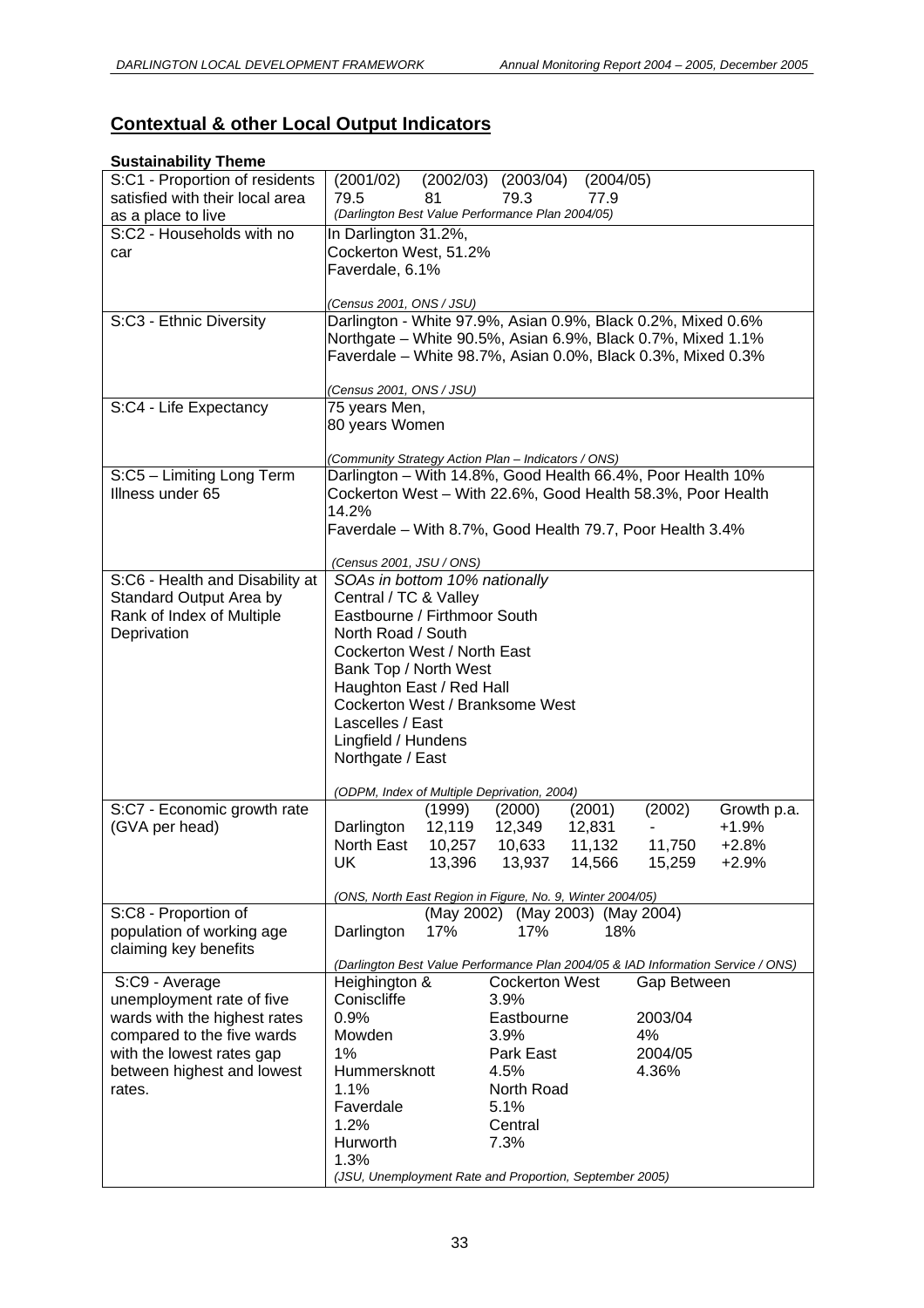# **Contextual & other Local Output Indicators**

## **Sustainability Theme**

| S:C1 - Proportion of residents  | (2001/02)                                                    | $(2002/03)$ $(2003/04)$<br>(2004/05)                                                                                       |                                                                                  |  |  |  |  |  |  |  |  |
|---------------------------------|--------------------------------------------------------------|----------------------------------------------------------------------------------------------------------------------------|----------------------------------------------------------------------------------|--|--|--|--|--|--|--|--|
| satisfied with their local area | 79.5<br>81                                                   | 79.3<br>77.9                                                                                                               |                                                                                  |  |  |  |  |  |  |  |  |
| as a place to live              | (Darlington Best Value Performance Plan 2004/05)             |                                                                                                                            |                                                                                  |  |  |  |  |  |  |  |  |
| S:C2 - Households with no       | In Darlington 31.2%,                                         |                                                                                                                            |                                                                                  |  |  |  |  |  |  |  |  |
| car                             | Cockerton West, 51.2%                                        |                                                                                                                            |                                                                                  |  |  |  |  |  |  |  |  |
|                                 | Faverdale, 6.1%                                              |                                                                                                                            |                                                                                  |  |  |  |  |  |  |  |  |
|                                 |                                                              |                                                                                                                            |                                                                                  |  |  |  |  |  |  |  |  |
|                                 | (Census 2001, ONS / JSU)                                     |                                                                                                                            |                                                                                  |  |  |  |  |  |  |  |  |
| S:C3 - Ethnic Diversity         | Darlington - White 97.9%, Asian 0.9%, Black 0.2%, Mixed 0.6% |                                                                                                                            |                                                                                  |  |  |  |  |  |  |  |  |
|                                 |                                                              | Northgate - White 90.5%, Asian 6.9%, Black 0.7%, Mixed 1.1%<br>Faverdale - White 98.7%, Asian 0.0%, Black 0.3%, Mixed 0.3% |                                                                                  |  |  |  |  |  |  |  |  |
|                                 |                                                              |                                                                                                                            |                                                                                  |  |  |  |  |  |  |  |  |
|                                 | (Census 2001, ONS / JSU)                                     |                                                                                                                            |                                                                                  |  |  |  |  |  |  |  |  |
| S:C4 - Life Expectancy          | 75 years Men,                                                |                                                                                                                            |                                                                                  |  |  |  |  |  |  |  |  |
|                                 | 80 years Women                                               |                                                                                                                            |                                                                                  |  |  |  |  |  |  |  |  |
|                                 |                                                              |                                                                                                                            |                                                                                  |  |  |  |  |  |  |  |  |
|                                 | (Community Strategy Action Plan - Indicators / ONS)          |                                                                                                                            |                                                                                  |  |  |  |  |  |  |  |  |
| S:C5 - Limiting Long Term       | Darlington - With 14.8%, Good Health 66.4%, Poor Health 10%  |                                                                                                                            |                                                                                  |  |  |  |  |  |  |  |  |
| Illness under 65                | Cockerton West - With 22.6%, Good Health 58.3%, Poor Health  |                                                                                                                            |                                                                                  |  |  |  |  |  |  |  |  |
|                                 | 14.2%                                                        |                                                                                                                            |                                                                                  |  |  |  |  |  |  |  |  |
|                                 | Faverdale - With 8.7%, Good Health 79.7, Poor Health 3.4%    |                                                                                                                            |                                                                                  |  |  |  |  |  |  |  |  |
|                                 |                                                              |                                                                                                                            |                                                                                  |  |  |  |  |  |  |  |  |
|                                 | (Census 2001, JSU / ONS)                                     |                                                                                                                            |                                                                                  |  |  |  |  |  |  |  |  |
| S:C6 - Health and Disability at | SOAs in bottom 10% nationally                                |                                                                                                                            |                                                                                  |  |  |  |  |  |  |  |  |
| Standard Output Area by         | Central / TC & Valley                                        |                                                                                                                            |                                                                                  |  |  |  |  |  |  |  |  |
| Rank of Index of Multiple       | Eastbourne / Firthmoor South                                 |                                                                                                                            |                                                                                  |  |  |  |  |  |  |  |  |
| Deprivation                     | North Road / South<br>Cockerton West / North East            |                                                                                                                            |                                                                                  |  |  |  |  |  |  |  |  |
|                                 | Bank Top / North West                                        |                                                                                                                            |                                                                                  |  |  |  |  |  |  |  |  |
|                                 | Haughton East / Red Hall                                     |                                                                                                                            |                                                                                  |  |  |  |  |  |  |  |  |
|                                 | Cockerton West / Branksome West                              |                                                                                                                            |                                                                                  |  |  |  |  |  |  |  |  |
|                                 | Lascelles / East                                             |                                                                                                                            |                                                                                  |  |  |  |  |  |  |  |  |
|                                 | Lingfield / Hundens                                          |                                                                                                                            |                                                                                  |  |  |  |  |  |  |  |  |
|                                 | Northgate / East                                             |                                                                                                                            |                                                                                  |  |  |  |  |  |  |  |  |
|                                 |                                                              |                                                                                                                            |                                                                                  |  |  |  |  |  |  |  |  |
|                                 | (ODPM, Index of Multiple Deprivation, 2004)                  |                                                                                                                            |                                                                                  |  |  |  |  |  |  |  |  |
| S:C7 - Economic growth rate     | (1999)                                                       | (2000)<br>(2001)                                                                                                           | (2002)<br>Growth p.a.                                                            |  |  |  |  |  |  |  |  |
| (GVA per head)                  | 12,119<br>Darlington                                         | 12,349<br>12,831                                                                                                           | $+1.9%$                                                                          |  |  |  |  |  |  |  |  |
|                                 | North East<br>10,257                                         | 11,132<br>10,633                                                                                                           | $+2.8%$<br>11,750                                                                |  |  |  |  |  |  |  |  |
|                                 | UK<br>13,396                                                 | 14,566<br>13,937                                                                                                           | 15,259<br>$+2.9%$                                                                |  |  |  |  |  |  |  |  |
|                                 |                                                              |                                                                                                                            |                                                                                  |  |  |  |  |  |  |  |  |
| S:C8 - Proportion of            |                                                              | (ONS, North East Region in Figure, No. 9, Winter 2004/05)<br>(May 2002) (May 2003) (May 2004)                              |                                                                                  |  |  |  |  |  |  |  |  |
| population of working age       | 17%<br>Darlington                                            | 18%<br>17%                                                                                                                 |                                                                                  |  |  |  |  |  |  |  |  |
| claiming key benefits           |                                                              |                                                                                                                            |                                                                                  |  |  |  |  |  |  |  |  |
|                                 |                                                              |                                                                                                                            | (Darlington Best Value Performance Plan 2004/05 & IAD Information Service / ONS) |  |  |  |  |  |  |  |  |
| S:C9 - Average                  | Heighington &                                                | <b>Cockerton West</b>                                                                                                      | Gap Between                                                                      |  |  |  |  |  |  |  |  |
| unemployment rate of five       | Coniscliffe                                                  | 3.9%                                                                                                                       |                                                                                  |  |  |  |  |  |  |  |  |
| wards with the highest rates    | 0.9%                                                         | Eastbourne                                                                                                                 | 2003/04                                                                          |  |  |  |  |  |  |  |  |
| compared to the five wards      | Mowden                                                       | 3.9%                                                                                                                       | 4%                                                                               |  |  |  |  |  |  |  |  |
| with the lowest rates gap       | 1%                                                           | Park East                                                                                                                  | 2004/05                                                                          |  |  |  |  |  |  |  |  |
| between highest and lowest      | Hummersknott                                                 | 4.5%                                                                                                                       | 4.36%                                                                            |  |  |  |  |  |  |  |  |
| rates.                          | 1.1%                                                         | North Road                                                                                                                 |                                                                                  |  |  |  |  |  |  |  |  |
|                                 | Faverdale                                                    | 5.1%                                                                                                                       |                                                                                  |  |  |  |  |  |  |  |  |
|                                 | 1.2%                                                         | Central                                                                                                                    |                                                                                  |  |  |  |  |  |  |  |  |
|                                 | Hurworth                                                     | 7.3%                                                                                                                       |                                                                                  |  |  |  |  |  |  |  |  |
|                                 | 1.3%                                                         |                                                                                                                            |                                                                                  |  |  |  |  |  |  |  |  |
|                                 |                                                              | (JSU, Unemployment Rate and Proportion, September 2005)                                                                    |                                                                                  |  |  |  |  |  |  |  |  |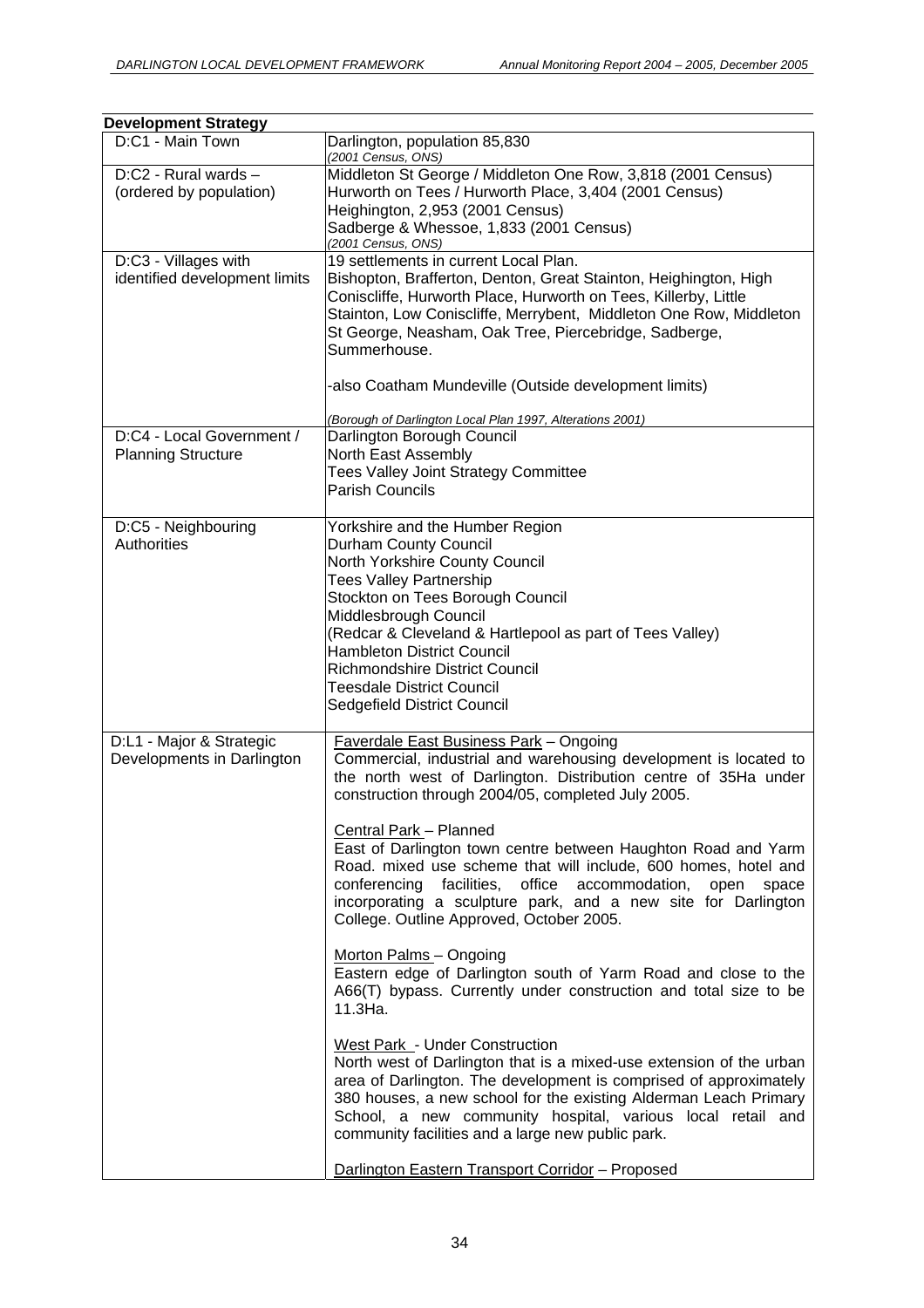| <b>Development Strategy</b>                            |                                                                                                                                                                                                                                                                                                                                                                                                                                                                                                                                                                                                                                                                                                                                                                                                                                                                                                                                                                                                                                                                                                                                            |
|--------------------------------------------------------|--------------------------------------------------------------------------------------------------------------------------------------------------------------------------------------------------------------------------------------------------------------------------------------------------------------------------------------------------------------------------------------------------------------------------------------------------------------------------------------------------------------------------------------------------------------------------------------------------------------------------------------------------------------------------------------------------------------------------------------------------------------------------------------------------------------------------------------------------------------------------------------------------------------------------------------------------------------------------------------------------------------------------------------------------------------------------------------------------------------------------------------------|
| D:C1 - Main Town                                       | Darlington, population 85,830<br>(2001 Census, ONS)                                                                                                                                                                                                                                                                                                                                                                                                                                                                                                                                                                                                                                                                                                                                                                                                                                                                                                                                                                                                                                                                                        |
| D:C2 - Rural wards -<br>(ordered by population)        | Middleton St George / Middleton One Row, 3,818 (2001 Census)<br>Hurworth on Tees / Hurworth Place, 3,404 (2001 Census)<br>Heighington, 2,953 (2001 Census)<br>Sadberge & Whessoe, 1,833 (2001 Census)<br>(2001 Census, ONS)                                                                                                                                                                                                                                                                                                                                                                                                                                                                                                                                                                                                                                                                                                                                                                                                                                                                                                                |
| D:C3 - Villages with<br>identified development limits  | 19 settlements in current Local Plan.<br>Bishopton, Brafferton, Denton, Great Stainton, Heighington, High<br>Coniscliffe, Hurworth Place, Hurworth on Tees, Killerby, Little<br>Stainton, Low Coniscliffe, Merrybent, Middleton One Row, Middleton<br>St George, Neasham, Oak Tree, Piercebridge, Sadberge,<br>Summerhouse.<br>-also Coatham Mundeville (Outside development limits)                                                                                                                                                                                                                                                                                                                                                                                                                                                                                                                                                                                                                                                                                                                                                       |
| D:C4 - Local Government /<br><b>Planning Structure</b> | (Borough of Darlington Local Plan 1997, Alterations 2001)<br>Darlington Borough Council<br>North East Assembly<br>Tees Valley Joint Strategy Committee<br>Parish Councils                                                                                                                                                                                                                                                                                                                                                                                                                                                                                                                                                                                                                                                                                                                                                                                                                                                                                                                                                                  |
| D:C5 - Neighbouring<br>Authorities                     | Yorkshire and the Humber Region<br>Durham County Council<br>North Yorkshire County Council<br><b>Tees Valley Partnership</b><br>Stockton on Tees Borough Council<br>Middlesbrough Council<br>(Redcar & Cleveland & Hartlepool as part of Tees Valley)<br>Hambleton District Council<br>Richmondshire District Council<br>Teesdale District Council<br>Sedgefield District Council                                                                                                                                                                                                                                                                                                                                                                                                                                                                                                                                                                                                                                                                                                                                                          |
| D:L1 - Major & Strategic<br>Developments in Darlington | <b>Faverdale East Business Park - Ongoing</b><br>Commercial, industrial and warehousing development is located to<br>the north west of Darlington. Distribution centre of 35Ha under<br>construction through 2004/05, completed July 2005.<br>Central Park - Planned<br>East of Darlington town centre between Haughton Road and Yarm<br>Road. mixed use scheme that will include, 600 homes, hotel and<br>conferencing facilities, office<br>accommodation,<br>open<br>space<br>incorporating a sculpture park, and a new site for Darlington<br>College. Outline Approved, October 2005.<br>Morton Palms - Ongoing<br>Eastern edge of Darlington south of Yarm Road and close to the<br>A66(T) bypass. Currently under construction and total size to be<br>11.3Ha.<br>West Park - Under Construction<br>North west of Darlington that is a mixed-use extension of the urban<br>area of Darlington. The development is comprised of approximately<br>380 houses, a new school for the existing Alderman Leach Primary<br>School, a new community hospital, various local retail and<br>community facilities and a large new public park. |
|                                                        | Darlington Eastern Transport Corridor - Proposed                                                                                                                                                                                                                                                                                                                                                                                                                                                                                                                                                                                                                                                                                                                                                                                                                                                                                                                                                                                                                                                                                           |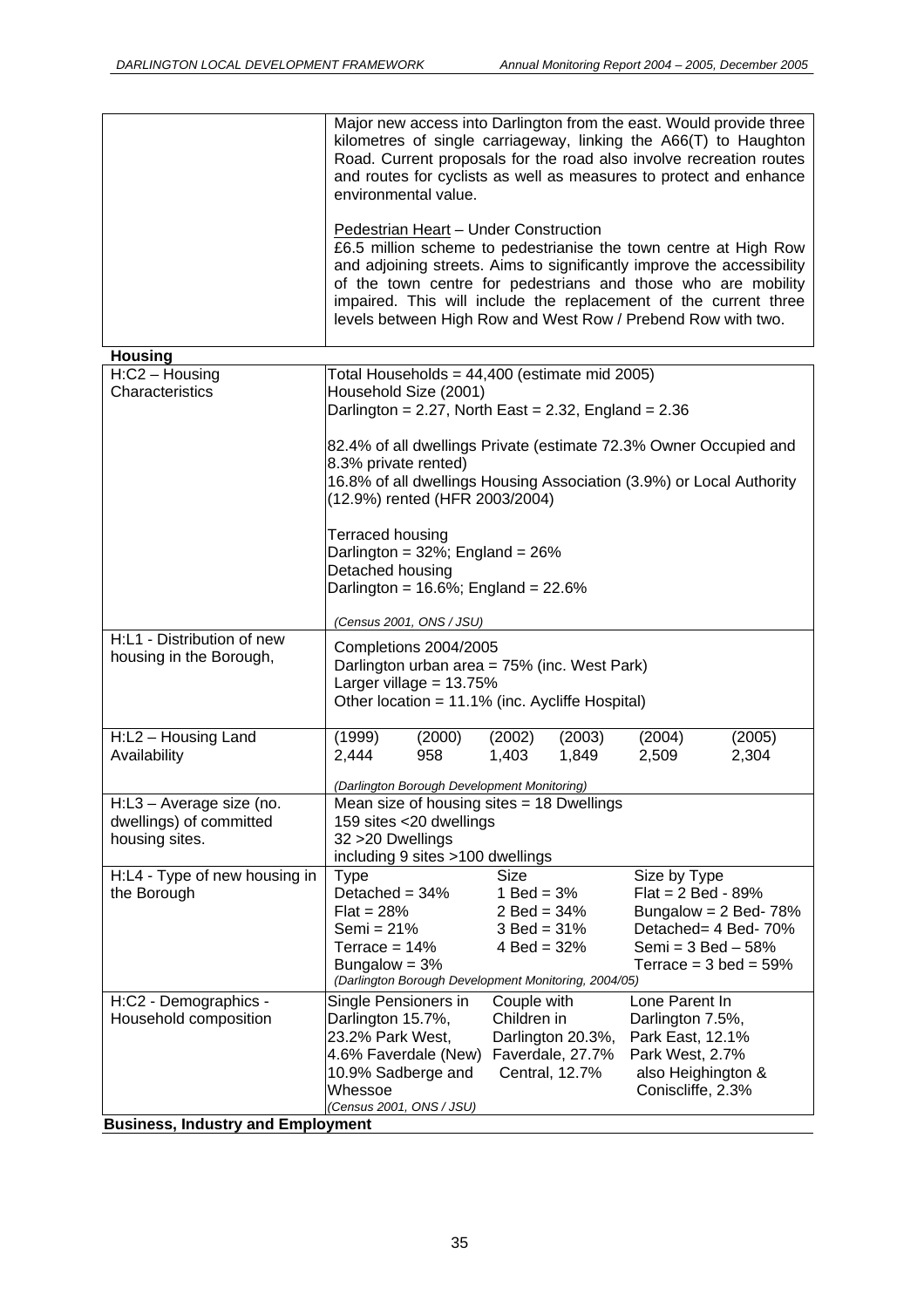|                                                                       | Major new access into Darlington from the east. Would provide three<br>kilometres of single carriageway, linking the A66(T) to Haughton<br>Road. Current proposals for the road also involve recreation routes<br>and routes for cyclists as well as measures to protect and enhance<br>environmental value.                                                                             |                            |                                      |  |  |  |  |  |  |
|-----------------------------------------------------------------------|------------------------------------------------------------------------------------------------------------------------------------------------------------------------------------------------------------------------------------------------------------------------------------------------------------------------------------------------------------------------------------------|----------------------------|--------------------------------------|--|--|--|--|--|--|
|                                                                       | Pedestrian Heart - Under Construction<br>£6.5 million scheme to pedestrianise the town centre at High Row<br>and adjoining streets. Aims to significantly improve the accessibility<br>of the town centre for pedestrians and those who are mobility<br>impaired. This will include the replacement of the current three<br>levels between High Row and West Row / Prebend Row with two. |                            |                                      |  |  |  |  |  |  |
| <b>Housing</b>                                                        |                                                                                                                                                                                                                                                                                                                                                                                          |                            |                                      |  |  |  |  |  |  |
| $H: C2 - Housing$<br>Characteristics                                  | Total Households = 44,400 (estimate mid 2005)<br>Household Size (2001)<br>Darlington = $2.27$ , North East = $2.32$ , England = $2.36$                                                                                                                                                                                                                                                   |                            |                                      |  |  |  |  |  |  |
|                                                                       | 82.4% of all dwellings Private (estimate 72.3% Owner Occupied and<br>8.3% private rented)<br>16.8% of all dwellings Housing Association (3.9%) or Local Authority<br>(12.9%) rented (HFR 2003/2004)                                                                                                                                                                                      |                            |                                      |  |  |  |  |  |  |
|                                                                       | Terraced housing<br>Darlington = 32%; England = 26%<br>Detached housing<br>Darlington = $16.6\%$ ; England = $22.6\%$                                                                                                                                                                                                                                                                    |                            |                                      |  |  |  |  |  |  |
| H:L1 - Distribution of new                                            | (Census 2001, ONS / JSU)                                                                                                                                                                                                                                                                                                                                                                 |                            |                                      |  |  |  |  |  |  |
| housing in the Borough,                                               | Completions 2004/2005<br>Darlington urban area = 75% (inc. West Park)<br>Larger village = $13.75%$<br>Other location = 11.1% (inc. Aycliffe Hospital)                                                                                                                                                                                                                                    |                            |                                      |  |  |  |  |  |  |
| H:L2 - Housing Land                                                   | (1999)<br>(2000)                                                                                                                                                                                                                                                                                                                                                                         | (2002)<br>(2003)           | (2004)<br>(2005)                     |  |  |  |  |  |  |
| Availability                                                          | 2,444<br>958                                                                                                                                                                                                                                                                                                                                                                             | 1,849<br>1,403             | 2,304<br>2,509                       |  |  |  |  |  |  |
|                                                                       |                                                                                                                                                                                                                                                                                                                                                                                          |                            |                                      |  |  |  |  |  |  |
|                                                                       | (Darlington Borough Development Monitoring)                                                                                                                                                                                                                                                                                                                                              |                            |                                      |  |  |  |  |  |  |
| H:L3 - Average size (no.<br>dwellings) of committed<br>housing sites. | Mean size of housing sites $= 18$ Dwellings<br>159 sites <20 dwellings<br>32 > 20 Dwellings                                                                                                                                                                                                                                                                                              |                            |                                      |  |  |  |  |  |  |
|                                                                       | including 9 sites >100 dwellings                                                                                                                                                                                                                                                                                                                                                         | Size                       |                                      |  |  |  |  |  |  |
| H:L4 - Type of new housing in<br>the Borough                          | <b>Type</b><br>Detached = $34%$                                                                                                                                                                                                                                                                                                                                                          | 1 Bed = $3%$               | Size by Type<br>$Flat = 2 Bed - 89%$ |  |  |  |  |  |  |
|                                                                       | $Flat = 28%$                                                                                                                                                                                                                                                                                                                                                                             | $2$ Bed = $34%$            | Bungalow = $2$ Bed- 78%              |  |  |  |  |  |  |
|                                                                       | Semi = $21%$                                                                                                                                                                                                                                                                                                                                                                             | $3$ Bed = $31%$            | Detached= 4 Bed-70%                  |  |  |  |  |  |  |
|                                                                       | Terrace = $14%$                                                                                                                                                                                                                                                                                                                                                                          | $4$ Bed = 32%              | Semi = $3$ Bed $-58%$                |  |  |  |  |  |  |
|                                                                       | Bungalow = $3%$                                                                                                                                                                                                                                                                                                                                                                          |                            | Terrace = $3$ bed = $59\%$           |  |  |  |  |  |  |
| H:C2 - Demographics -                                                 | (Darlington Borough Development Monitoring, 2004/05)                                                                                                                                                                                                                                                                                                                                     |                            | Lone Parent In                       |  |  |  |  |  |  |
| Household composition                                                 | Single Pensioners in<br>Darlington 15.7%,                                                                                                                                                                                                                                                                                                                                                | Couple with<br>Children in | Darlington 7.5%,                     |  |  |  |  |  |  |
|                                                                       | 23.2% Park West,                                                                                                                                                                                                                                                                                                                                                                         | Darlington 20.3%,          | Park East, 12.1%                     |  |  |  |  |  |  |
|                                                                       | 4.6% Faverdale (New)                                                                                                                                                                                                                                                                                                                                                                     | Faverdale, 27.7%           | Park West, 2.7%                      |  |  |  |  |  |  |
|                                                                       | 10.9% Sadberge and                                                                                                                                                                                                                                                                                                                                                                       | Central, 12.7%             | also Heighington &                   |  |  |  |  |  |  |
|                                                                       | Whessoe                                                                                                                                                                                                                                                                                                                                                                                  |                            | Coniscliffe, 2.3%                    |  |  |  |  |  |  |
| <b>Business, Industry and Employment</b>                              | (Census 2001, ONS / JSU)                                                                                                                                                                                                                                                                                                                                                                 |                            |                                      |  |  |  |  |  |  |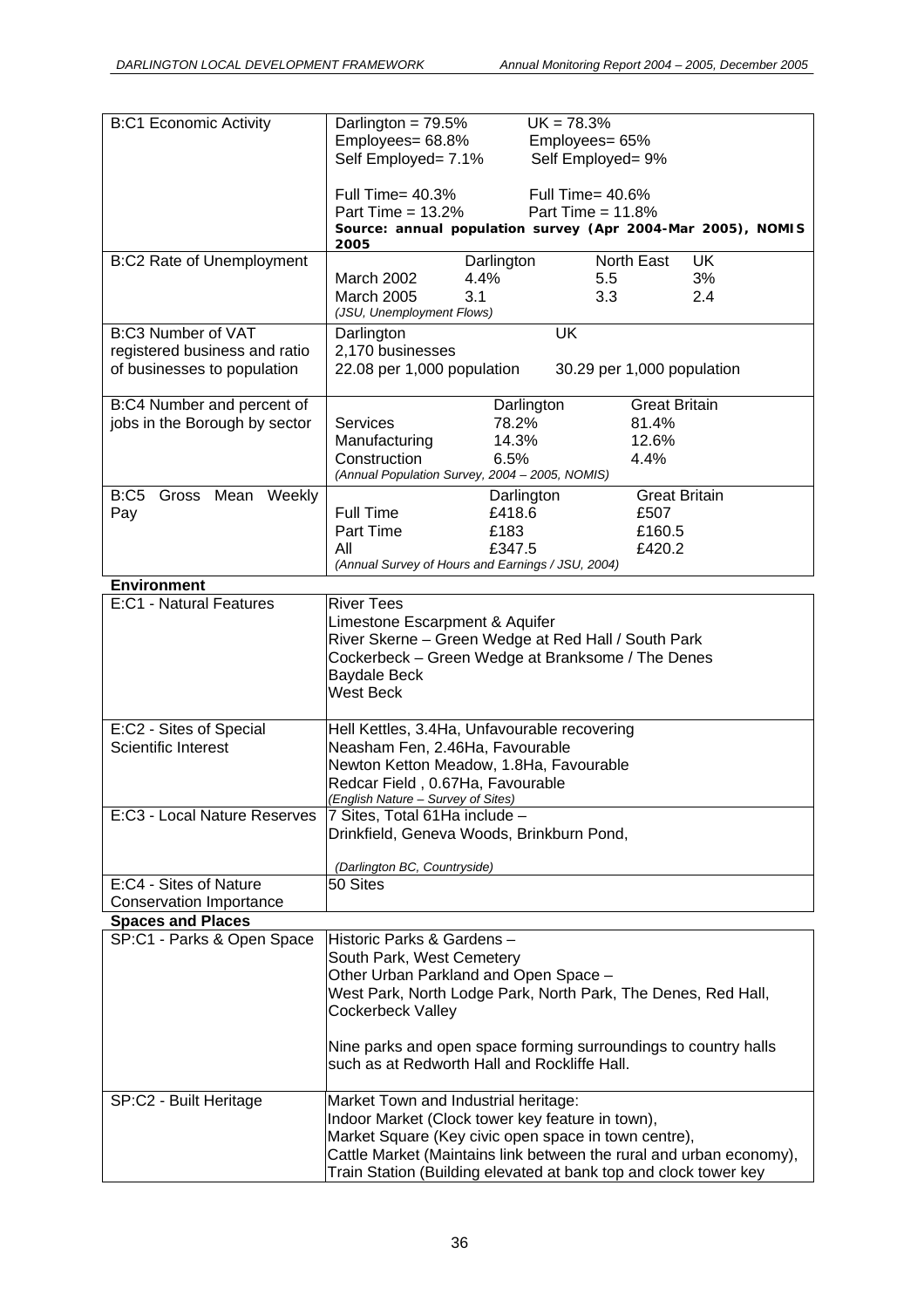| <b>B:C1 Economic Activity</b>  | Darlington = $79.5%$                              |            | $UK = 78.3%$                                                        |  |  |  |  |  |
|--------------------------------|---------------------------------------------------|------------|---------------------------------------------------------------------|--|--|--|--|--|
|                                |                                                   |            |                                                                     |  |  |  |  |  |
|                                | Employees= 68.8%                                  |            | Employees= 65%                                                      |  |  |  |  |  |
|                                | Self Employed= 7.1%                               |            | Self Employed= 9%                                                   |  |  |  |  |  |
|                                |                                                   |            |                                                                     |  |  |  |  |  |
|                                |                                                   |            |                                                                     |  |  |  |  |  |
|                                | Full Time= 40.3%                                  |            | Full Time= 40.6%                                                    |  |  |  |  |  |
|                                | Part Time = $13.2\%$                              |            | Part Time = $11.8\%$                                                |  |  |  |  |  |
|                                |                                                   |            | Source: annual population survey (Apr 2004-Mar 2005), NOMIS         |  |  |  |  |  |
|                                | 2005                                              |            |                                                                     |  |  |  |  |  |
|                                |                                                   |            |                                                                     |  |  |  |  |  |
| B:C2 Rate of Unemployment      |                                                   | Darlington | North East<br><b>UK</b>                                             |  |  |  |  |  |
|                                | March 2002                                        | 4.4%       | 3%<br>5.5                                                           |  |  |  |  |  |
|                                | <b>March 2005</b>                                 | 3.1        | 3.3<br>2.4                                                          |  |  |  |  |  |
|                                |                                                   |            |                                                                     |  |  |  |  |  |
|                                | (JSU, Unemployment Flows)                         |            |                                                                     |  |  |  |  |  |
| <b>B:C3 Number of VAT</b>      | Darlington                                        |            | <b>UK</b>                                                           |  |  |  |  |  |
| registered business and ratio  | 2,170 businesses                                  |            |                                                                     |  |  |  |  |  |
|                                |                                                   |            |                                                                     |  |  |  |  |  |
| of businesses to population    | 22.08 per 1,000 population                        |            | 30.29 per 1,000 population                                          |  |  |  |  |  |
|                                |                                                   |            |                                                                     |  |  |  |  |  |
|                                |                                                   |            | <b>Great Britain</b>                                                |  |  |  |  |  |
| B:C4 Number and percent of     |                                                   |            | Darlington                                                          |  |  |  |  |  |
| jobs in the Borough by sector  | <b>Services</b>                                   | 78.2%      | 81.4%                                                               |  |  |  |  |  |
|                                | Manufacturing                                     | 14.3%      | 12.6%                                                               |  |  |  |  |  |
|                                |                                                   |            |                                                                     |  |  |  |  |  |
|                                | Construction                                      | 6.5%       | 4.4%                                                                |  |  |  |  |  |
|                                | (Annual Population Survey, 2004 - 2005, NOMIS)    |            |                                                                     |  |  |  |  |  |
|                                |                                                   |            |                                                                     |  |  |  |  |  |
| B:C5 Gross Mean Weekly         |                                                   |            | Darlington<br><b>Great Britain</b>                                  |  |  |  |  |  |
| Pay                            | Full Time                                         | £418.6     | £507                                                                |  |  |  |  |  |
|                                | Part Time                                         | £183       | £160.5                                                              |  |  |  |  |  |
|                                |                                                   |            |                                                                     |  |  |  |  |  |
|                                | All                                               | £347.5     | £420.2                                                              |  |  |  |  |  |
|                                | (Annual Survey of Hours and Earnings / JSU, 2004) |            |                                                                     |  |  |  |  |  |
| <b>Environment</b>             |                                                   |            |                                                                     |  |  |  |  |  |
|                                |                                                   |            |                                                                     |  |  |  |  |  |
| E:C1 - Natural Features        | <b>River Tees</b>                                 |            |                                                                     |  |  |  |  |  |
|                                | Limestone Escarpment & Aquifer                    |            |                                                                     |  |  |  |  |  |
|                                |                                                   |            | River Skerne - Green Wedge at Red Hall / South Park                 |  |  |  |  |  |
|                                |                                                   |            |                                                                     |  |  |  |  |  |
|                                |                                                   |            | Cockerbeck - Green Wedge at Branksome / The Denes                   |  |  |  |  |  |
|                                | <b>Baydale Beck</b>                               |            |                                                                     |  |  |  |  |  |
|                                |                                                   |            |                                                                     |  |  |  |  |  |
|                                | <b>West Beck</b>                                  |            |                                                                     |  |  |  |  |  |
|                                |                                                   |            |                                                                     |  |  |  |  |  |
| E:C2 - Sites of Special        | Hell Kettles, 3.4Ha, Unfavourable recovering      |            |                                                                     |  |  |  |  |  |
|                                |                                                   |            |                                                                     |  |  |  |  |  |
| Scientific Interest            | Neasham Fen, 2.46Ha, Favourable                   |            |                                                                     |  |  |  |  |  |
|                                | Newton Ketton Meadow, 1.8Ha, Favourable           |            |                                                                     |  |  |  |  |  |
|                                |                                                   |            |                                                                     |  |  |  |  |  |
|                                | Redcar Field, 0.67Ha, Favourable                  |            |                                                                     |  |  |  |  |  |
|                                | (English Nature - Survey of Sites)                |            |                                                                     |  |  |  |  |  |
| E:C3 - Local Nature Reserves   | 7 Sites, Total 61Ha include -                     |            |                                                                     |  |  |  |  |  |
|                                | Drinkfield, Geneva Woods, Brinkburn Pond,         |            |                                                                     |  |  |  |  |  |
|                                |                                                   |            |                                                                     |  |  |  |  |  |
|                                |                                                   |            |                                                                     |  |  |  |  |  |
|                                | (Darlington BC, Countryside)                      |            |                                                                     |  |  |  |  |  |
| E:C4 - Sites of Nature         | 50 Sites                                          |            |                                                                     |  |  |  |  |  |
|                                |                                                   |            |                                                                     |  |  |  |  |  |
| <b>Conservation Importance</b> |                                                   |            |                                                                     |  |  |  |  |  |
| <b>Spaces and Places</b>       |                                                   |            |                                                                     |  |  |  |  |  |
| SP:C1 - Parks & Open Space     | Historic Parks & Gardens -                        |            |                                                                     |  |  |  |  |  |
|                                |                                                   |            |                                                                     |  |  |  |  |  |
|                                | South Park, West Cemetery                         |            |                                                                     |  |  |  |  |  |
|                                | Other Urban Parkland and Open Space -             |            |                                                                     |  |  |  |  |  |
|                                |                                                   |            |                                                                     |  |  |  |  |  |
|                                |                                                   |            | West Park, North Lodge Park, North Park, The Denes, Red Hall,       |  |  |  |  |  |
|                                | Cockerbeck Valley                                 |            |                                                                     |  |  |  |  |  |
|                                |                                                   |            |                                                                     |  |  |  |  |  |
|                                |                                                   |            |                                                                     |  |  |  |  |  |
|                                |                                                   |            | Nine parks and open space forming surroundings to country halls     |  |  |  |  |  |
|                                | such as at Redworth Hall and Rockliffe Hall.      |            |                                                                     |  |  |  |  |  |
|                                |                                                   |            |                                                                     |  |  |  |  |  |
|                                |                                                   |            |                                                                     |  |  |  |  |  |
| SP:C2 - Built Heritage         | Market Town and Industrial heritage:              |            |                                                                     |  |  |  |  |  |
|                                |                                                   |            | Indoor Market (Clock tower key feature in town),                    |  |  |  |  |  |
|                                |                                                   |            | Market Square (Key civic open space in town centre),                |  |  |  |  |  |
|                                |                                                   |            |                                                                     |  |  |  |  |  |
|                                |                                                   |            | Cattle Market (Maintains link between the rural and urban economy), |  |  |  |  |  |
|                                |                                                   |            | Train Station (Building elevated at bank top and clock tower key    |  |  |  |  |  |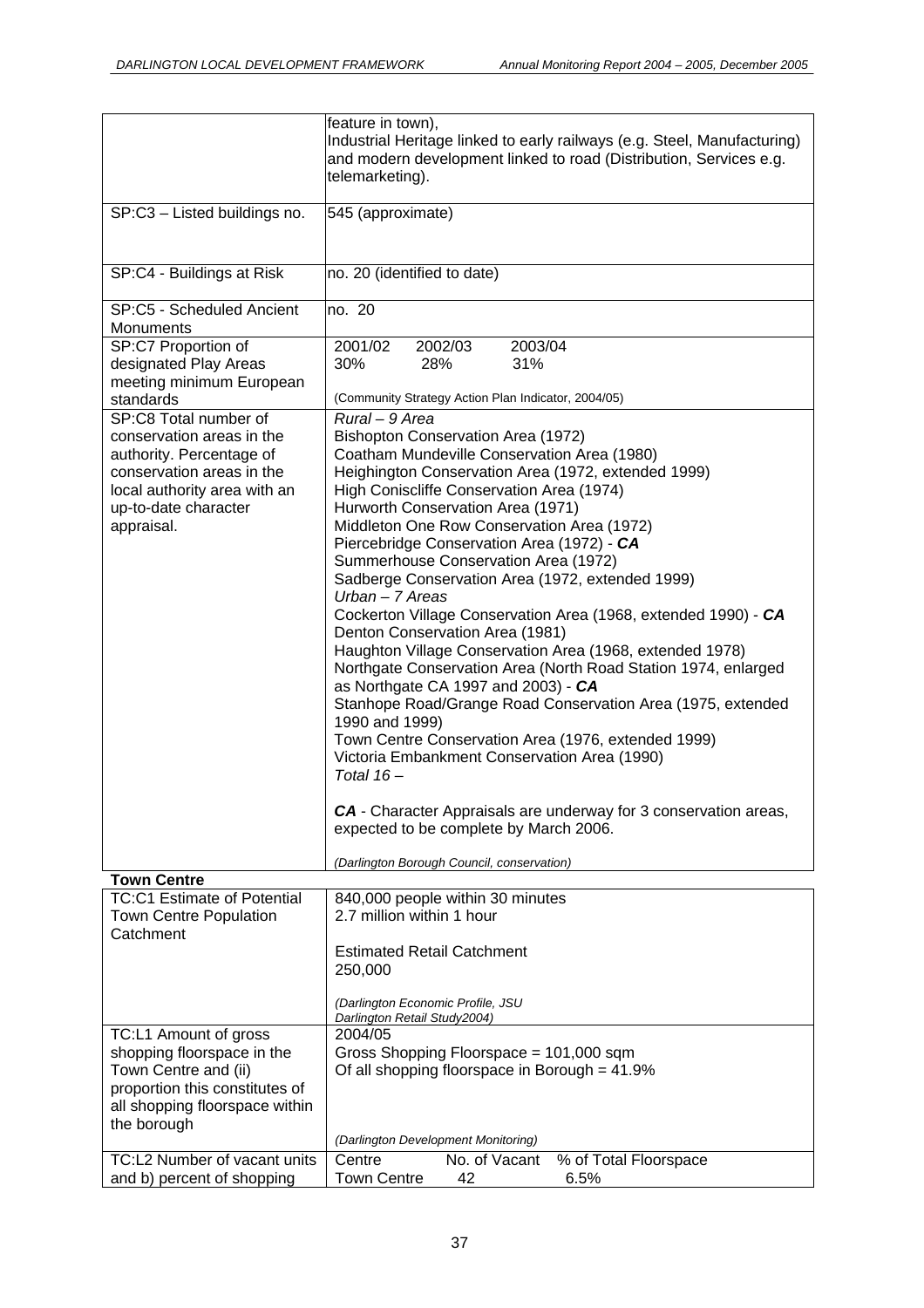|                                                                                                                                                                                   | feature in town),<br>Industrial Heritage linked to early railways (e.g. Steel, Manufacturing)<br>and modern development linked to road (Distribution, Services e.g.<br>telemarketing).                                                                                                                                                                                                                                                                                                                                                                                                                                                                                                                                                                                                                                                                                                                                                                                                                                                                   |
|-----------------------------------------------------------------------------------------------------------------------------------------------------------------------------------|----------------------------------------------------------------------------------------------------------------------------------------------------------------------------------------------------------------------------------------------------------------------------------------------------------------------------------------------------------------------------------------------------------------------------------------------------------------------------------------------------------------------------------------------------------------------------------------------------------------------------------------------------------------------------------------------------------------------------------------------------------------------------------------------------------------------------------------------------------------------------------------------------------------------------------------------------------------------------------------------------------------------------------------------------------|
| SP:C3 - Listed buildings no.                                                                                                                                                      | 545 (approximate)                                                                                                                                                                                                                                                                                                                                                                                                                                                                                                                                                                                                                                                                                                                                                                                                                                                                                                                                                                                                                                        |
| SP:C4 - Buildings at Risk                                                                                                                                                         | no. 20 (identified to date)                                                                                                                                                                                                                                                                                                                                                                                                                                                                                                                                                                                                                                                                                                                                                                                                                                                                                                                                                                                                                              |
| SP:C5 - Scheduled Ancient<br>Monuments                                                                                                                                            | no. 20                                                                                                                                                                                                                                                                                                                                                                                                                                                                                                                                                                                                                                                                                                                                                                                                                                                                                                                                                                                                                                                   |
| SP:C7 Proportion of<br>designated Play Areas<br>meeting minimum European                                                                                                          | 2001/02<br>2002/03<br>2003/04<br>30%<br>28%<br>31%<br>(Community Strategy Action Plan Indicator, 2004/05)                                                                                                                                                                                                                                                                                                                                                                                                                                                                                                                                                                                                                                                                                                                                                                                                                                                                                                                                                |
| standards                                                                                                                                                                         |                                                                                                                                                                                                                                                                                                                                                                                                                                                                                                                                                                                                                                                                                                                                                                                                                                                                                                                                                                                                                                                          |
| SP:C8 Total number of<br>conservation areas in the<br>authority. Percentage of<br>conservation areas in the<br>local authority area with an<br>up-to-date character<br>appraisal. | Rural - 9 Area<br>Bishopton Conservation Area (1972)<br>Coatham Mundeville Conservation Area (1980)<br>Heighington Conservation Area (1972, extended 1999)<br>High Coniscliffe Conservation Area (1974)<br>Hurworth Conservation Area (1971)<br>Middleton One Row Conservation Area (1972)<br>Piercebridge Conservation Area (1972) - CA<br>Summerhouse Conservation Area (1972)<br>Sadberge Conservation Area (1972, extended 1999)<br>$Urban - 7 Areas$<br>Cockerton Village Conservation Area (1968, extended 1990) - CA<br>Denton Conservation Area (1981)<br>Haughton Village Conservation Area (1968, extended 1978)<br>Northgate Conservation Area (North Road Station 1974, enlarged<br>as Northgate CA 1997 and 2003) - CA<br>Stanhope Road/Grange Road Conservation Area (1975, extended<br>1990 and 1999)<br>Town Centre Conservation Area (1976, extended 1999)<br>Victoria Embankment Conservation Area (1990)<br>Total $16-$<br>CA - Character Appraisals are underway for 3 conservation areas,<br>expected to be complete by March 2006. |
|                                                                                                                                                                                   | (Darlington Borough Council, conservation)                                                                                                                                                                                                                                                                                                                                                                                                                                                                                                                                                                                                                                                                                                                                                                                                                                                                                                                                                                                                               |
| <b>Town Centre</b>                                                                                                                                                                |                                                                                                                                                                                                                                                                                                                                                                                                                                                                                                                                                                                                                                                                                                                                                                                                                                                                                                                                                                                                                                                          |
| <b>TC:C1 Estimate of Potential</b><br><b>Town Centre Population</b><br>Catchment                                                                                                  | 840,000 people within 30 minutes<br>2.7 million within 1 hour                                                                                                                                                                                                                                                                                                                                                                                                                                                                                                                                                                                                                                                                                                                                                                                                                                                                                                                                                                                            |
|                                                                                                                                                                                   | <b>Estimated Retail Catchment</b><br>250,000<br>(Darlington Economic Profile, JSU                                                                                                                                                                                                                                                                                                                                                                                                                                                                                                                                                                                                                                                                                                                                                                                                                                                                                                                                                                        |
|                                                                                                                                                                                   | Darlington Retail Study2004)                                                                                                                                                                                                                                                                                                                                                                                                                                                                                                                                                                                                                                                                                                                                                                                                                                                                                                                                                                                                                             |
| TC:L1 Amount of gross<br>shopping floorspace in the<br>Town Centre and (ii)<br>proportion this constitutes of<br>all shopping floorspace within<br>the borough                    | 2004/05<br>Gross Shopping Floorspace = 101,000 sqm<br>Of all shopping floorspace in Borough = $41.9\%$                                                                                                                                                                                                                                                                                                                                                                                                                                                                                                                                                                                                                                                                                                                                                                                                                                                                                                                                                   |
|                                                                                                                                                                                   | (Darlington Development Monitoring)                                                                                                                                                                                                                                                                                                                                                                                                                                                                                                                                                                                                                                                                                                                                                                                                                                                                                                                                                                                                                      |
| TC:L2 Number of vacant units<br>and b) percent of shopping                                                                                                                        | No. of Vacant<br>% of Total Floorspace<br>Centre<br><b>Town Centre</b><br>6.5%<br>42                                                                                                                                                                                                                                                                                                                                                                                                                                                                                                                                                                                                                                                                                                                                                                                                                                                                                                                                                                     |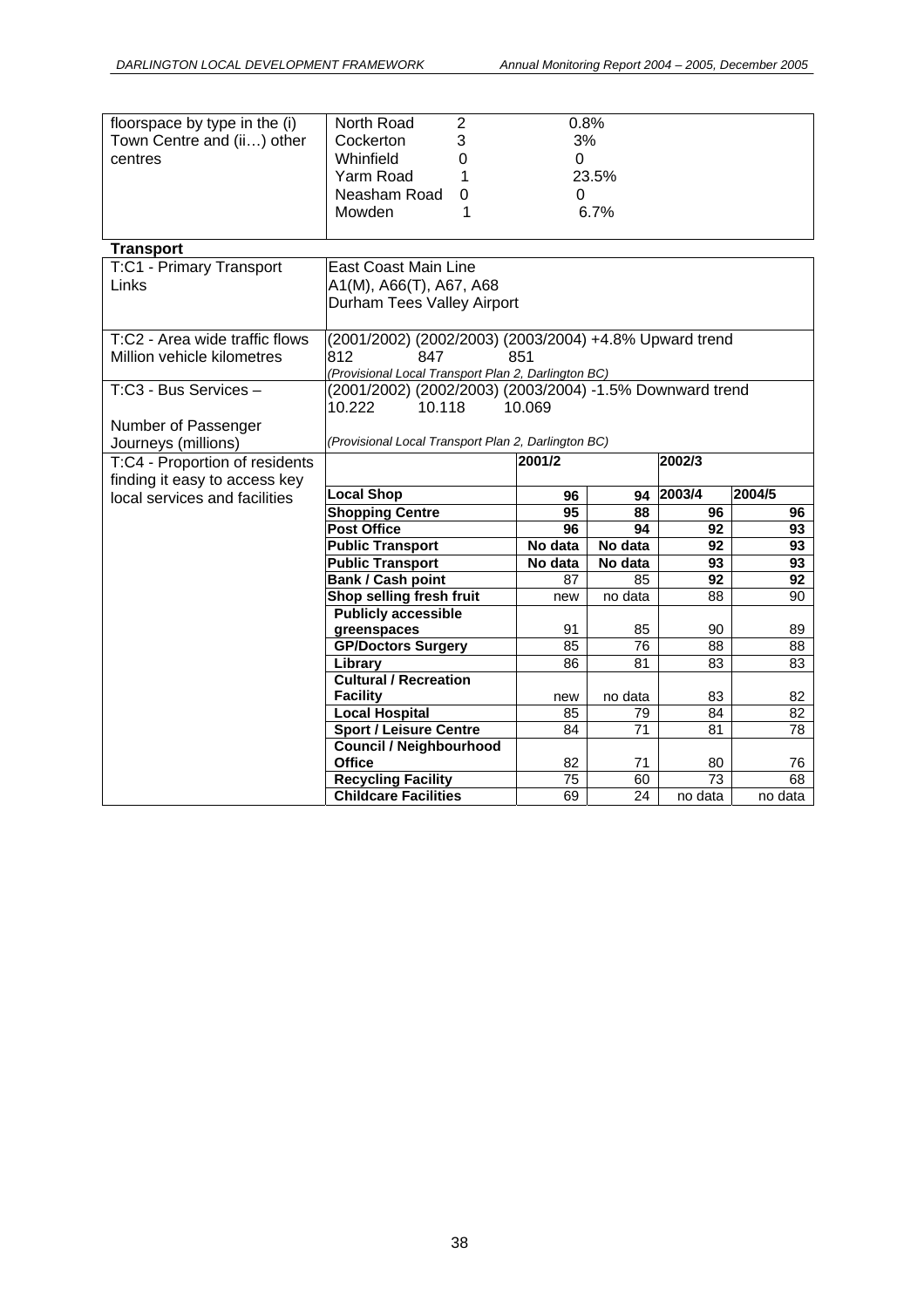| floorspace by type in the (i)  | North Road                                               | $\overline{2}$   | 0.8%      |               |                            |               |  |  |  |
|--------------------------------|----------------------------------------------------------|------------------|-----------|---------------|----------------------------|---------------|--|--|--|
| Town Centre and (ii) other     | Cockerton                                                | 3                | 3%        |               |                            |               |  |  |  |
| centres                        | Whinfield                                                | $\boldsymbol{0}$ | $\Omega$  |               |                            |               |  |  |  |
|                                | Yarm Road                                                | 1                | 23.5%     |               |                            |               |  |  |  |
|                                | Neasham Road                                             | 0                | 0         |               |                            |               |  |  |  |
|                                | Mowden                                                   | 1                |           | 6.7%          |                            |               |  |  |  |
|                                |                                                          |                  |           |               |                            |               |  |  |  |
| <b>Transport</b>               |                                                          |                  |           |               |                            |               |  |  |  |
| T:C1 - Primary Transport       | <b>East Coast Main Line</b>                              |                  |           |               |                            |               |  |  |  |
| Links                          | A1(M), A66(T), A67, A68                                  |                  |           |               |                            |               |  |  |  |
|                                | Durham Tees Valley Airport                               |                  |           |               |                            |               |  |  |  |
|                                |                                                          |                  |           |               |                            |               |  |  |  |
| T:C2 - Area wide traffic flows | (2001/2002) (2002/2003) (2003/2004) +4.8% Upward trend   |                  |           |               |                            |               |  |  |  |
| Million vehicle kilometres     | 812<br>847                                               |                  | 851       |               |                            |               |  |  |  |
|                                | (Provisional Local Transport Plan 2, Darlington BC)      |                  |           |               |                            |               |  |  |  |
| T:C3 - Bus Services -          | (2001/2002) (2002/2003) (2003/2004) -1.5% Downward trend |                  |           |               |                            |               |  |  |  |
|                                | 10.118<br>10.222                                         |                  | 10.069    |               |                            |               |  |  |  |
| Number of Passenger            |                                                          |                  |           |               |                            |               |  |  |  |
| Journeys (millions)            | (Provisional Local Transport Plan 2, Darlington BC)      |                  |           |               |                            |               |  |  |  |
| T:C4 - Proportion of residents |                                                          |                  | 2001/2    |               | 2002/3                     |               |  |  |  |
|                                |                                                          |                  |           |               |                            |               |  |  |  |
| finding it easy to access key  |                                                          |                  |           |               |                            |               |  |  |  |
| local services and facilities  | <b>Local Shop</b>                                        |                  | 96        | 94            | 2003/4                     | 2004/5        |  |  |  |
|                                | <b>Shopping Centre</b>                                   |                  | 95        | 88            | 96                         | 96            |  |  |  |
|                                | <b>Post Office</b>                                       |                  | 96        | 94            | 92                         | 93            |  |  |  |
|                                | <b>Public Transport</b>                                  |                  | No data   | No data       | 92                         | 93            |  |  |  |
|                                | <b>Public Transport</b>                                  |                  | No data   | No data       | 93                         | 93            |  |  |  |
|                                | Bank / Cash point                                        |                  | 87        | 85            | 92                         | 92            |  |  |  |
|                                | Shop selling fresh fruit                                 |                  | new       | no data       | 88                         | 90            |  |  |  |
|                                | <b>Publicly accessible</b>                               |                  |           |               |                            |               |  |  |  |
|                                | greenspaces                                              |                  | 91        | 85            | 90                         | 89            |  |  |  |
|                                | <b>GP/Doctors Surgery</b>                                |                  | 85        | 76            | 88                         | 88            |  |  |  |
|                                | Library                                                  |                  | 86        | 81            | 83                         | 83            |  |  |  |
|                                | <b>Cultural / Recreation</b>                             |                  |           |               |                            |               |  |  |  |
|                                | <b>Facility</b>                                          |                  | new<br>85 | no data<br>79 | 83<br>84                   | 82<br>82      |  |  |  |
|                                | <b>Local Hospital</b><br><b>Sport / Leisure Centre</b>   |                  | 84        | 71            | 81                         | 78            |  |  |  |
|                                | <b>Council / Neighbourhood</b>                           |                  |           |               |                            |               |  |  |  |
|                                | <b>Office</b>                                            |                  | 82        | 71            | 80                         | 76            |  |  |  |
|                                | <b>Recycling Facility</b><br><b>Childcare Facilities</b> |                  | 75<br>69  | 60<br>24      | $\overline{73}$<br>no data | 68<br>no data |  |  |  |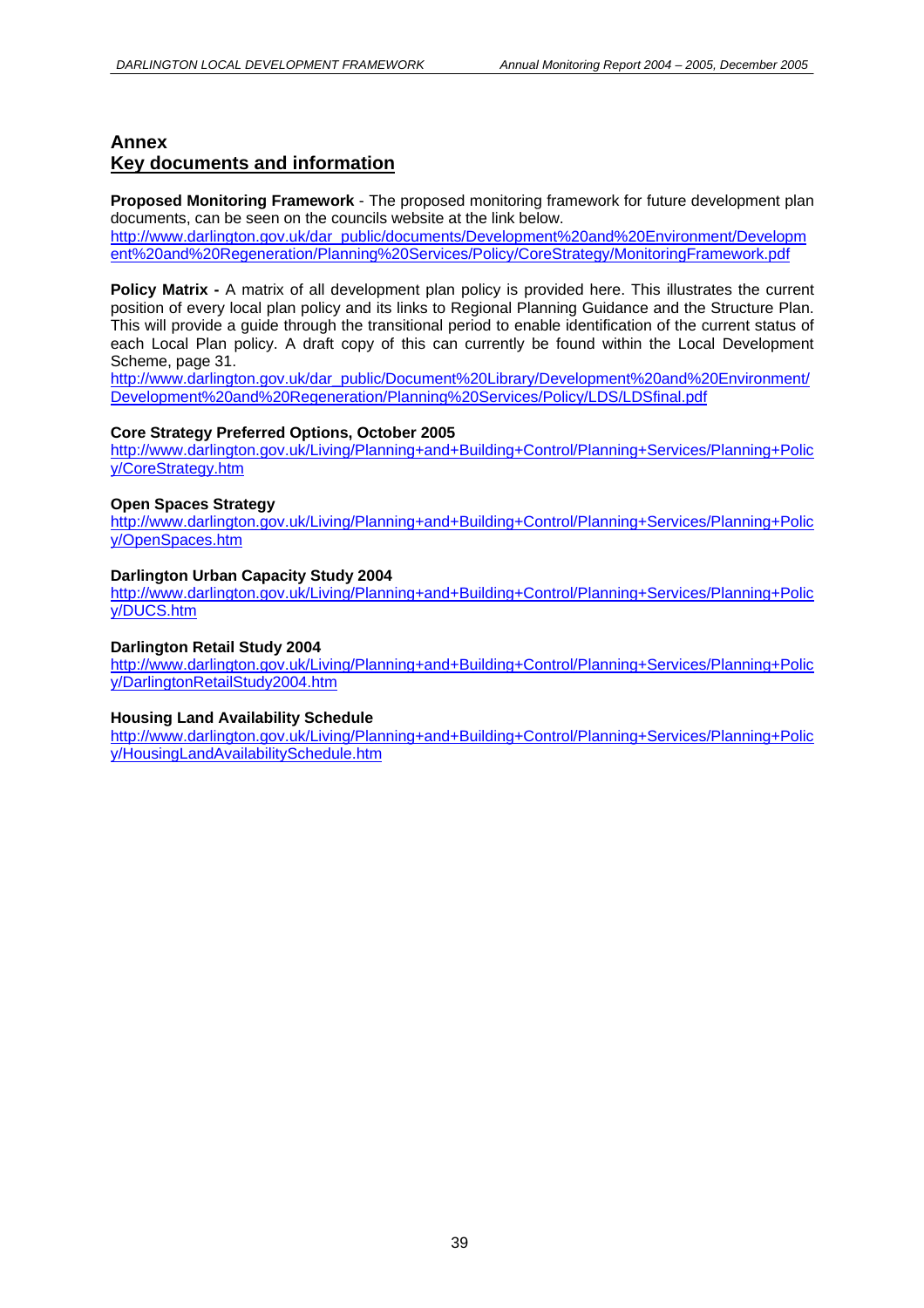# **Annex Key documents and information**

**Proposed Monitoring Framework** - The proposed monitoring framework for future development plan documents, can be seen on the councils website at the link below.

http://www.darlington.gov.uk/dar\_public/documents/Development%20and%20Environment/Developm ent%20and%20Regeneration/Planning%20Services/Policy/CoreStrategy/MonitoringFramework.pdf

**Policy Matrix - A matrix of all development plan policy is provided here. This illustrates the current** position of every local plan policy and its links to Regional Planning Guidance and the Structure Plan. This will provide a guide through the transitional period to enable identification of the current status of each Local Plan policy. A draft copy of this can currently be found within the Local Development Scheme, page 31.

http://www.darlington.gov.uk/dar\_public/Document%20Library/Development%20and%20Environment/ Development%20and%20Regeneration/Planning%20Services/Policy/LDS/LDSfinal.pdf

#### **Core Strategy Preferred Options, October 2005**

http://www.darlington.gov.uk/Living/Planning+and+Building+Control/Planning+Services/Planning+Polic y/CoreStrategy.htm

#### **Open Spaces Strategy**

http://www.darlington.gov.uk/Living/Planning+and+Building+Control/Planning+Services/Planning+Polic y/OpenSpaces.htm

#### **Darlington Urban Capacity Study 2004**

http://www.darlington.gov.uk/Living/Planning+and+Building+Control/Planning+Services/Planning+Polic y/DUCS.htm

#### **Darlington Retail Study 2004**

http://www.darlington.gov.uk/Living/Planning+and+Building+Control/Planning+Services/Planning+Polic y/DarlingtonRetailStudy2004.htm

#### **Housing Land Availability Schedule**

http://www.darlington.gov.uk/Living/Planning+and+Building+Control/Planning+Services/Planning+Polic y/HousingLandAvailabilitySchedule.htm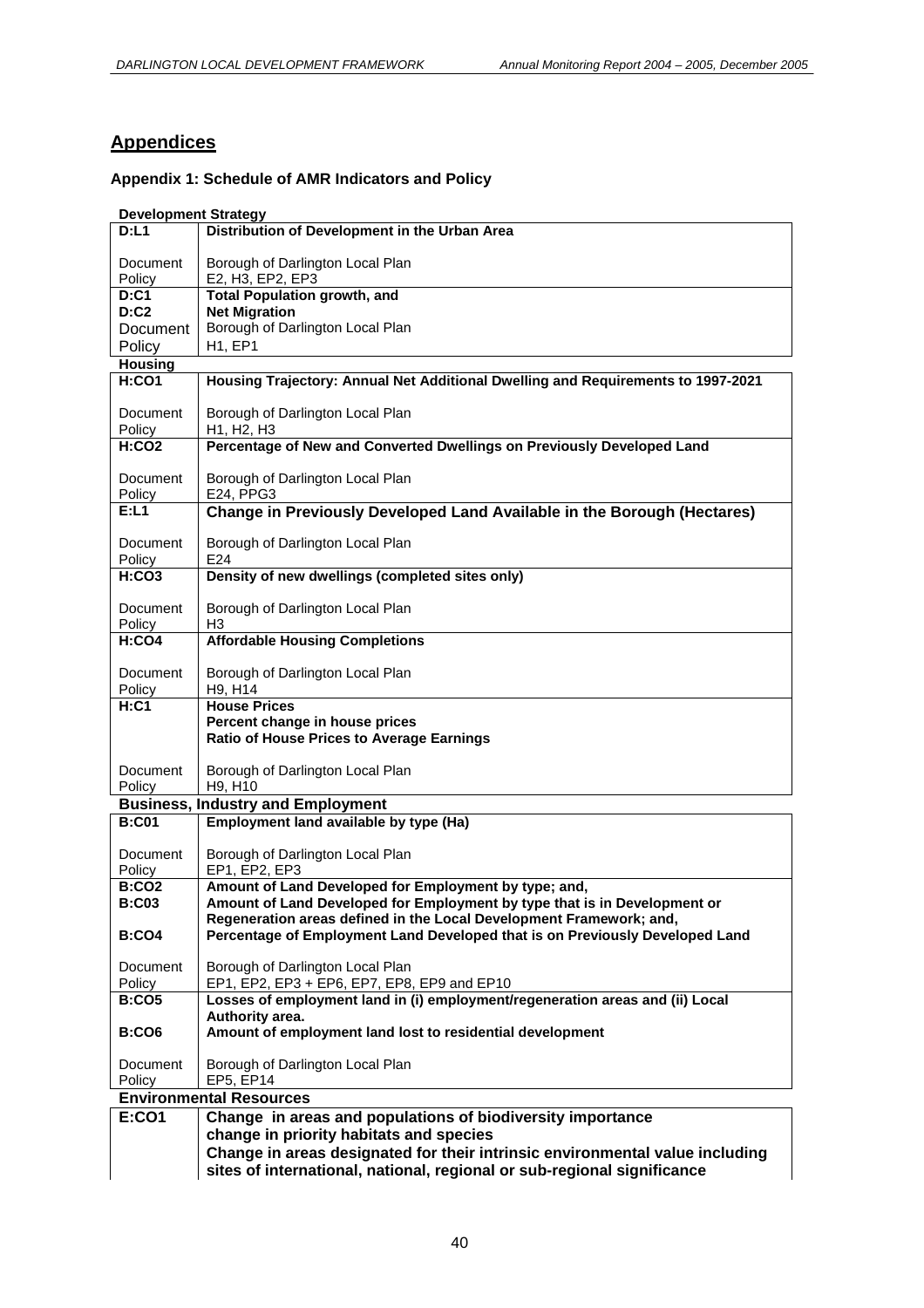# **Appendices**

#### **Appendix 1: Schedule of AMR Indicators and Policy**

#### **Development Strategy**

| D: L1              | Distribution of Development in the Urban Area                                        |
|--------------------|--------------------------------------------------------------------------------------|
|                    |                                                                                      |
| Document           | Borough of Darlington Local Plan                                                     |
| Policy<br>D: C1    | E2, H3, EP2, EP3<br><b>Total Population growth, and</b>                              |
| D: C2              | <b>Net Migration</b>                                                                 |
|                    | Borough of Darlington Local Plan                                                     |
| Document           |                                                                                      |
| Policy             | <b>H1, EP1</b>                                                                       |
| <b>Housing</b>     |                                                                                      |
| H:CO1              | Housing Trajectory: Annual Net Additional Dwelling and Requirements to 1997-2021     |
| Document<br>Policy | Borough of Darlington Local Plan<br>H <sub>1</sub> . H <sub>2</sub> . H <sub>3</sub> |
| <b>H:CO2</b>       | Percentage of New and Converted Dwellings on Previously Developed Land               |
| Document           | Borough of Darlington Local Plan                                                     |
| Policy             | E24, PPG3                                                                            |
| E: L1              | Change in Previously Developed Land Available in the Borough (Hectares)              |
| Document<br>Policy | Borough of Darlington Local Plan<br>E24                                              |
| H:CO3              | Density of new dwellings (completed sites only)                                      |
| Document<br>Policy | Borough of Darlington Local Plan<br>H3                                               |
| H:CO4              | <b>Affordable Housing Completions</b>                                                |
| Document<br>Policy | Borough of Darlington Local Plan<br>H9, H14                                          |
| $H:$ C1            | <b>House Prices</b>                                                                  |
|                    | Percent change in house prices                                                       |
|                    | <b>Ratio of House Prices to Average Earnings</b>                                     |
|                    |                                                                                      |
| Document           | Borough of Darlington Local Plan                                                     |
| Policy             | H9, H10                                                                              |
|                    | <b>Business, Industry and Employment</b>                                             |
| <b>B:C01</b>       | Employment land available by type (Ha)                                               |
| Document<br>Policy | Borough of Darlington Local Plan<br>EP1, EP2, EP3                                    |
| <b>B:CO2</b>       | Amount of Land Developed for Employment by type; and,                                |
| <b>B:C03</b>       | Amount of Land Developed for Employment by type that is in Development or            |
|                    | Regeneration areas defined in the Local Development Framework; and,                  |
| <b>B:CO4</b>       | Percentage of Employment Land Developed that is on Previously Developed Land         |
| Document           | Borough of Darlington Local Plan                                                     |
| Policy             | EP1, EP2, EP3 + EP6, EP7, EP8, EP9 and EP10                                          |
| <b>B:CO5</b>       | Losses of employment land in (i) employment/regeneration areas and (ii) Local        |
|                    | Authority area.                                                                      |
| <b>B:CO6</b>       | Amount of employment land lost to residential development                            |
| Document           | Borough of Darlington Local Plan                                                     |
| Policy             | EP5, EP14                                                                            |
|                    | <b>Environmental Resources</b>                                                       |
| <b>E:CO1</b>       | Change in areas and populations of biodiversity importance                           |
|                    |                                                                                      |
|                    | change in priority habitats and species                                              |
|                    | Change in areas designated for their intrinsic environmental value including         |
|                    | sites of international, national, regional or sub-regional significance              |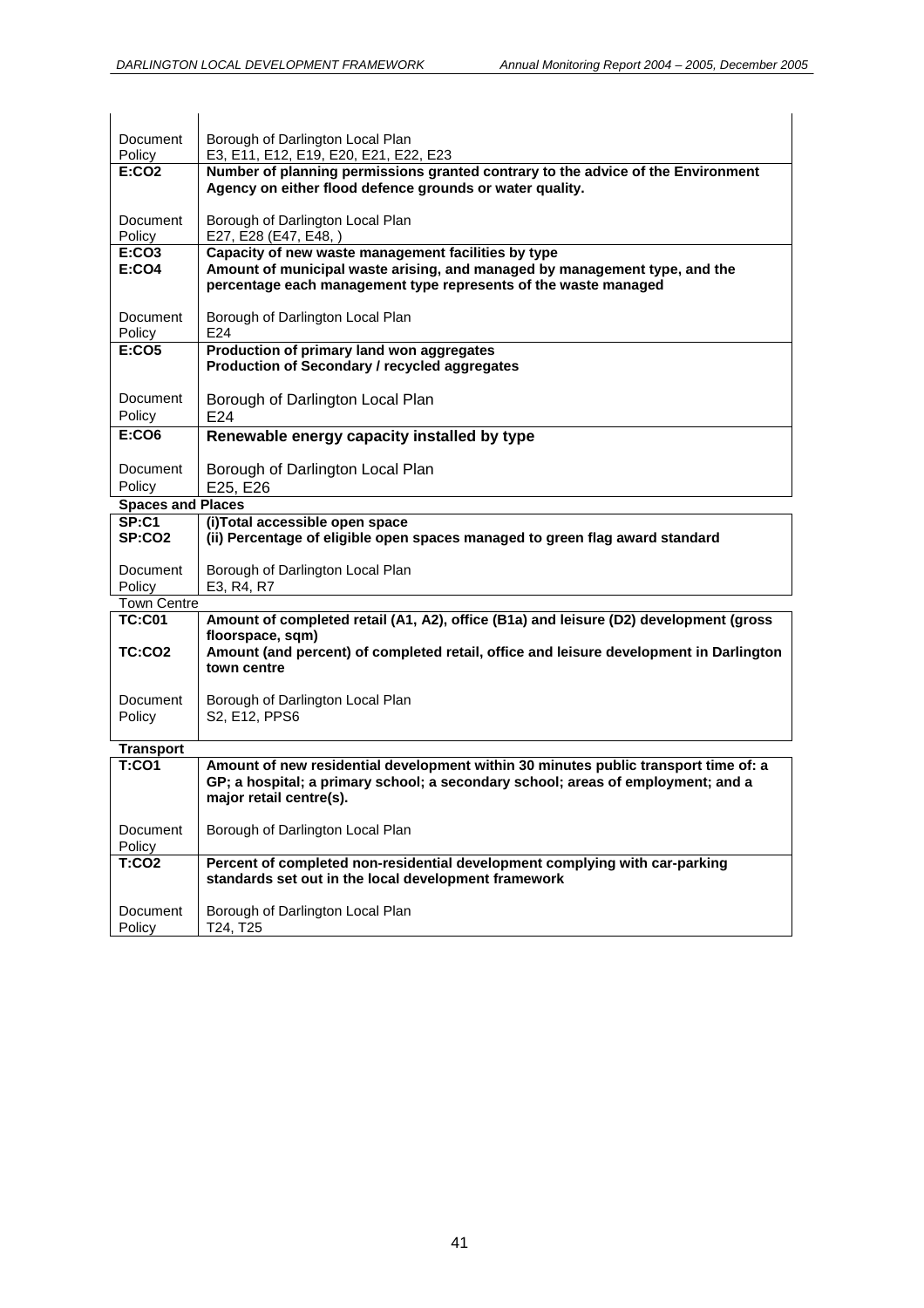| Document                     | Borough of Darlington Local Plan                                                                                                                                                                     |
|------------------------------|------------------------------------------------------------------------------------------------------------------------------------------------------------------------------------------------------|
| Policy                       | E3, E11, E12, E19, E20, E21, E22, E23                                                                                                                                                                |
| <b>E:CO2</b>                 | Number of planning permissions granted contrary to the advice of the Environment<br>Agency on either flood defence grounds or water quality.                                                         |
| Document<br>Policy           | Borough of Darlington Local Plan<br>E27, E28 (E47, E48, )                                                                                                                                            |
| <b>E:CO3</b><br><b>E:CO4</b> | Capacity of new waste management facilities by type<br>Amount of municipal waste arising, and managed by management type, and the<br>percentage each management type represents of the waste managed |
| Document<br>Policy           | Borough of Darlington Local Plan<br>E24                                                                                                                                                              |
| <b>E:CO5</b>                 | Production of primary land won aggregates<br>Production of Secondary / recycled aggregates                                                                                                           |
| Document<br>Policy           | Borough of Darlington Local Plan<br>E24                                                                                                                                                              |
| <b>E:CO6</b>                 | Renewable energy capacity installed by type                                                                                                                                                          |
|                              |                                                                                                                                                                                                      |
| Document<br>Policy           | Borough of Darlington Local Plan<br>E25, E26                                                                                                                                                         |
| <b>Spaces and Places</b>     |                                                                                                                                                                                                      |
| SP: C1                       | (i)Total accessible open space                                                                                                                                                                       |
| <b>SP:CO2</b>                | (ii) Percentage of eligible open spaces managed to green flag award standard                                                                                                                         |
| Document<br>Policy           | Borough of Darlington Local Plan<br>E3, R4, R7                                                                                                                                                       |
| <b>Town Centre</b>           |                                                                                                                                                                                                      |
| <b>TC:C01</b>                | Amount of completed retail (A1, A2), office (B1a) and leisure (D2) development (gross<br>floorspace, sqm)                                                                                            |
| TC:CO2                       | Amount (and percent) of completed retail, office and leisure development in Darlington<br>town centre                                                                                                |
| Document<br>Policy           | Borough of Darlington Local Plan<br>S2, E12, PPS6                                                                                                                                                    |
| <b>Transport</b>             |                                                                                                                                                                                                      |
| T:CO1                        | Amount of new residential development within 30 minutes public transport time of: a<br>GP; a hospital; a primary school; a secondary school; areas of employment; and a<br>major retail centre(s).   |
| Document<br>Policy           | Borough of Darlington Local Plan                                                                                                                                                                     |
| <b>T:CO2</b>                 | Percent of completed non-residential development complying with car-parking<br>standards set out in the local development framework                                                                  |
| Document<br>Policy           | Borough of Darlington Local Plan<br>T24, T25                                                                                                                                                         |
|                              |                                                                                                                                                                                                      |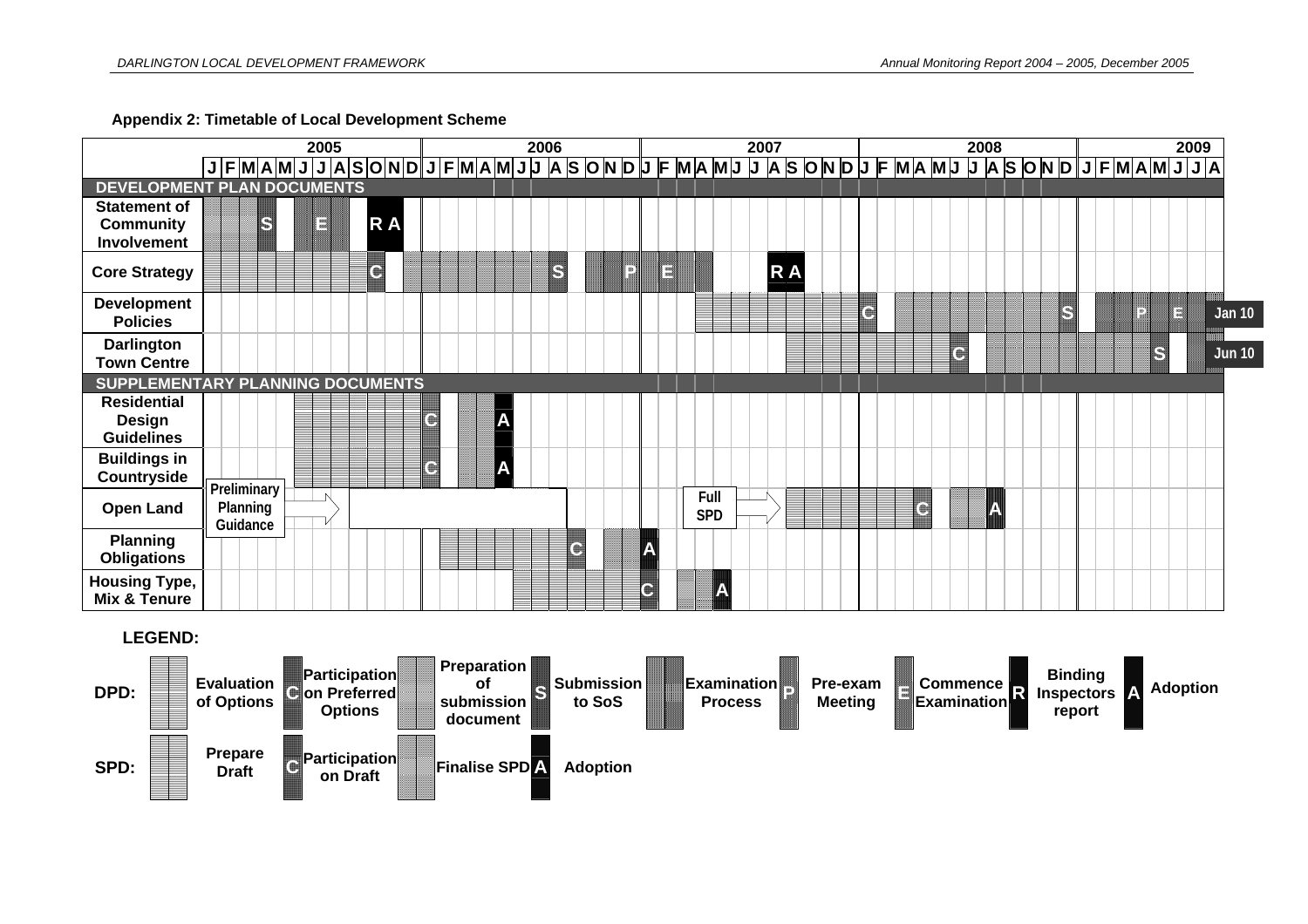**Appendix 2: Timetable of Local Development Scheme** 



#### **LEGEND:**

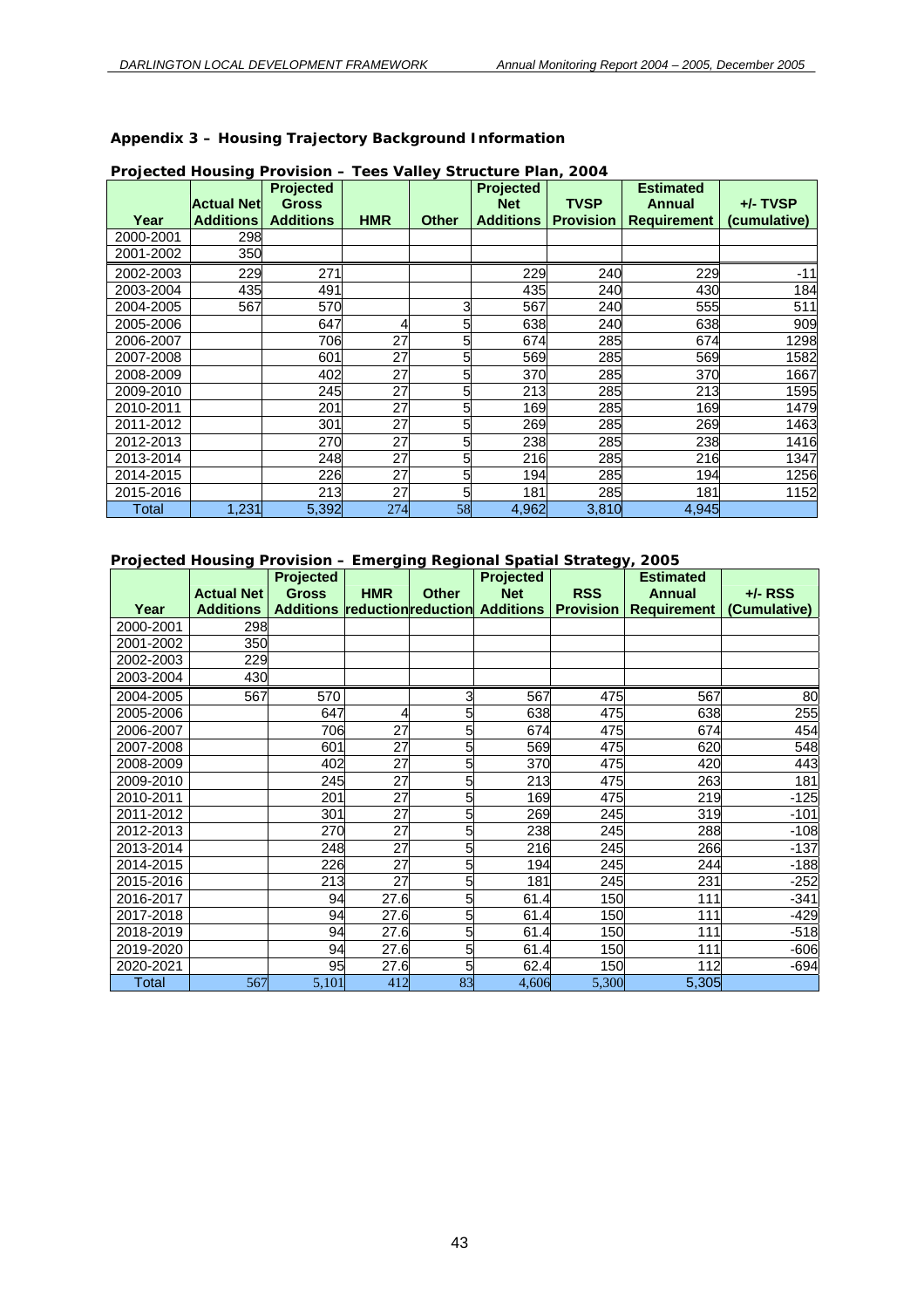**Appendix 3 – Housing Trajectory Background Information** 

| Year      | <b>Actual Net</b><br><b>Additions</b> | <b>Projected</b><br><b>Gross</b><br><b>Additions</b> | <b>HMR</b> | <b>Other</b> | <b>Projected</b><br><b>Net</b><br><b>Additions</b> | <b>TVSP</b><br><b>Provision</b> | <b>Estimated</b><br><b>Annual</b><br><b>Requirement</b> | $+/-$ TVSP<br>(cumulative) |
|-----------|---------------------------------------|------------------------------------------------------|------------|--------------|----------------------------------------------------|---------------------------------|---------------------------------------------------------|----------------------------|
| 2000-2001 | 298                                   |                                                      |            |              |                                                    |                                 |                                                         |                            |
| 2001-2002 | 350                                   |                                                      |            |              |                                                    |                                 |                                                         |                            |
| 2002-2003 | 229                                   | 271                                                  |            |              | 229                                                | 240                             | 229                                                     | $-11$                      |
| 2003-2004 | 435                                   | 491                                                  |            |              | 435                                                | 240                             | 430                                                     | 184                        |
| 2004-2005 | 567                                   | 570                                                  |            | 3            | 567                                                | 240                             | 555                                                     | 511                        |
| 2005-2006 |                                       | 647                                                  |            |              | 638                                                | 240                             | 638                                                     | 909                        |
| 2006-2007 |                                       | 706                                                  | 27         | 5            | 674                                                | 285                             | 674                                                     | 1298                       |
| 2007-2008 |                                       | 601                                                  | 27         | 5            | 569                                                | 285                             | 569                                                     | 1582                       |
| 2008-2009 |                                       | 402                                                  | 27         |              | 370                                                | 285                             | 370                                                     | 1667                       |
| 2009-2010 |                                       | 245                                                  | 27         | 5            | 213                                                | 285                             | 213                                                     | 1595                       |
| 2010-2011 |                                       | 201                                                  | 27         |              | 169                                                | 285                             | 169                                                     | 1479                       |
| 2011-2012 |                                       | 301                                                  | 27         | 5            | 269                                                | 285                             | 269                                                     | 1463                       |
| 2012-2013 |                                       | 270                                                  | 27         |              | 238                                                | 285                             | 238                                                     | 1416                       |
| 2013-2014 |                                       | 248                                                  | 27         |              | 216                                                | 285                             | 216                                                     | 1347                       |
| 2014-2015 |                                       | 226                                                  | 27         | 5            | 194                                                | 285                             | 194                                                     | 1256                       |
| 2015-2016 |                                       | 213                                                  | 27         |              | 181                                                | 285                             | 181                                                     | 1152                       |
| Total     | 1,231                                 | 5,392                                                | 274        | 58           | 4,962                                              | 3,810                           | 4,945                                                   |                            |

#### **Projected Housing Provision – Tees Valley Structure Plan, 2004**

#### **Projected Housing Provision – Emerging Regional Spatial Strategy, 2005**

|           | . . 9,88.88889.1.9 8 | Projected    |            |              | $\epsilon$ nioi ging rogional opatial otratogy, $\epsilon$ ooo<br><b>Projected</b> |            | <b>Estimated</b>   |              |  |
|-----------|----------------------|--------------|------------|--------------|------------------------------------------------------------------------------------|------------|--------------------|--------------|--|
|           | <b>Actual Net</b>    | <b>Gross</b> | <b>HMR</b> | <b>Other</b> | <b>Net</b>                                                                         | <b>RSS</b> | Annual             | $+/-$ RSS    |  |
| Year      | <b>Additions</b>     |              |            |              | Additions reduction reduction Additions Provision                                  |            | <b>Requirement</b> | (Cumulative) |  |
| 2000-2001 | 298                  |              |            |              |                                                                                    |            |                    |              |  |
| 2001-2002 | 350                  |              |            |              |                                                                                    |            |                    |              |  |
| 2002-2003 | 229                  |              |            |              |                                                                                    |            |                    |              |  |
| 2003-2004 | 430                  |              |            |              |                                                                                    |            |                    |              |  |
| 2004-2005 | 567                  | 570          |            | 3            | 567                                                                                | 475        | 567                | 80           |  |
| 2005-2006 |                      | 647          | 4          | 5            | 638                                                                                | 475        | 638                | 255          |  |
| 2006-2007 |                      | 706          | 27         | 5            | 674                                                                                | 475        | 674                | 454          |  |
| 2007-2008 |                      | 601          | 27         | 5            | 569                                                                                | 475        | 620                | 548          |  |
| 2008-2009 |                      | 402          | 27         | 5            | 370                                                                                | 475        | 420                | 443          |  |
| 2009-2010 |                      | 245          | 27         | 5            | 213                                                                                | 475        | 263                | 181          |  |
| 2010-2011 |                      | 201          | 27         | 5            | 169                                                                                | 475        | 219                | $-125$       |  |
| 2011-2012 |                      | 301          | 27         | 5            | 269                                                                                |            | 245<br>319         | $-101$       |  |
| 2012-2013 |                      |              | 27<br>270  | 5            | 238                                                                                | 245        | 288                | $-108$       |  |
| 2013-2014 |                      | 248          | 27         |              | 216                                                                                | 245        | 266                | $-137$       |  |
| 2014-2015 |                      | 226          | 27         | 5            | 194                                                                                | 245        | 244                | $-188$       |  |
| 2015-2016 |                      | 213          | 27         |              | 181                                                                                | 245        | 231                | $-252$       |  |
| 2016-2017 |                      | 94           | 27.6       |              | 61.4                                                                               | 150        | 111                | $-341$       |  |
| 2017-2018 |                      | 94           | 27.6       | 5            | 61.4                                                                               | 150        | 111                | $-429$       |  |
| 2018-2019 |                      | 94           | 27.6       |              | 61.4                                                                               | 150        | 111                | $-518$       |  |
| 2019-2020 |                      | 94           | 27.6       |              | 61.4                                                                               | 150        | 111                | $-606$       |  |
| 2020-2021 |                      | 95           | 27.6       | 5            | 62.4                                                                               | 150        | 112                | $-694$       |  |
| Total     | 567                  | 5,101        | 412        | 83           | 4,606                                                                              | 5,300      | 5,305              |              |  |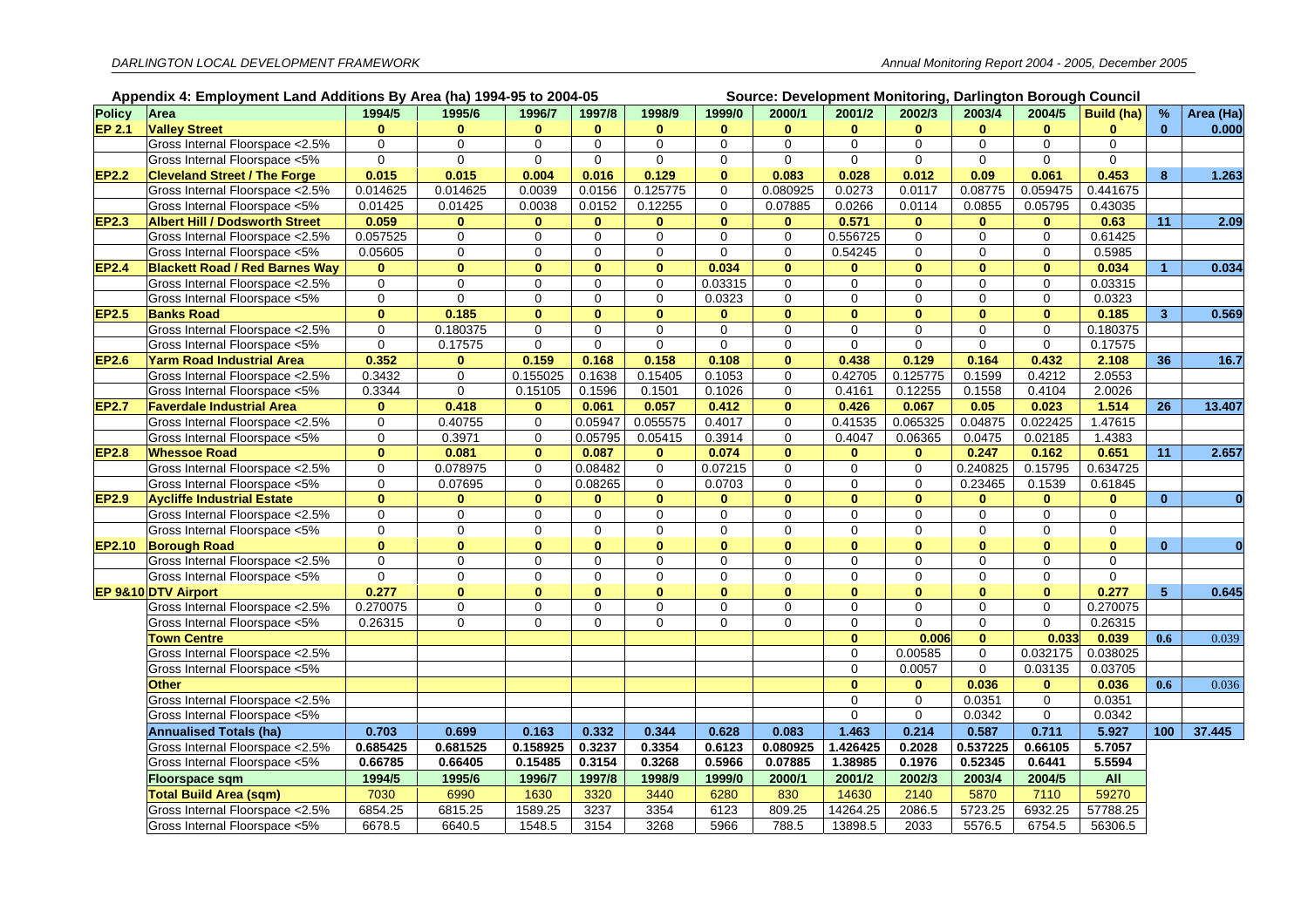|               | Appendix 4: Employment Land Additions By Area (ha) 1994-95 to 2004-05<br>Source: Development Monitoring, Darlington Borough Council |              |              |              |              |                     |              |              |                          |              |              |              |              |                      |              |
|---------------|-------------------------------------------------------------------------------------------------------------------------------------|--------------|--------------|--------------|--------------|---------------------|--------------|--------------|--------------------------|--------------|--------------|--------------|--------------|----------------------|--------------|
| <b>Policy</b> | Area                                                                                                                                | 1994/5       | 1995/6       | 1996/7       | 1997/8       | 1998/9              | 1999/0       | 2000/1       | 2001/2                   | 2002/3       | 2003/4       | 2004/5       | Build (ha)   | $\frac{9}{6}$        | Area (Ha)    |
| EP 2.1        | <b>Valley Street</b>                                                                                                                | $\mathbf{0}$ | $\mathbf{0}$ | $\bf{0}$     | $\mathbf{0}$ | $\bf{0}$            | $\mathbf{0}$ | $\mathbf{0}$ | $\bf{0}$                 | $\bf{0}$     | $\mathbf{0}$ | $\bf{0}$     | $\mathbf{0}$ | $\mathbf{0}$         | 0.000        |
|               | Gross Internal Floorspace < 2.5%                                                                                                    | $\mathbf 0$  | $\Omega$     | $\Omega$     | $\Omega$     | $\Omega$            | $\Omega$     | $\Omega$     | $\Omega$                 | $\Omega$     | $\Omega$     | $\Omega$     | $\mathbf 0$  |                      |              |
|               | Gross Internal Floorspace <5%                                                                                                       | $\mathbf 0$  | $\mathbf 0$  | $\mathbf{0}$ | $\mathbf 0$  | $\mathbf 0$         | $\Omega$     | $\mathbf 0$  | $\mathbf 0$              | $\mathbf 0$  | $\mathbf{0}$ | $\mathbf{0}$ | $\mathbf 0$  |                      |              |
| EP2.2         | <b>Cleveland Street / The Forge</b>                                                                                                 | 0.015        | 0.015        | 0.004        | 0.016        | 0.129               | $\bf{0}$     | 0.083        | 0.028                    | 0.012        | 0.09         | 0.061        | 0.453        | 8                    | 1.263        |
|               | Gross Internal Floorspace < 2.5%                                                                                                    | 0.014625     | 0.014625     | 0.0039       | 0.0156       | 0.125775            | $\Omega$     | 0.080925     | 0.0273                   | 0.0117       | 0.08775      | 0.059475     | 0.441675     |                      |              |
|               | Gross Internal Floorspace <5%                                                                                                       | 0.01425      | 0.01425      | 0.0038       | 0.0152       | 0.12255             | $\mathbf 0$  | 0.07885      | 0.0266                   | 0.0114       | 0.0855       | 0.05795      | 0.43035      |                      |              |
| <b>EP2.3</b>  | <b>Albert Hill / Dodsworth Street</b>                                                                                               | 0.059        | $\bf{0}$     | $\mathbf{0}$ | $\bf{0}$     | $\mathbf{0}$        | $\mathbf{0}$ | $\bf{0}$     | 0.571                    | $\bf{0}$     | $\bf{0}$     | $\bf{0}$     | 0.63         | 11                   | 2.09         |
|               | Gross Internal Floorspace < 2.5%                                                                                                    | 0.057525     | $\Omega$     | $\Omega$     | $\mathbf 0$  | $\mathbf 0$         | $\Omega$     | $\Omega$     | 0.556725                 | $\Omega$     | $\Omega$     | $\Omega$     | 0.61425      |                      |              |
|               | Gross Internal Floorspace <5%                                                                                                       | 0.05605      | $\mathbf 0$  | $\mathbf 0$  | $\mathbf 0$  | $\mathbf 0$         | $\mathbf 0$  | 0            | 0.54245                  | $\Omega$     | $\Omega$     | $\Omega$     | 0.5985       |                      |              |
| EP2.4         | <b>Blackett Road / Red Barnes Way</b>                                                                                               | $\bf{0}$     | $\mathbf{0}$ | $\mathbf{0}$ | $\mathbf{0}$ | $\mathbf{0}$        | 0.034        | $\mathbf{0}$ | $\bf{0}$                 | $\mathbf{0}$ | $\bf{0}$     | $\mathbf{0}$ | 0.034        | $\blacktriangleleft$ | 0.034        |
|               | Gross Internal Floorspace < 2.5%                                                                                                    | $\mathbf 0$  | 0            | $\mathbf 0$  | $\mathbf 0$  | $\mathbf 0$         | 0.03315      | $\mathbf{0}$ | $\mathbf 0$              | 0            | $\mathbf 0$  | $\mathbf 0$  | 0.03315      |                      |              |
|               | Gross Internal Floorspace <5%                                                                                                       | $\mathbf 0$  | $\mathbf 0$  | $\Omega$     | $\mathbf 0$  | $\Omega$            | 0.0323       | $\Omega$     | $\Omega$                 | $\Omega$     | $\Omega$     | $\Omega$     | 0.0323       |                      |              |
| EP2.5         | <b>Banks Road</b>                                                                                                                   | $\mathbf{0}$ | 0.185        | $\mathbf{0}$ | $\mathbf{0}$ | $\mathbf{0}$        | $\mathbf{0}$ | $\mathbf{0}$ | $\mathbf{0}$             | $\mathbf{0}$ | $\bf{0}$     | $\mathbf{0}$ | 0.185        | $\mathbf{3}$         | 0.569        |
|               | Gross Internal Floorspace <2.5%                                                                                                     | $\pmb{0}$    | 0.180375     | $\mathbf 0$  | $\mathbf 0$  | $\mathbf 0$         | $\mathbf 0$  | $\mathbf 0$  | $\mathbf 0$              | 0            | $\mathbf 0$  | $\mathbf 0$  | 0.180375     |                      |              |
|               | Gross Internal Floorspace <5%                                                                                                       | $\mathbf 0$  | 0.17575      | $\mathbf 0$  | $\mathbf 0$  | $\mathbf 0$         | $\Omega$     | $\mathbf 0$  | $\Omega$                 | $\Omega$     | $\Omega$     | $\Omega$     | 0.17575      |                      |              |
| <b>EP2.6</b>  | Yarm Road Industrial Area                                                                                                           | 0.352        | $\mathbf{0}$ | 0.159        | 0.168        | 0.158               | 0.108        | $\mathbf{0}$ | 0.438                    | 0.129        | 0.164        | 0.432        | 2.108        | 36                   | 16.7         |
|               | Gross Internal Floorspace <2.5%                                                                                                     | 0.3432       | $\mathbf 0$  | 0.155025     | 0.1638       | 0.15405             | 0.1053       | $\mathbf 0$  | 0.42705                  | 0.125775     | 0.1599       | 0.4212       | 2.0553       |                      |              |
|               | Gross Internal Floorspace <5%                                                                                                       | 0.3344       | $\Omega$     | 0.15105      | 0.1596       | 0.1501              | 0.1026       | 0            | 0.4161                   | 0.12255      | 0.1558       | 0.4104       | 2.0026       |                      |              |
| <b>EP2.7</b>  | <b>Faverdale Industrial Area</b>                                                                                                    | $\bf{0}$     | 0.418        | $\mathbf{0}$ | 0.061        | 0.057               | 0.412        | $\mathbf{0}$ | 0.426                    | 0.067        | 0.05         | 0.023        | 1.514        | 26                   | 13.407       |
|               | Gross Internal Floorspace <2.5%                                                                                                     | $\mathbf 0$  | 0.40755      | 0            | 0.05947      | 0.055575            | 0.4017       | $\mathbf 0$  | 0.41535                  | 0.065325     | 0.04875      | 0.022425     | 1.47615      |                      |              |
|               | Gross Internal Floorspace <5%                                                                                                       | $\mathbf 0$  | 0.3971       | $\mathbf 0$  | 0.05795      | 0.05415             | 0.3914       | 0            | 0.4047                   | 0.06365      | 0.0475       | 0.02185      | 1.4383       |                      |              |
| EP2.8         | <b>Whessoe Road</b>                                                                                                                 | $\bf{0}$     | 0.081        | $\mathbf{0}$ | 0.087        | $\mathbf{0}$        | 0.074        | $\mathbf{0}$ | $\mathbf{0}$             | $\mathbf{0}$ | 0.247        | 0.162        | 0.651        | 11                   | 2.657        |
|               | Gross Internal Floorspace < 2.5%                                                                                                    | $\mathbf 0$  | 0.078975     | $\mathbf 0$  | 0.08482      | $\mathbf 0$         | 0.07215      | $\mathbf 0$  | $\mathbf 0$              | $\mathbf 0$  | 0.240825     | 0.15795      | 0.634725     |                      |              |
|               | Gross Internal Floorspace <5%                                                                                                       | $\mathbf 0$  | 0.07695      | $\mathbf 0$  | 0.08265      | $\mathsf{O}\xspace$ | 0.0703       | $\mathbf 0$  | $\mathbf 0$              | $\mathbf 0$  | 0.23465      | 0.1539       | 0.61845      |                      |              |
| <b>EP2.9</b>  | <b>Aycliffe Industrial Estate</b>                                                                                                   | $\bf{0}$     | $\bf{0}$     | $\mathbf{0}$ | $\bf{0}$     | $\mathbf{0}$        | $\bf{0}$     | $\mathbf{0}$ | $\mathbf{0}$             | $\bf{0}$     | $\bf{0}$     | $\bf{0}$     | $\mathbf 0$  | $\bf{0}$             | $\mathbf{0}$ |
|               | Gross Internal Floorspace < 2.5%                                                                                                    | $\mathbf 0$  | $\mathbf 0$  | $\mathbf 0$  | $\mathbf 0$  | $\mathbf 0$         | $\mathbf 0$  | $\mathbf 0$  | $\Omega$                 | $\Omega$     | $\mathbf 0$  | $\mathbf 0$  | $\mathbf{0}$ |                      |              |
|               | Gross Internal Floorspace <5%                                                                                                       | 0            | $\mathbf 0$  | $\mathbf 0$  | $\mathbf 0$  | $\mathbf 0$         | $\mathbf 0$  | $\mathbf 0$  | $\mathbf 0$              | 0            | $\mathbf 0$  | $\mathbf 0$  | $\mathbf 0$  |                      |              |
|               | EP2.10 Borough Road                                                                                                                 | $\mathbf{0}$ | $\mathbf{0}$ | $\mathbf{0}$ | $\mathbf{0}$ | $\mathbf{0}$        | $\mathbf{0}$ | $\mathbf{0}$ | $\mathbf{0}$             | $\mathbf{0}$ | $\mathbf{0}$ | $\mathbf{0}$ | $\mathbf{0}$ | $\mathbf{0}$         | $\Omega$     |
|               | Gross Internal Floorspace < 2.5%                                                                                                    | $\pmb{0}$    | 0            | $\mathbf 0$  | $\mathbf 0$  | $\mathbf 0$         | 0            | 0            | $\mathbf 0$              | 0            | $\mathbf 0$  | $\mathbf 0$  | $\mathbf 0$  |                      |              |
|               | Gross Internal Floorspace <5%                                                                                                       | $\mathbf 0$  | $\mathbf 0$  | 0            | $\mathbf 0$  | $\mathbf 0$         | $\mathbf 0$  | $\mathbf 0$  | $\mathbf 0$              | $\mathbf 0$  | $\mathbf 0$  | 0            | $\mathbf{0}$ |                      |              |
|               | EP 9&10 DTV Airport                                                                                                                 | 0.277        | $\mathbf{0}$ | $\mathbf{0}$ | $\mathbf{0}$ | $\mathbf{0}$        | $\mathbf{0}$ | $\mathbf{0}$ | $\mathbf{0}$             | $\mathbf{0}$ | $\bf{0}$     | $\mathbf{0}$ | 0.277        | 5 <sup>5</sup>       | 0.645        |
|               | Gross Internal Floorspace < 2.5%                                                                                                    | 0.270075     | $\mathbf 0$  | $\mathbf 0$  | $\mathbf 0$  | $\mathbf 0$         | $\Omega$     | $\Omega$     | $\Omega$                 | $\Omega$     | $\mathbf 0$  | $\mathbf 0$  | 0.270075     |                      |              |
|               | Gross Internal Floorspace <5%                                                                                                       | 0.26315      | $\Omega$     | $\Omega$     | $\Omega$     | $\Omega$            | $\Omega$     | $\Omega$     | $\mathbf 0$              | $\Omega$     | $\mathbf 0$  | $\mathbf 0$  | 0.26315      |                      |              |
|               | <b>Town Centre</b>                                                                                                                  |              |              |              |              |                     |              |              | $\mathbf{0}$             | 0.006        | $\bf{0}$     | 0.033        | 0.039        | 0.6                  | 0.039        |
|               | Gross Internal Floorspace < 2.5%                                                                                                    |              |              |              |              |                     |              |              | $\Omega$                 | 0.00585      | $\mathbf 0$  | 0.032175     | 0.038025     |                      |              |
|               | Gross Internal Floorspace <5%                                                                                                       |              |              |              |              |                     |              |              | $\Omega$<br>$\mathbf{0}$ | 0.0057       | $\mathbf{0}$ | 0.03135      | 0.03705      |                      |              |
|               | <b>Other</b>                                                                                                                        |              |              |              |              |                     |              |              |                          | $\bf{0}$     | 0.036        | $\mathbf{0}$ | 0.036        | 0.6                  | 0.036        |
|               | Gross Internal Floorspace < 2.5%                                                                                                    |              |              |              |              |                     |              |              | $\Omega$<br>$\mathbf 0$  | 0<br>0       | 0.0351       | $\mathbf 0$  | 0.0351       |                      |              |
|               | Gross Internal Floorspace <5%                                                                                                       |              |              |              |              |                     |              |              |                          |              | 0.0342       | $\mathbf 0$  | 0.0342       |                      |              |
|               | <b>Annualised Totals (ha)</b>                                                                                                       | 0.703        | 0.699        | 0.163        | 0.332        | 0.344               | 0.628        | 0.083        | 1.463                    | 0.214        | 0.587        | 0.711        | 5.927        | 100                  | 37.445       |
|               | Gross Internal Floorspace < 2.5%                                                                                                    | 0.685425     | 0.681525     | 0.158925     | 0.3237       | 0.3354              | 0.6123       | 0.080925     | 1.426425                 | 0.2028       | 0.537225     | 0.66105      | 5.7057       |                      |              |
|               | Gross Internal Floorspace <5%                                                                                                       | 0.66785      | 0.66405      | 0.15485      | 0.3154       | 0.3268              | 0.5966       | 0.07885      | 1.38985                  | 0.1976       | 0.52345      | 0.6441       | 5.5594       |                      |              |
|               | <b>Floorspace sqm</b>                                                                                                               | 1994/5       | 1995/6       | 1996/7       | 1997/8       | 1998/9              | 1999/0       | 2000/1       | 2001/2                   | 2002/3       | 2003/4       | 2004/5       | All          |                      |              |
|               | <b>Total Build Area (sqm)</b>                                                                                                       | 7030         | 6990         | 1630         | 3320         | 3440                | 6280         | 830          | 14630                    | 2140         | 5870         | 7110         | 59270        |                      |              |
|               | Gross Internal Floorspace <2.5%                                                                                                     | 6854.25      | 6815.25      | 1589.25      | 3237         | 3354                | 6123         | 809.25       | 14264.25                 | 2086.5       | 5723.25      | 6932.25      | 57788.25     |                      |              |
|               | Gross Internal Floorspace <5%                                                                                                       | 6678.5       | 6640.5       | 1548.5       | 3154         | 3268                | 5966         | 788.5        | 13898.5                  | 2033         | 5576.5       | 6754.5       | 56306.5      |                      |              |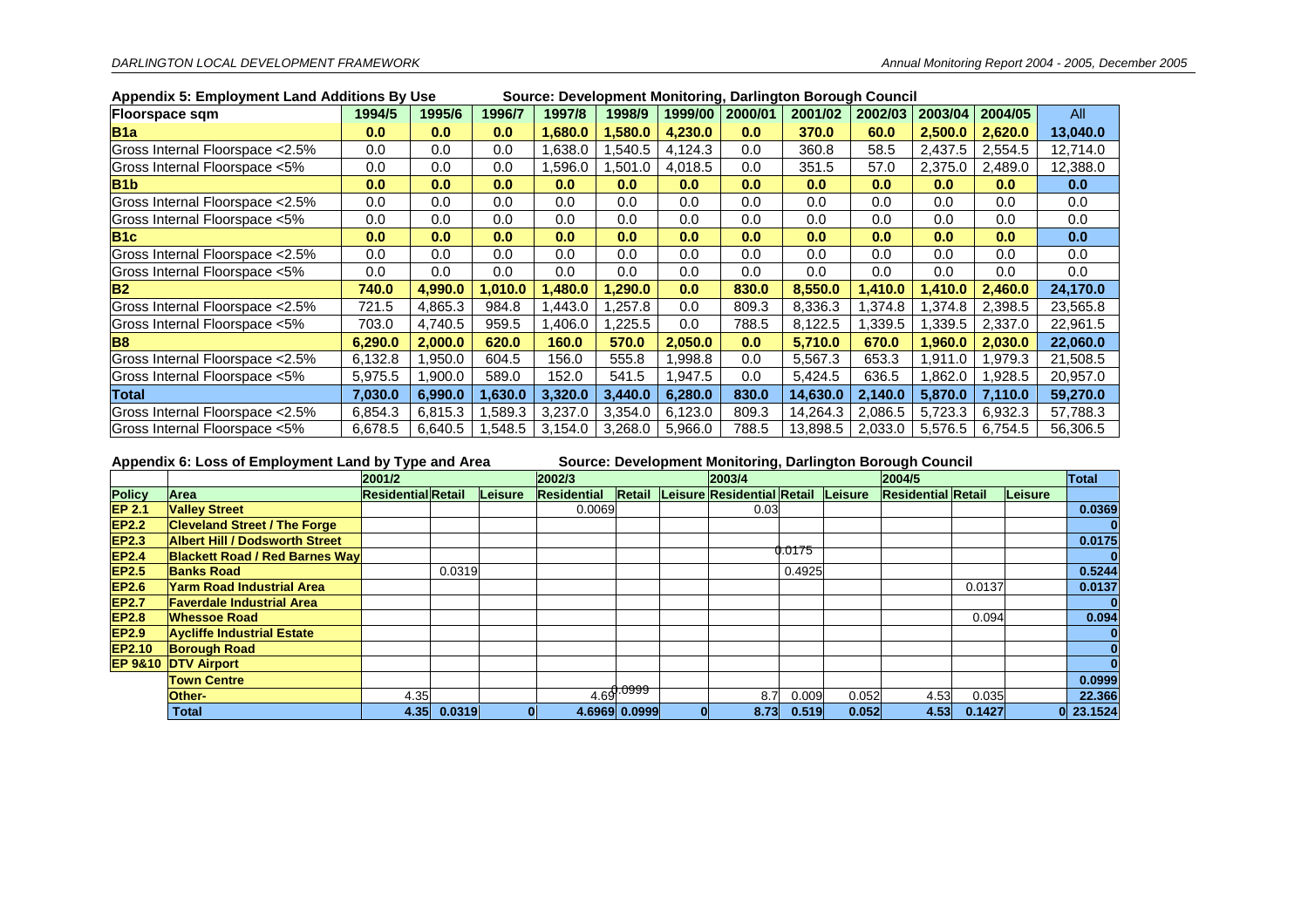|                                  | Appendix 5. Employment Land Additions by OSE<br>Source. Development Monitoring, Darlington Borough Council |                  |          |         |          |         |         |          |         |         |         |          |
|----------------------------------|------------------------------------------------------------------------------------------------------------|------------------|----------|---------|----------|---------|---------|----------|---------|---------|---------|----------|
| <b>Floorspace sqm</b>            | 1994/5                                                                                                     | 1995/6           | 1996/7   | 1997/8  | 1998/9   | 1999/00 | 2000/01 | 2001/02  | 2002/03 | 2003/04 | 2004/05 | All      |
| <b>B</b> 1a                      | 0.0                                                                                                        | 0.0              | 0.0      | 1.680.0 | 1.580.0  | 4.230.0 | 0.0     | 370.0    | 60.0    | 2.500.0 | 2,620.0 | 13,040.0 |
| Gross Internal Floorspace <2.5%  | 0.0                                                                                                        | 0.0              | 0.0      | .638.0  | .540.5   | 4,124.3 | 0.0     | 360.8    | 58.5    | 2,437.5 | 2,554.5 | 12,714.0 |
| Gross Internal Floorspace <5%    | 0.0                                                                                                        | 0.0              | 0.0      | .596.0  | ,501.0   | 4,018.5 | 0.0     | 351.5    | 57.0    | 2,375.0 | 2,489.0 | 12,388.0 |
| B <sub>1</sub> b                 | 0.0                                                                                                        | 0.0 <sub>1</sub> | 0.0      | 0.0     | 0.0      | 0.0     | 0.0     | 0.0      | 0.0     | 0.0     | 0.0     | 0.0      |
| Gross Internal Floorspace < 2.5% | 0.0                                                                                                        | 0.0              | 0.0      | 0.0     | 0.0      | 0.0     | 0.0     | 0.0      | 0.0     | 0.0     | 0.0     | 0.0      |
| Gross Internal Floorspace <5%    | 0.0                                                                                                        | 0.0              | 0.0      | 0.0     | 0.0      | 0.0     | 0.0     | 0.0      | 0.0     | 0.0     | 0.0     | 0.0      |
| B1c                              | 0.0                                                                                                        | 0.0              | 0.0      | 0.0     | 0.0      | 0.0     | 0.0     | 0.0      | 0.0     | 0.0     | 0.0     | 0.0      |
| Gross Internal Floorspace < 2.5% | 0.0                                                                                                        | 0.0              | 0.0      | 0.0     | 0.0      | 0.0     | 0.0     | 0.0      | 0.0     | 0.0     | 0.0     | 0.0      |
| Gross Internal Floorspace <5%    | 0.0                                                                                                        | 0.0              | 0.0      | 0.0     | 0.0      | 0.0     | 0.0     | 0.0      | 0.0     | 0.0     | 0.0     | 0.0      |
| IB <sub>2</sub>                  | 740.0                                                                                                      | 4,990.0          | .010.0 ا | ,480.0  | 1,290.0  | 0.0     | 830.0   | 8,550.0  | 1,410.0 | .410.0  | 2,460.0 | 24,170.0 |
| Gross Internal Floorspace < 2.5% | 721.5                                                                                                      | 4,865.3          | 984.8    | ,443.0  | .257.8   | 0.0     | 809.3   | 8,336.3  | 1,374.8 | .374.8  | 2,398.5 | 23,565.8 |
| Gross Internal Floorspace <5%    | 703.0                                                                                                      | 4,740.5          | 959.5    | ,406.0  | 225.5. ا | 0.0     | 788.5   | 8,122.5  | 1,339.5 | .339.5  | 2,337.0 | 22,961.5 |
| <b>B</b> 8                       | 6,290.0                                                                                                    | 2,000.0          | 620.0    | 160.0   | 570.0    | 2,050.0 | 0.0     | 5,710.0  | 670.0   | 1,960.0 | 2,030.0 | 22,060.0 |
| Gross Internal Floorspace < 2.5% | 6,132.8                                                                                                    | ,950.0           | 604.5    | 156.0   | 555.8    | .998.8  | 0.0     | 5,567.3  | 653.3   | .911.0  | 1,979.3 | 21,508.5 |
| Gross Internal Floorspace <5%    | 5,975.5                                                                                                    | 0.00.0           | 589.0    | 152.0   | 541.5    | .947.5  | 0.0     | 5,424.5  | 636.5   | ,862.0  | 1,928.5 | 20,957.0 |
| Total                            | 7,030.0                                                                                                    | 6,990.0          | 1,630.0  | 3,320.0 | 3,440.0  | 6,280.0 | 830.0   | 14,630.0 | 2,140.0 | 5,870.0 | 7,110.0 | 59,270.0 |
| Gross Internal Floorspace < 2.5% | 6,854.3                                                                                                    | 6,815.3          | .589.3   | 3,237.0 | 3,354.0  | 6,123.0 | 809.3   | 14,264.3 | 2,086.5 | 5,723.3 | 6,932.3 | 57,788.3 |
| Gross Internal Floorspace <5%    | 6,678.5                                                                                                    | 6,640.5          | .548.5   | 3,154.0 | 3,268.0  | 5,966.0 | 788.5   | 13,898.5 | 2,033.0 | 5,576.5 | 6,754.5 | 56,306.5 |

#### **Appendix 5: Employment Land Additions By Use Source: Development Monitoring, Darlington Borough Council**

#### **Appendix 6: Loss of Employment Land by Type and Area Source: Development Monitoring, Darlington Borough Council**

|               |                                       | .<br>2001/2               |        |         | 2002/3      |               | 2003/4                                    |        |       | 2004/5                    |        |         | Total         |
|---------------|---------------------------------------|---------------------------|--------|---------|-------------|---------------|-------------------------------------------|--------|-------|---------------------------|--------|---------|---------------|
| <b>Policy</b> | lArea ∶                               | <b>Residential</b> Retail |        | Leisure | Residential |               | Retail Leisure Residential Retail Leisure |        |       | <b>Residential Retail</b> |        | Leisure |               |
| <b>EP 2.1</b> | <b>Valley Street</b>                  |                           |        |         | 0.0069      |               | 0.03                                      |        |       |                           |        |         | 0.0369        |
| <b>EP2.2</b>  | <b>Cleveland Street / The Forge</b>   |                           |        |         |             |               |                                           |        |       |                           |        |         |               |
| <b>EP2.3</b>  | <b>Albert Hill / Dodsworth Street</b> |                           |        |         |             |               |                                           |        |       |                           |        |         | 0.0175        |
| <b>EP2.4</b>  | <b>Blackett Road / Red Barnes Way</b> |                           |        |         |             |               |                                           | 0.0175 |       |                           |        |         |               |
| <b>EP2.5</b>  | <b>Banks Road</b>                     |                           | 0.0319 |         |             |               |                                           | 0.4925 |       |                           |        |         | 0.5244        |
| <b>EP2.6</b>  | Yarm Road Industrial Area             |                           |        |         |             |               |                                           |        |       |                           | 0.0137 |         | 0.0137        |
| <b>EP2.7</b>  | <b>Faverdale Industrial Area</b>      |                           |        |         |             |               |                                           |        |       |                           |        |         |               |
| <b>EP2.8</b>  | <b>Whessoe Road</b>                   |                           |        |         |             |               |                                           |        |       |                           | 0.094  |         | 0.094         |
| <b>EP2.9</b>  | <b>Aycliffe Industrial Estate</b>     |                           |        |         |             |               |                                           |        |       |                           |        |         |               |
| <b>EP2.10</b> | <b>Borough Road</b>                   |                           |        |         |             |               |                                           |        |       |                           |        |         |               |
|               | <b>EP 9&amp;10 DTV Airport</b>        |                           |        |         |             |               |                                           |        |       |                           |        |         |               |
|               | <b>Town Centre</b>                    |                           |        |         |             |               |                                           |        |       |                           |        |         | 0.0999        |
|               | Other-                                | 4.35                      |        |         |             | 4.69.0999     | 8.7                                       | 0.009  | 0.052 | 4.53                      | 0.035  |         | 22.366        |
|               | <b>Total</b>                          | 4.35                      | 0.0319 |         |             | 4.6969 0.0999 | 8.73                                      | 0.519  | 0.052 | 4.53                      | 0.1427 |         | $ 0 $ 23.1524 |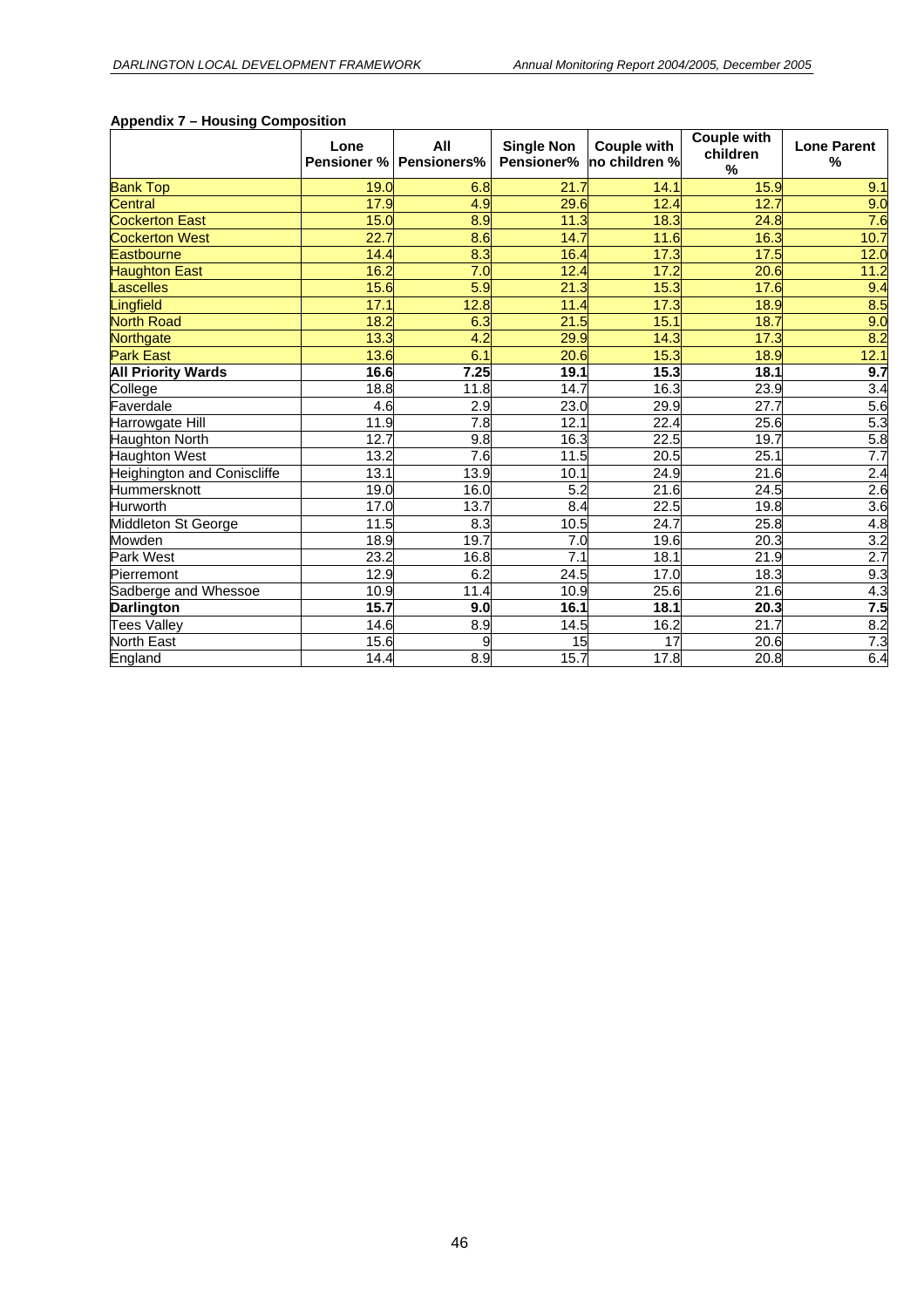|                             | Lone<br>Pensioner % | AII<br><b>Pensioners%</b> | <b>Single Non</b><br>Pensioner% | <b>Couple with</b><br>no children % | <b>Couple with</b><br>children<br>% | <b>Lone Parent</b><br>$\frac{0}{0}$ |
|-----------------------------|---------------------|---------------------------|---------------------------------|-------------------------------------|-------------------------------------|-------------------------------------|
| <b>Bank Top</b>             | 19.0                | 6.8                       | 21.7                            | 14.1                                | 15.9                                | 9.1                                 |
| Central                     | 17.9                | 4.9                       | 29.6                            | 12.4                                | 12.7                                | 9.0                                 |
| <b>Cockerton East</b>       | 15.0                | 8.9                       | 11.3                            | 18.3                                | 24.8                                | 7.6                                 |
| <b>Cockerton West</b>       | 22.7                | 8.6                       | 14.7                            | 11.6                                | 16.3                                | 10.7                                |
| Eastbourne                  | 14.4                | 8.3                       | 16.4                            | 17.3                                | 17.5                                | 12.0                                |
| <b>Haughton East</b>        | 16.2                | 7.0                       | 12.4                            | 17.2                                | 20.6                                | 11.2                                |
| Lascelles                   | 15.6                | 5.9                       | 21.3                            | 15.3                                | 17.6                                | 9.4                                 |
| Lingfield                   | 17.1                | 12.8                      | 11.4                            | 17.3                                | 18.9                                | 8.5                                 |
| <b>North Road</b>           | 18.2                | 6.3                       | 21.5                            | 15.1                                | 18.7                                | 9.0                                 |
| Northgate                   | 13.3                | 4.2                       | 29.9                            | 14.3                                | 17.3                                | 8.2                                 |
| <b>Park East</b>            | 13.6                | 6.1                       | 20.6                            | 15.3                                | 18.9                                | 12.1                                |
| <b>All Priority Wards</b>   | 16.6                | 7.25                      | 19.1                            | 15.3                                | 18.1                                | 9.7                                 |
| College                     | 18.8                | 11.8                      | 14.7                            | 16.3                                | 23.9                                | $\overline{3.4}$                    |
| Faverdale                   | 4.6                 | 2.9                       | 23.0                            | 29.9                                | 27.7                                | 5.6                                 |
| Harrowgate Hill             | 11.9                | 7.8                       | 12.1                            | 22.4                                | 25.6                                | $\overline{5.3}$                    |
| <b>Haughton North</b>       | 12.7                | 9.8                       | 16.3                            | 22.5                                | 19.7                                | $\overline{5.8}$                    |
| Haughton West               | 13.2                | 7.6                       | 11.5                            | 20.5                                | 25.1                                | $\overline{7.7}$                    |
| Heighington and Coniscliffe | 13.1                | 13.9                      | 10.1                            | 24.9                                | 21.6                                | $\overline{2.4}$                    |
| Hummersknott                | 19.0                | 16.0                      | 5.2                             | 21.6                                | 24.5                                | $\overline{2.6}$                    |
| Hurworth                    | 17.0                | 13.7                      | 8.4                             | 22.5                                | 19.8                                | $\overline{3.6}$                    |
| Middleton St George         | 11.5                | 8.3                       | 10.5                            | 24.7                                | 25.8                                | 4.8                                 |
| Mowden                      | 18.9                | 19.7                      | 7.0                             | 19.6                                | 20.3                                | $\frac{3.2}{2.7}$                   |
| Park West                   | 23.2                | 16.8                      | $\overline{7.1}$                | 18.1                                | 21.9                                |                                     |
| Pierremont                  | 12.9                | 6.2                       | 24.5                            | 17.0                                | 18.3                                | 9.3                                 |
| Sadberge and Whessoe        | 10.9                | 11.4                      | 10.9                            | 25.6                                | 21.6                                | 4.3                                 |
| <b>Darlington</b>           | 15.7                | 9.0                       | 16.1                            | 18.1                                | 20.3                                | 7.5                                 |
| <b>Tees Valley</b>          | 14.6                | 8.9                       | 14.5                            | 16.2                                | 21.7                                | 8.2                                 |
| North East                  | 15.6                | 9                         | 15                              | $\overline{17}$                     | 20.6                                | 7.3                                 |
| England                     | 14.4                | 8.9                       | 15.7                            | 17.8                                | 20.8                                | 6.4                                 |

#### **Appendix 7 – Housing Composition**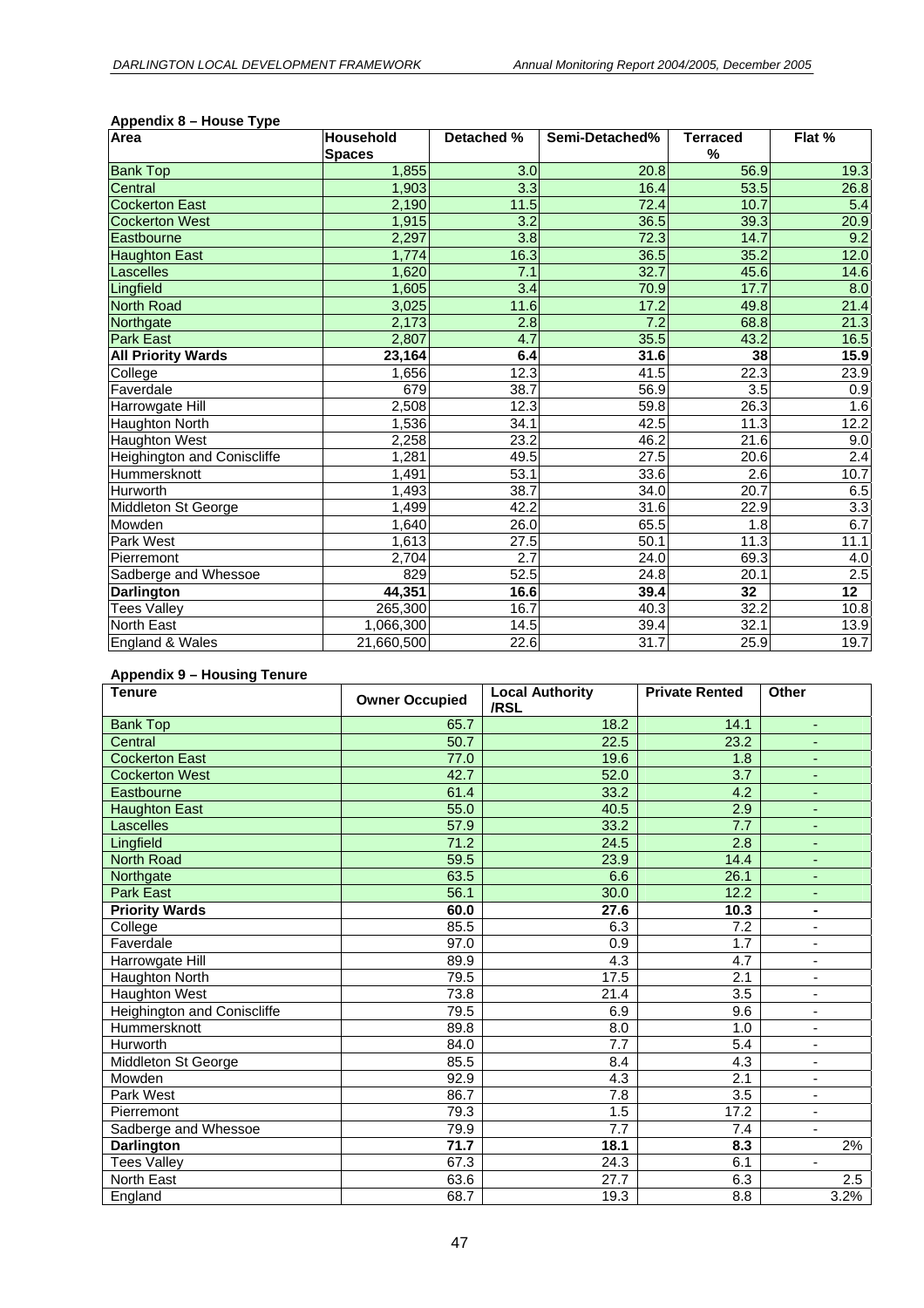| Area                               | <b>Household</b> | Detached % | Semi-Detached%   | <b>Terraced</b>   | Flat %            |
|------------------------------------|------------------|------------|------------------|-------------------|-------------------|
|                                    | <b>Spaces</b>    |            |                  | %                 |                   |
| <b>Bank Top</b>                    | 1,855            | 3.0        | 20.8             | 56.9              | 19.3              |
| Central                            | 1,903            | 3.3        | 16.4             | 53.5              | 26.8              |
| <b>Cockerton East</b>              | 2,190            | 11.5       | 72.4             | 10.7              | 5.4               |
| <b>Cockerton West</b>              | 1,915            | 3.2        | 36.5             | 39.3              | 20.9              |
| Eastbourne                         | 2,297            | 3.8        | 72.3             | 14.7              | 9.2               |
| <b>Haughton East</b>               | 1,774            | 16.3       | 36.5             | 35.2              | 12.0              |
| Lascelles                          | 1,620            | 7.1        | 32.7             | 45.6              | 14.6              |
| Lingfield                          | 1,605            | 3.4        | 70.9             | 17.7              | 8.0               |
| <b>North Road</b>                  | 3,025            | 11.6       | 17.2             | 49.8              | 21.4              |
| Northgate                          | 2,173            | 2.8        | $\overline{7.2}$ | 68.8              | $\overline{21.3}$ |
| <b>Park East</b>                   | 2,807            | 4.7        | 35.5             | 43.2              | 16.5              |
| <b>All Priority Wards</b>          | 23,164           | 6.4        | 31.6             | 38                | 15.9              |
| College                            | 1,656            | 12.3       | 41.5             | 22.3              | 23.9              |
| Faverdale                          | 679              | 38.7       | 56.9             | 3.5               | 0.9               |
| Harrowgate Hill                    | 2,508            | 12.3       | 59.8             | 26.3              | 1.6               |
| Haughton North                     | 1,536            | 34.1       | 42.5             | 11.3              | 12.2              |
| <b>Haughton West</b>               | 2,258            | 23.2       | 46.2             | 21.6              | 9.0               |
| <b>Heighington and Coniscliffe</b> | 1,281            | 49.5       | 27.5             | 20.6              | 2.4               |
| Hummersknott                       | 1,491            | 53.1       | 33.6             | 2.6               | 10.7              |
| Hurworth                           | 1,493            | 38.7       | 34.0             | $\overline{20.7}$ | 6.5               |
| Middleton St George                | 1,499            | 42.2       | 31.6             | 22.9              | $\overline{3.3}$  |
| Mowden                             | 1,640            | 26.0       | 65.5             | 1.8               | 6.7               |
| Park West                          | 1,613            | 27.5       | 50.1             | 11.3              | 11.1              |
| Pierremont                         | 2,704            | 2.7        | 24.0             | 69.3              | 4.0               |
| Sadberge and Whessoe               | 829              | 52.5       | 24.8             | 20.1              | 2.5               |
| <b>Darlington</b>                  | 44,351           | 16.6       | 39.4             | 32                | 12 <sub>2</sub>   |
| <b>Tees Valley</b>                 | 265,300          | 16.7       | 40.3             | 32.2              | 10.8              |
| North East                         | 1,066,300        | 14.5       | 39.4             | 32.1              | 13.9              |
| England & Wales                    | 21,660,500       | 22.6       | 31.7             | 25.9              | 19.7              |

#### **Appendix 8 – House Type**

#### **Appendix 9 – Housing Tenure**

| <b>Tenure</b>                      | <b>Owner Occupied</b> | <b>Local Authority</b><br>/RSL | <b>Private Rented</b> | <b>Other</b>             |
|------------------------------------|-----------------------|--------------------------------|-----------------------|--------------------------|
| <b>Bank Top</b>                    | 65.7                  | 18.2                           | 14.1                  | ٠                        |
| Central                            | 50.7                  | 22.5                           | 23.2                  | ٠                        |
| <b>Cockerton East</b>              | 77.0                  | 19.6                           | 1.8                   | ٠                        |
| <b>Cockerton West</b>              | 42.7                  | 52.0                           | 3.7                   |                          |
| Eastbourne                         | 61.4                  | 33.2                           | 4.2                   | ٠                        |
| <b>Haughton East</b>               | 55.0                  | 40.5                           | 2.9                   | ٠                        |
| Lascelles                          | 57.9                  | 33.2                           | 7.7                   | ٠                        |
| Lingfield                          | 71.2                  | 24.5                           | 2.8                   | ٠                        |
| <b>North Road</b>                  | 59.5                  | 23.9                           | 14.4                  | ٠                        |
| Northgate                          | 63.5                  | 6.6                            | 26.1                  | ٠                        |
| <b>Park East</b>                   | 56.1                  | 30.0                           | 12.2                  | ٠                        |
| <b>Priority Wards</b>              | 60.0                  | 27.6                           | 10.3                  |                          |
| College                            | 85.5                  | 6.3                            | $\overline{7.2}$      | $\overline{\phantom{0}}$ |
| Faverdale                          | 97.0                  | 0.9                            | 1.7                   | ٠                        |
| Harrowgate Hill                    | 89.9                  | 4.3                            | 4.7                   | $\overline{\phantom{0}}$ |
| Haughton North                     | 79.5                  | 17.5                           | 2.1                   | ٠                        |
| <b>Haughton West</b>               | 73.8                  | 21.4                           | 3.5                   | $\overline{\phantom{a}}$ |
| <b>Heighington and Coniscliffe</b> | 79.5                  | 6.9                            | 9.6                   | $\overline{\phantom{0}}$ |
| Hummersknott                       | 89.8                  | 8.0                            | 1.0                   | $\overline{\phantom{0}}$ |
| Hurworth                           | 84.0                  | 7.7                            | 5.4                   | ٠                        |
| Middleton St George                | 85.5                  | 8.4                            | 4.3                   | $\overline{\phantom{0}}$ |
| Mowden                             | 92.9                  | 4.3                            | 2.1                   | ٠                        |
| Park West                          | 86.7                  | 7.8                            | 3.5                   | ä,                       |
| Pierremont                         | 79.3                  | 1.5                            | 17.2                  | $\overline{\phantom{a}}$ |
| Sadberge and Whessoe               | 79.9                  | $\overline{7.7}$               | 7.4                   | $\overline{\phantom{0}}$ |
| <b>Darlington</b>                  | 71.7                  | 18.1                           | 8.3                   | 2%                       |
| <b>Tees Valley</b>                 | 67.3                  | 24.3                           | 6.1                   | ٠                        |
| North East                         | 63.6                  | 27.7                           | 6.3                   | 2.5                      |
| England                            | 68.7                  | 19.3                           | 8.8                   | 3.2%                     |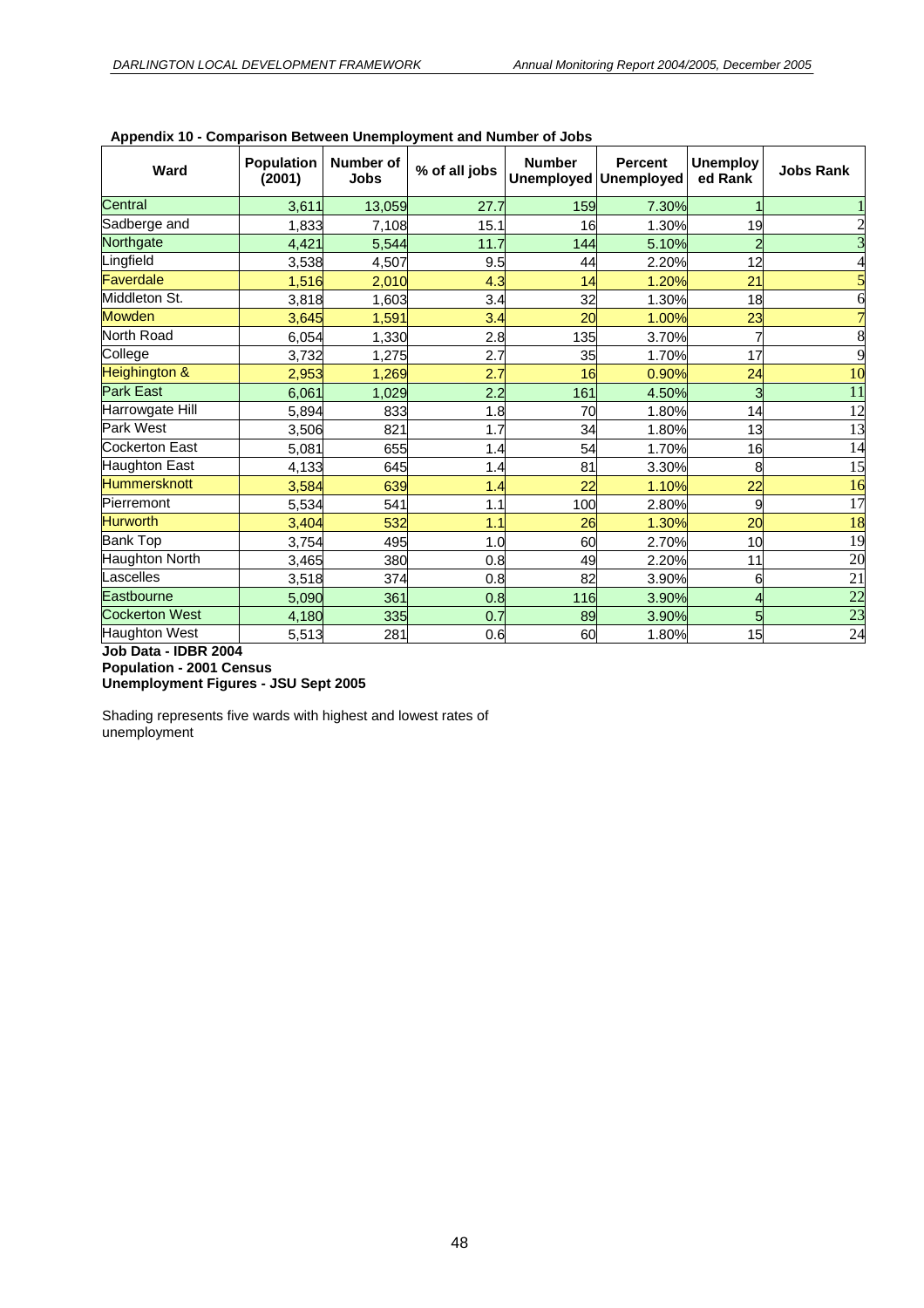| Ward                  | <b>Population</b><br>(2001) | Number of<br>Jobs | % of all jobs | <b>Number</b><br><b>Unemployed</b> | <b>Percent</b><br><b>Unemployed</b> | <b>Unemploy</b><br>ed Rank | <b>Jobs Rank</b> |
|-----------------------|-----------------------------|-------------------|---------------|------------------------------------|-------------------------------------|----------------------------|------------------|
| Central               | 3,611                       | 13,059            | 27.7          | 159                                | 7.30%                               |                            |                  |
| Sadberge and          | 1,833                       | 7,108             | 15.1          | 16                                 | 1.30%                               | 19                         |                  |
| Northgate             | 4,421                       | 5,544             | 11.7          | 144                                | 5.10%                               | $\overline{c}$             |                  |
| Lingfield             | 3,538                       | 4,507             | 9.5           | 44                                 | 2.20%                               | 12                         |                  |
| Faverdale             | 1,516                       | 2,010             | 4.3           | 14                                 | 1.20%                               | 21                         |                  |
| Middleton St.         | 3,818                       | 1,603             | 3.4           | 32                                 | 1.30%                               | 18                         |                  |
| <b>Mowden</b>         | 3,645                       | 1,591             | 3.4           | 20                                 | 1.00%                               | 23                         |                  |
| North Road            | 6,054                       | 1,330             | 2.8           | 135                                | 3.70%                               | 7                          | 8                |
| College               | 3,732                       | 1,275             | 2.7           | 35                                 | 1.70%                               | 17                         | 9                |
| Heighington &         | 2,953                       | 1,269             | 2.7           | 16                                 | 0.90%                               | 24                         | 10               |
| <b>Park East</b>      | 6.061                       | 1.029             | 2.2           | 161                                | 4.50%                               | 3                          | 11               |
| Harrowgate Hill       | 5,894                       | 833               | 1.8           | 70                                 | 1.80%                               | 14                         | 12               |
| Park West             | 3,506                       | 821               | 1.7           | 34                                 | 1.80%                               | 13                         | 13               |
| Cockerton East        | 5,081                       | 655               | 1.4           | 54                                 | 1.70%                               | 16                         | $\overline{14}$  |
| Haughton East         | 4,133                       | 645               | 1.4           | 81                                 | 3.30%                               | 8                          | 15               |
| Hummersknott          | 3,584                       | 639               | 1.4           | 22                                 | 1.10%                               | 22                         | 16               |
| Pierremont            | 5,534                       | 541               | 1.1           | 100                                | 2.80%                               | 9                          | 17               |
| <b>Hurworth</b>       | 3.404                       | 532               | 1.1           | 26                                 | 1.30%                               | 20                         | 18               |
| <b>Bank Top</b>       | 3,754                       | 495               | 1.0           | 60                                 | 2.70%                               | 10                         | 19               |
| Haughton North        | 3,465                       | 380               | 0.8           | 49                                 | 2.20%                               | 11                         | <b>20</b>        |
| Lascelles             | 3,518                       | 374               | 0.8           | 82                                 | 3.90%                               | 6                          | $\overline{21}$  |
| Eastbourne            | 5,090                       | 361               | 0.8           | 116                                | 3.90%                               | 4                          | $\overline{22}$  |
| <b>Cockerton West</b> | 4,180                       | 335               | 0.7           | 89                                 | 3.90%                               | 5 <sub>l</sub>             | $\overline{23}$  |
| Haughton West         | 5,513                       | 281               | 0.6           | 60                                 | 1.80%                               | 15                         | $\overline{24}$  |

#### **Appendix 10 - Comparison Between Unemployment and Number of Jobs**

**Job Data - IDBR 2004 Population - 2001 Census Unemployment Figures - JSU Sept 2005** 

Shading represents five wards with highest and lowest rates of unemployment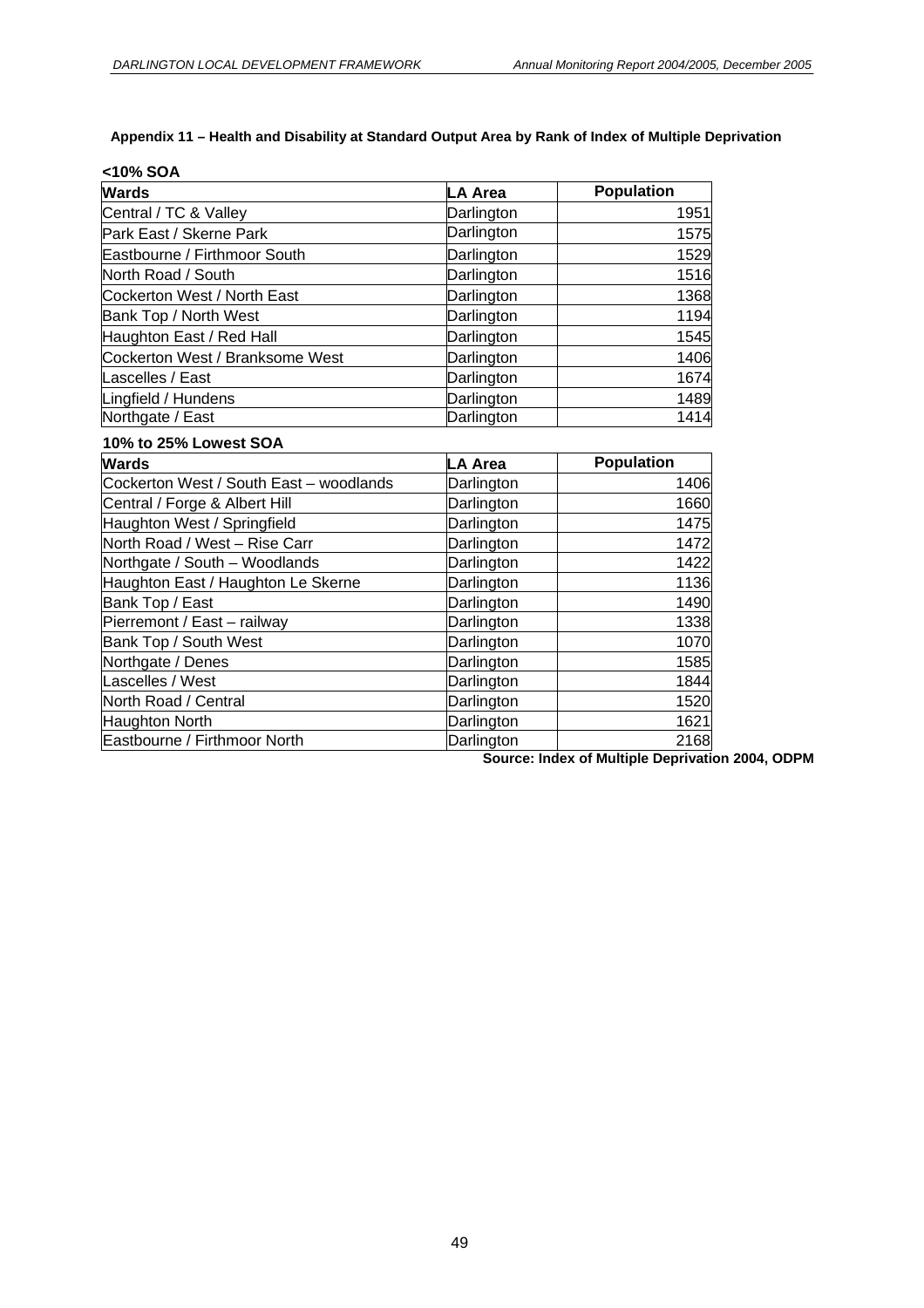#### **Appendix 11 – Health and Disability at Standard Output Area by Rank of Index of Multiple Deprivation**

| <10% SOA                        |            |                   |  |  |  |  |  |
|---------------------------------|------------|-------------------|--|--|--|--|--|
| <b>Wards</b>                    | LA Area    | <b>Population</b> |  |  |  |  |  |
| Central / TC & Valley           | Darlington | 1951              |  |  |  |  |  |
| Park East / Skerne Park         | Darlington | 1575              |  |  |  |  |  |
| Eastbourne / Firthmoor South    | Darlington | 1529              |  |  |  |  |  |
| North Road / South              | Darlington | 1516              |  |  |  |  |  |
| Cockerton West / North East     | Darlington | 1368              |  |  |  |  |  |
| Bank Top / North West           | Darlington | 1194              |  |  |  |  |  |
| Haughton East / Red Hall        | Darlington | 1545              |  |  |  |  |  |
| Cockerton West / Branksome West | Darlington | 1406              |  |  |  |  |  |
| Lascelles / East                | Darlington | 1674              |  |  |  |  |  |
| Lingfield / Hundens             | Darlington | 1489              |  |  |  |  |  |
| Northgate / East                | Darlington | 1414              |  |  |  |  |  |

#### **10% to 25% Lowest SOA**

| <b>Wards</b>                            | LA Area    | <b>Population</b> |
|-----------------------------------------|------------|-------------------|
| Cockerton West / South East - woodlands | Darlington | 1406              |
| Central / Forge & Albert Hill           | Darlington | 1660              |
| Haughton West / Springfield             | Darlington | 1475              |
| North Road / West - Rise Carr           | Darlington | 1472              |
| Northgate / South - Woodlands           | Darlington | 1422              |
| Haughton East / Haughton Le Skerne      | Darlington | 1136              |
| Bank Top / East                         | Darlington | 1490              |
| Pierremont / East - railway             | Darlington | 1338              |
| Bank Top / South West                   | Darlington | 1070              |
| Northgate / Denes                       | Darlington | 1585              |
| Lascelles / West                        | Darlington | 1844              |
| North Road / Central                    | Darlington | 1520              |
| Haughton North                          | Darlington | 1621              |
| Eastbourne / Firthmoor North            | Darlington | 2168              |

**Source: Index of Multiple Deprivation 2004, ODPM**